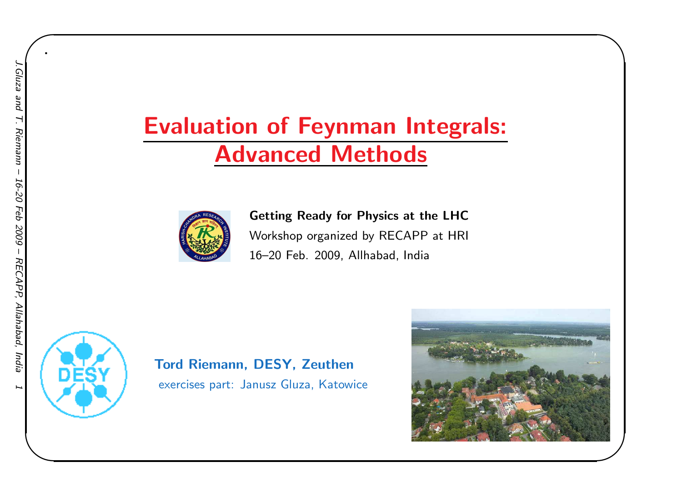### Evaluation of Feynman Integrals: Advanced Methods



Getting Ready for Physics at the LHC Workshop organized by RECAPP at HRI 16–20 Feb. 2009, Allhabad, India



Tord Riemann, DESY, Zeuthenexercises part: Janusz Gluza, Katowice



 $\begin{matrix} \hline \end{matrix}$ 

.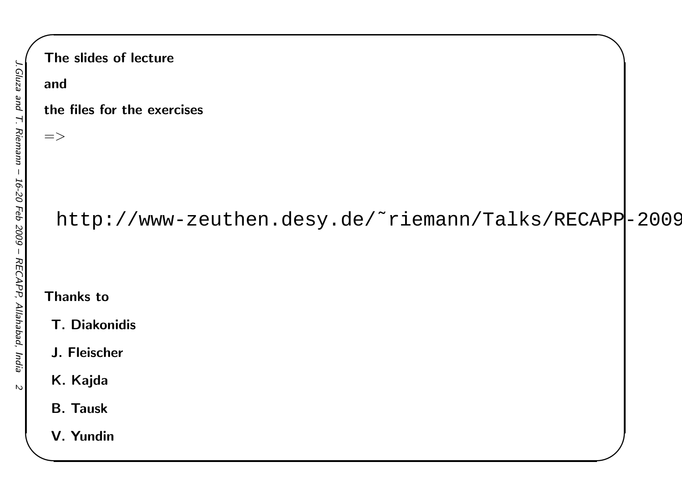$\mathcal{D}$ 

# $\begin{matrix} \hline \end{matrix}$ The slides of lectureandthe files for the exercises $=>$ http://www-zeuthen.desy.de/˜riemann/Talks/RECAPP-2009/Thanks toT. DiakonidisJ. FleischerK. KajdaB. TauskV. Yundin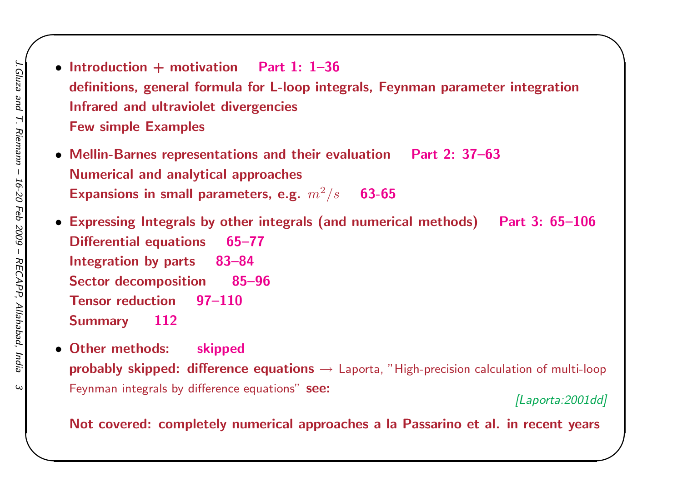- Introduction  $+$  motivation Part 1: 1–36 definitions, genera<sup>l</sup> formula for L-loop integrals, Feynman parameter integration Infrared and ultraviolet divergenciesFew simple Examples
- Mellin-Barnes representations and their evaluation Part 2: 37–63 Numerical and analytical approachesExpansions in small parameters, e.g.  $\left.m^2\right/s$ 63-65
- Expressing Integrals by other integrals (and numerical methods) Part 3: 65–106Differential equations 65–77Integration by parts 83–84Sector decomposition 85–96 Tensor reduction 97–110 **Summary** <sup>112</sup>
- Other methods: skippedprobably skipped: difference equations → Laporta, "High-precision calculation of multi-loop<br>F Feynman integrals by difference equations" see:

[Laporta: 2001dd]

 $\begin{matrix} \hline \end{matrix}$ 

Not covered: completely numerical approaches <sup>a</sup> la Passarino et al. in recent years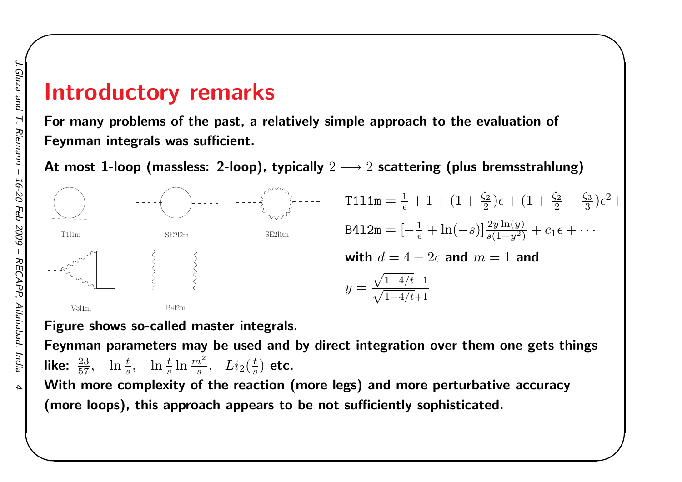#### Introductory remarks

For many problems of the past, <sup>a</sup> relatively simple approach to the evaluation of Feynman integrals was sufficient.

At most  $\bf 1$ -loop (massless: 2-loop), typically  $2\longrightarrow 2$  scattering (plus bremsstrahlung)



 $\begin{matrix} \hline \end{matrix}$ 

Figure shows so-called master integrals.

Feynman parameters may be used and by direct integration over them one gets thingslike:  $\frac{23}{57}$ ,  $\ln \frac{t}{s}$ ,  $\ln \frac{t}{s} \ln \frac{m^2}{s}$ ,  $Li_2(\frac{t}{s})$  etc.

 With more complexity of the reaction (more legs) and more perturbative accuracy(more loops), this approach appears to be not sufficiently sophisticated.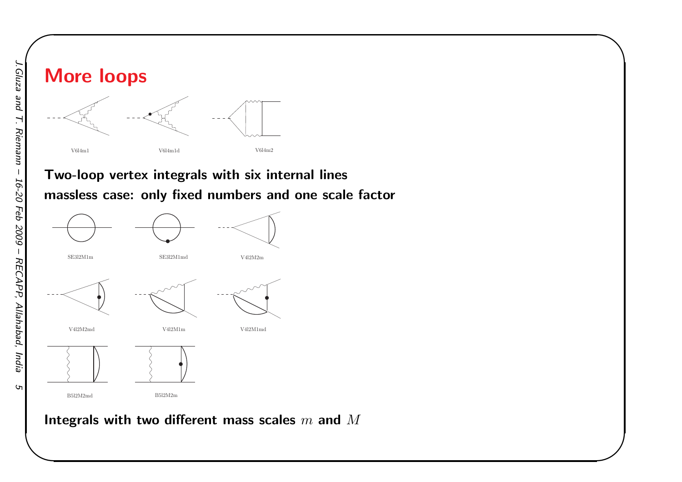# More loopsV6l4m1 V6l4m1dV6l4m2

#### Two-loop vertex integrals with six internal linesmassless case: only fixed numbers and one scale factor

 $\begin{matrix} \hline \end{matrix}$ 



Integrals with two different mass scales  $m$  and  $M$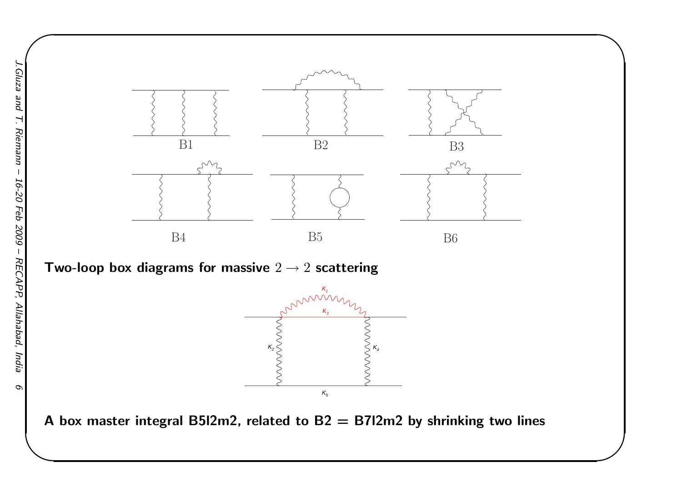

 $\begin{matrix} \hline \end{matrix}$ 

Two-loop box diagrams for massive  $2\rightarrow2$  scattering



A box master integral B5I2m2, related to  $B2 = B712m2$  by shrinking two lines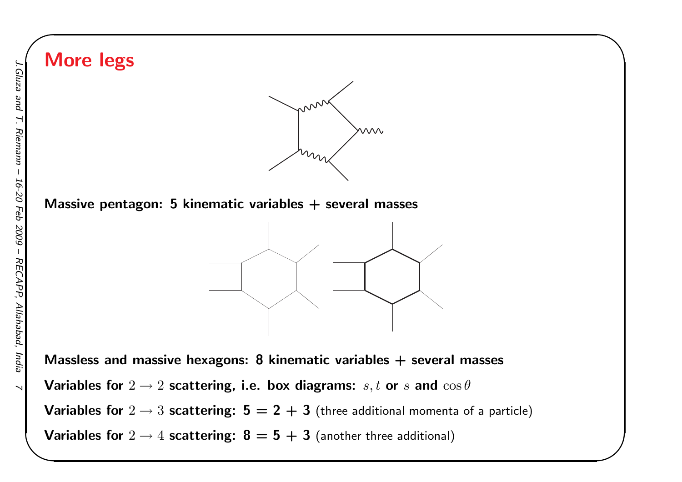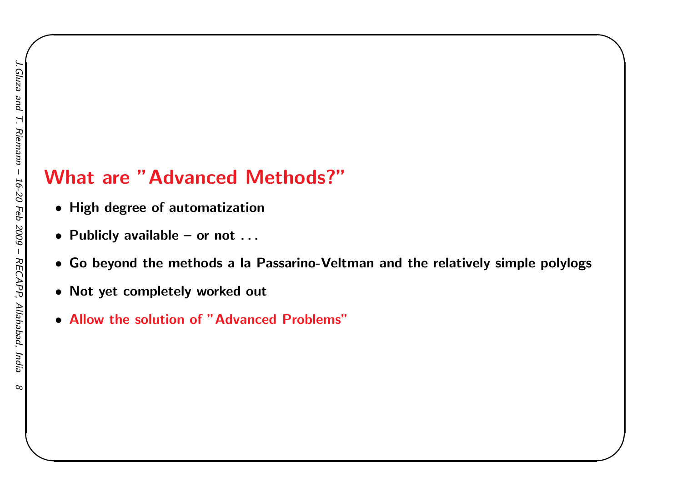#### What are "Advanced Methods?"

- High degree of automatization
- Publicly available or not . . .
- Go beyond the methods <sup>a</sup> la Passarino-Veltman and the relatively simple polylogs

 $\begin{matrix} \hline \end{matrix}$ 

- Not yet completely worked out
- Allow the solution of "Advanced Problems"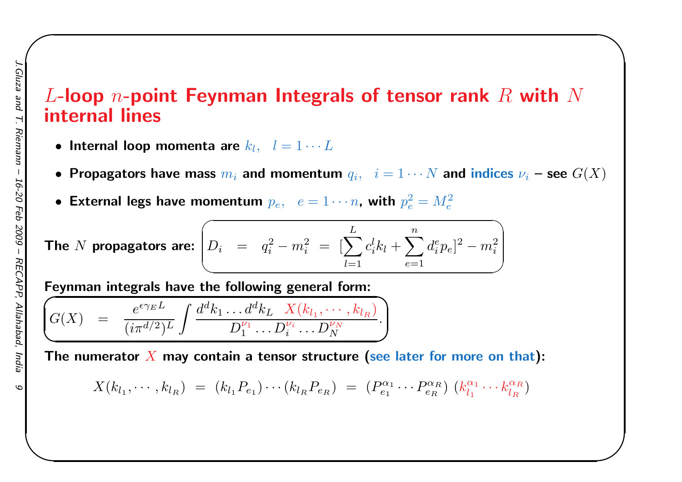#### $L$ -loop  $n$ -point Feynman Integrals of tensor rank  $R$  with  $N$ <br>internal lines internal lines

- $\bullet$  Internal loop momenta are  $k_l, \;\; l=1 \cdots L$
- $\bullet$  Propagators have mass  $m_i$  and momentum  $q_i, \;\; i=1 \cdots N$  and indices  $\nu_i$  see  $G(X)$

 $\begin{matrix} \hline \end{matrix}$ 

 $\bullet$  External legs have momentum  $p_e, \;\; e=1\cdots n$ , with  $p_e^2=M_e^2$ 

The *N* propagators are: 
$$
\left(D_i = q_i^2 - m_i^2 = \left[\sum_{l=1}^{L} c_i^l k_l + \sum_{e=1}^{n} d_i^e p_e\right]^2 - m_i^2\right)
$$

Feynman integrals have the following general form:

$$
G(X) = \frac{e^{\epsilon \gamma_E L}}{(i\pi^{d/2})^L} \int \frac{d^d k_1 \dots d^d k_L}{D_1^{\nu_1} \dots D_i^{\nu_i} \dots D_N^{\nu_N}}.
$$

The numerator  $X$  may contain a tensor structure (see later for more on that):

$$
X(k_{l_1},\cdots,k_{l_R}) = (k_{l_1}P_{e_1})\cdots(k_{l_R}P_{e_R}) = (P_{e_1}^{\alpha_1}\cdots P_{e_R}^{\alpha_R}) (k_{l_1}^{\alpha_1}\cdots k_{l_R}^{\alpha_R})
$$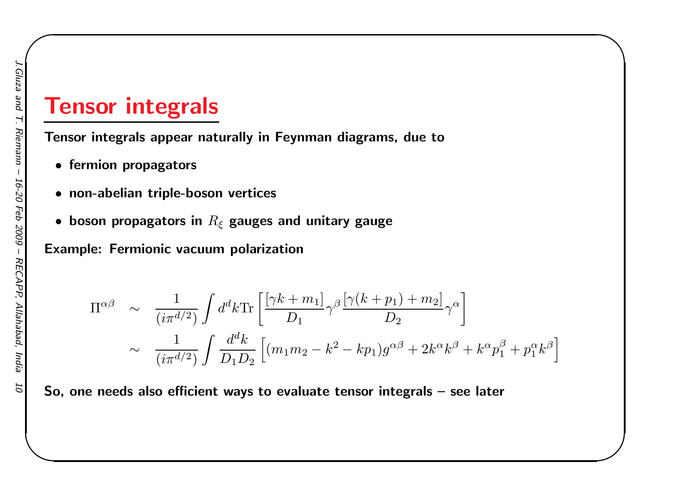### Tensor integrals

Tensor integrals appear naturally in Feynman diagrams, due to

- fermion propagators
- non-abelian triple-boson vertices
- $\bullet\,$  boson propagators in  $R_\xi$  gauges and unitary gauge

Example: Fermionic vacuum polarization

$$
\Pi^{\alpha\beta} \sim \frac{1}{(i\pi^{d/2})} \int d^d k \text{Tr} \left[ \frac{[\gamma k + m_1]}{D_1} \gamma^\beta \frac{[\gamma (k + p_1) + m_2]}{D_2} \gamma^\alpha \right]
$$
  
 
$$
\sim \frac{1}{(i\pi^{d/2})} \int \frac{d^d k}{D_1 D_2} \left[ (m_1 m_2 - k^2 - k p_1) g^{\alpha\beta} + 2k^\alpha k^\beta + k^\alpha p_1^\beta + p_1^\alpha k^\beta \right]
$$

 $\begin{matrix} \hline \end{matrix}$ 

So, one needs also efficient ways to evaluate tensor integrals – see later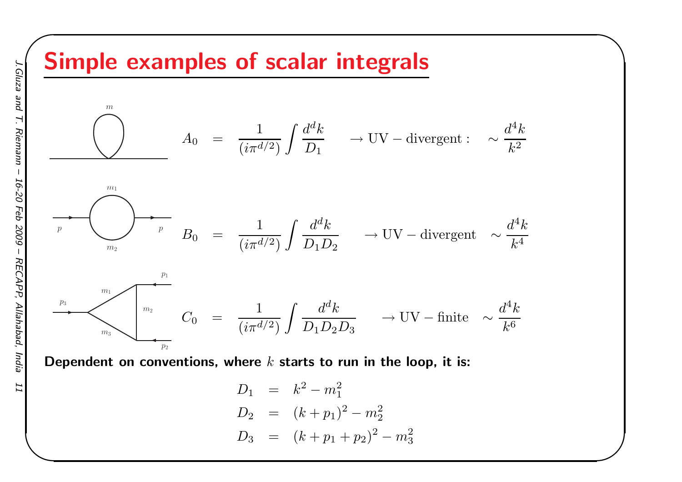### Simple examples of scalar integrals



 $\begin{matrix} \hline \end{matrix}$ 

Dependent on conventions, where  $k$  starts to run in the loop, it is:

$$
D_1 = k^2 - m_1^2
$$
  
\n
$$
D_2 = (k + p_1)^2 - m_2^2
$$
  
\n
$$
D_3 = (k + p_1 + p_2)^2 - m_3^2
$$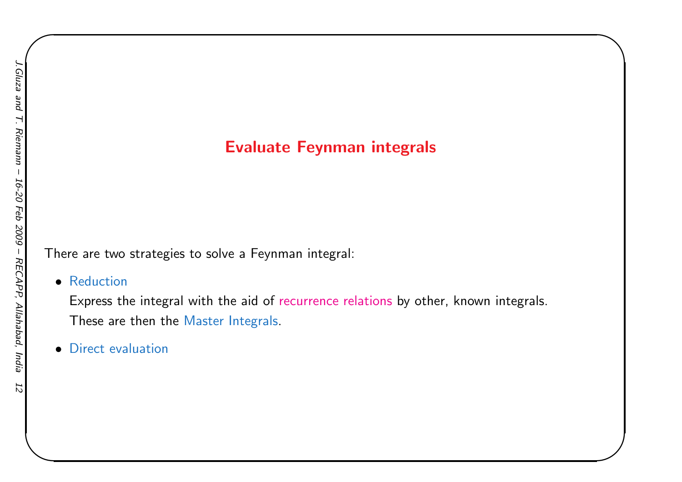#### Evaluate Feynman integrals

 $\begin{matrix} \hline \end{matrix}$ 

There are two strategies to solve <sup>a</sup> Feynman integral:

• Reduction

 Express the integral with the aid of recurrence relations by other, known integrals. These are then the Master Integrals.

• Direct evaluation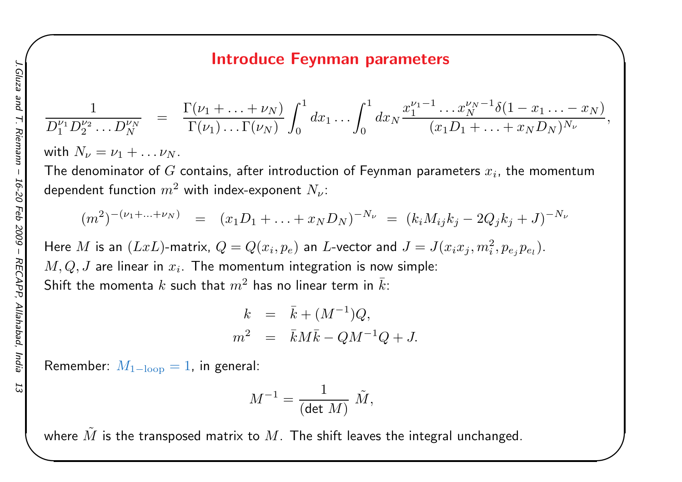#### Introduce Feynman parameters

 $\begin{matrix} \hline \end{matrix}$ 

$$
\frac{1}{D_1^{\nu_1}D_2^{\nu_2}\ldots D_N^{\nu_N}} = \frac{\Gamma(\nu_1 + \ldots + \nu_N)}{\Gamma(\nu_1)\ldots\Gamma(\nu_N)} \int_0^1 dx_1 \ldots \int_0^1 dx_N \frac{x_1^{\nu_1 - 1}\ldots x_N^{\nu_N - 1} \delta(1 - x_1 \ldots - x_N)}{(x_1 D_1 + \ldots + x_N D_N)^{N_\nu}},
$$

with  $N_\nu = \nu_1 + \ldots \nu_N$ 

**Contract Contract Contract** The denominator of  $G$  contains, after introduction of Feynman parameters  $x_i$ , the momentum dependent function  $m^2$  with index-exponent  $N_\nu$ :

$$
(m^2)^{-(\nu_1 + \ldots + \nu_N)} = (x_1 D_1 + \ldots + x_N D_N)^{-N_{\nu}} = (k_i M_{ij} k_j - 2Q_j k_j + J)^{-N_{\nu}}
$$

Here  $M$  is an  $(LxL)$ -matrix,  $Q = Q(x_i, p_e)$  an  $L$ -vector and  $J = J(x_ix_j, m_i^2, p_{e_j}p_{e_l})$ .  $M,Q,J$  are linear in  $x_i$ . The momentum integration is now simple: Shift the momenta  $k$  such that  $m^2$  has no linear term in  $\bar{k}$ :

$$
k = \bar{k} + (M^{-1})Q,
$$
  

$$
m^2 = \bar{k}M\bar{k} - QM^{-1}Q + J.
$$

 ${\sf Remember}\: \ M_{\rm 1-loop}=1,$  in general:

$$
M^{-1} = \frac{1}{(\det\,M)}\,\,\tilde M,
$$

where  $\tilde{M}$  is the transposed matrix to  $M.$  The shift leaves the integral unchanged.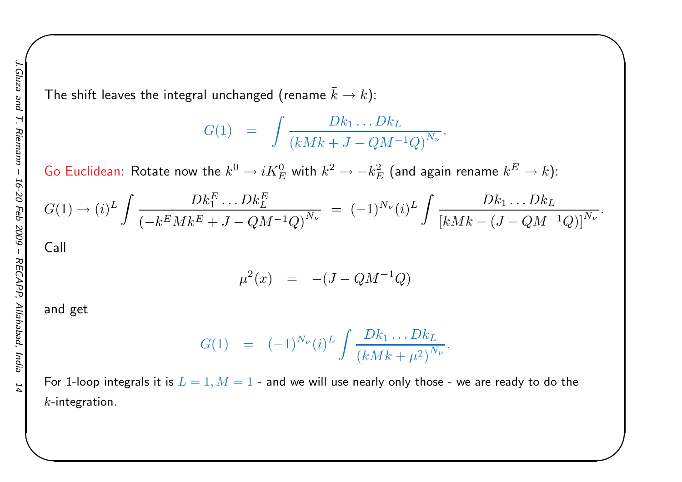The shift leaves the integral unchanged (rename  $\bar{k}\to k$ ):

$$
G(1) = \int \frac{Dk_1 \dots Dk_L}{(kMk + J - QM^{-1}Q)^{N_{\nu}}}
$$

 $\begin{matrix} \hline \end{matrix}$ 

Go Euclidean: Rotate now the  $k^0\rightarrow iK^0_E$  with  $k^2\rightarrow -k^2_B$  $k^2_{E} \rightarrow -k_E^2$  $\frac{2}{E}$  (and again rename  $k^E$  $^{E}\rightarrow k)$ :

$$
G(1) \to (i)^L \int \frac{Dk_1^E \dots Dk_L^E}{\left(-k^E M k^E + J - Q M^{-1} Q\right)^{N_{\nu}}} \; = \; (-1)^{N_{\nu}} (i)^L \int \frac{Dk_1 \dots Dk_L}{\left[k M k - (J - Q M^{-1} Q)\right]^{N_{\nu}}}.
$$

Call

$$
\mu^2(x) = -(J - QM^{-1}Q)
$$

and get

$$
G(1) = (-1)^{N_{\nu}} (i)^{L} \int \frac{Dk_{1} \dots Dk_{L}}{(kMk + \mu^{2})^{N_{\nu}}}.
$$

For 1-loop integrals it is  $L = 1, M = 1$  - and we will use nearly only those - we are ready to do the<br>. . . . . . . .  $k$ -integration.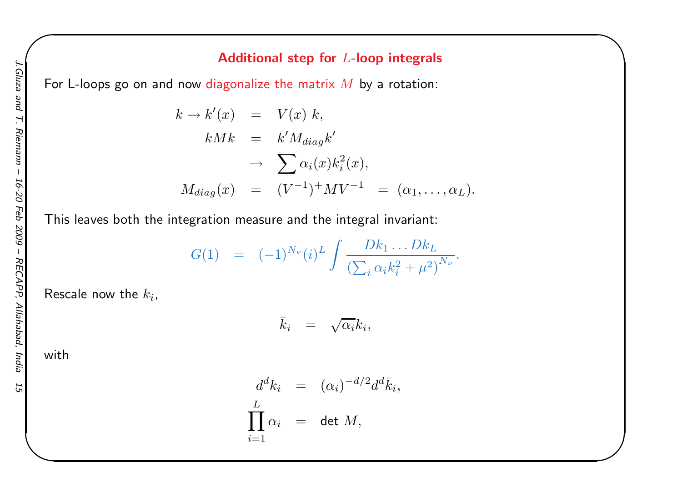$\begin{matrix} \hline \end{matrix}$ 

For L-loops go on and now diagonalize the matrix  $M$  by a rotation:

$$
k \to k'(x) = V(x) k,
$$
  
\n
$$
kMk = k'M_{diag}k'
$$
  
\n
$$
\to \sum \alpha_i(x)k_i^2(x),
$$
  
\n
$$
M_{diag}(x) = (V^{-1})^+ MV^{-1} = (\alpha_1, ..., \alpha_L).
$$

This leaves both the integration measure and the integral invariant:

$$
G(1) = (-1)^{N_{\nu}} (i)^{L} \int \frac{Dk_{1} \dots Dk_{L}}{\left(\sum_{i} \alpha_{i} k_{i}^{2} + \mu^{2}\right)^{N_{\nu}}}.
$$

Rescale now the  $k_i$ ,

$$
\bar{k}_i = \sqrt{\alpha_i} k_i,
$$

with

$$
d^{d}k_{i} = (\alpha_{i})^{-d/2}d^{d}\bar{k}_{i},
$$
  
\n
$$
\prod_{i=1}^{L} \alpha_{i} = \det M,
$$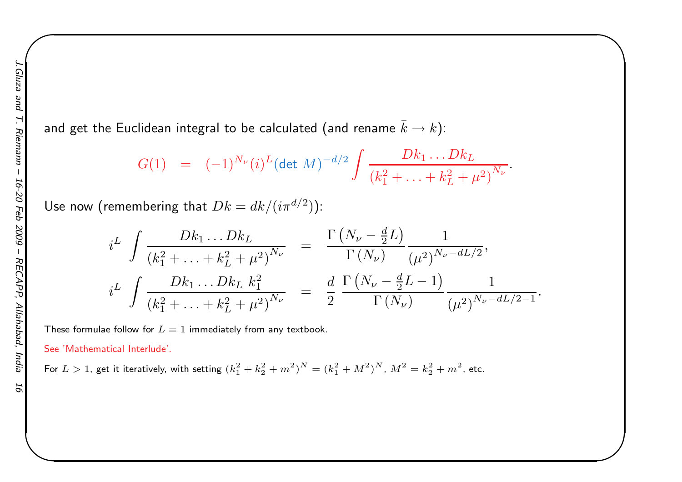and get the Euclidean integral to be calculated (and rename  $\bar{k}\rightarrow k$ ):

$$
G(1) = (-1)^{N_{\nu}} (i)^{L} (\det M)^{-d/2} \int \frac{Dk_1 \dots Dk_L}{(k_1^2 + \dots + k_L^2 + \mu^2)^{N_{\nu}}}.
$$

 $\begin{matrix} \hline \end{matrix}$ 

Use now (remembering that  $Dk=$  $= dk/(i\pi^{d/2})$ :

$$
i^{L} \int \frac{Dk_{1} \dots Dk_{L}}{(k_{1}^{2} + \dots + k_{L}^{2} + \mu^{2})^{N_{\nu}}} = \frac{\Gamma\left(N_{\nu} - \frac{d}{2}L\right)}{\Gamma\left(N_{\nu}\right)} \frac{1}{(\mu^{2})^{N_{\nu} - dL/2}},
$$
  

$$
i^{L} \int \frac{Dk_{1} \dots Dk_{L} k_{1}^{2}}{(k_{1}^{2} + \dots + k_{L}^{2} + \mu^{2})^{N_{\nu}}} = \frac{d}{2} \frac{\Gamma\left(N_{\nu} - \frac{d}{2}L - 1\right)}{\Gamma\left(N_{\nu}\right)} \frac{1}{(\mu^{2})^{N_{\nu} - dL/2 - 1}}
$$

These formulae follow for  $L = 1$  immediately from any textbook.

See 'Mathematical Interlude'.

For  $L > 1$ , get it iteratively, with setting  $(k_1^2 + k_2^2 + m^2)$  $N = (k_1^2 + M^2)$  $N, M^2 = k_2^2 + m^2$ , etc.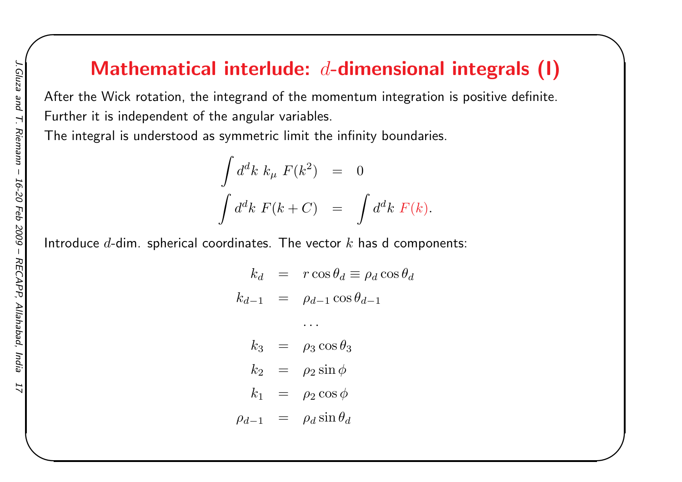### Mathematical interlude:  $d$ -dimensional integrals (I)

 $\begin{matrix} \hline \end{matrix}$ 

After the Wick rotation, the integrand of the momentum integration is positive definite. Further it is independent of the angular variables.

The integral is understood as symmetric limit the infinity boundaries.

$$
\int d^d k \; k_\mu \; F(k^2) = 0
$$
  

$$
\int d^d k \; F(k+C) = \int d^d k \; F(k).
$$

 $\theta_d$ 

Introduce  $d$ -dim. spherical coordinates. The vector  $k$  has d components:

$$
k_d = r \cos \theta_d \equiv \rho_d \cos \theta_d
$$
  
\n
$$
k_{d-1} = \rho_{d-1} \cos \theta_{d-1}
$$
  
\n...  
\n
$$
k_3 = \rho_3 \cos \theta_3
$$
  
\n
$$
k_2 = \rho_2 \sin \phi
$$

$$
k_1\ \ =\ \ \, \rho_2\cos\phi
$$

$$
\rho_{d-1} = \rho_d \sin \theta_d
$$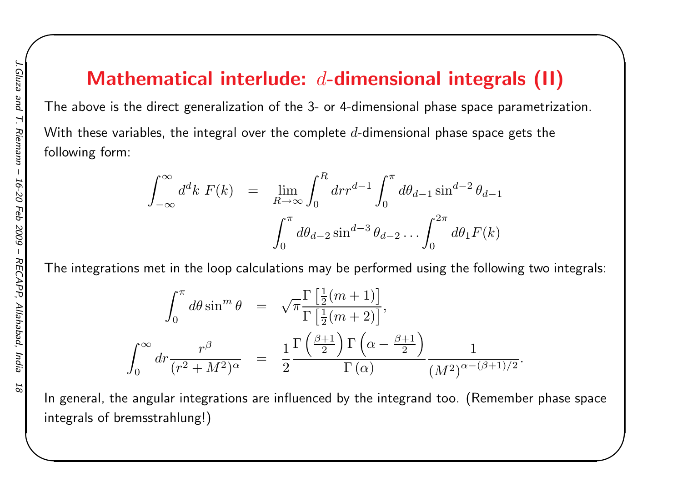### Mathematical interlude:  $d$ -dimensional integrals (II)

 $\begin{matrix} \hline \end{matrix}$ 

The above is the direct generalization of the 3- or 4-dimensional phase space parametrization. With these variables, the integral over the complete  $d$ -dimensional phase space gets the following form:

$$
\int_{-\infty}^{\infty} d^d k \ F(k) = \lim_{R \to \infty} \int_0^R dr r^{d-1} \int_0^{\pi} d\theta_{d-1} \sin^{d-2} \theta_{d-1}
$$

$$
\int_0^{\pi} d\theta_{d-2} \sin^{d-3} \theta_{d-2} \dots \int_0^{2\pi} d\theta_1 F(k)
$$

The integrations met in the loop calculations may be performed using the following two integrals:

$$
\int_0^{\pi} d\theta \sin^m \theta = \sqrt{\pi} \frac{\Gamma\left[\frac{1}{2}(m+1)\right]}{\Gamma\left[\frac{1}{2}(m+2)\right]},
$$

$$
\int_0^{\infty} dr \frac{r^{\beta}}{(r^2 + M^2)^{\alpha}} = \frac{1}{2} \frac{\Gamma\left(\frac{\beta+1}{2}\right) \Gamma\left(\alpha - \frac{\beta+1}{2}\right)}{\Gamma(\alpha)} \frac{1}{(M^2)^{\alpha - (\beta+1)/2}}.
$$

In general, the angular integrations are influenced by the integrand too. (Remember phase spaceintegrals of bremsstrahlung!)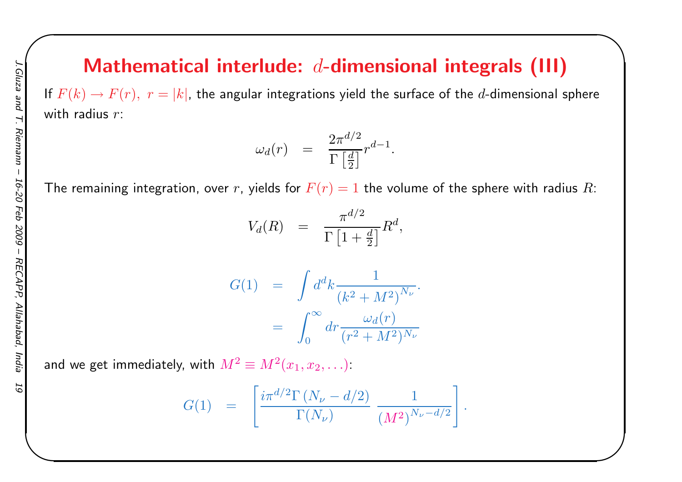### Mathematical interlude:  $d$ -dimensional integrals (III)

 $\begin{matrix} \hline \end{matrix}$ 

If  $F(k) \to F(r),\,\,r=|k|$ , the angular integrations yield the surface of the  $d$ -dimensional sphere with radius  $r\colon$ 

$$
\omega_d(r)\quad = \quad \frac{2\pi^{d/2}}{\Gamma\left[\frac{d}{2}\right]}r^{d-1}.
$$

The remaining integration, over  $r$ , yields for  $F(r)=1$  the volume of the sphere with radius  $R\mathrm{:}$ 

$$
V_d(R) = \frac{\pi^{d/2}}{\Gamma\left[1 + \frac{d}{2}\right]} R^d,
$$

$$
G(1) = \int d^d k \frac{1}{(k^2 + M^2)^{N_{\nu}}}.
$$
  
= 
$$
\int_0^{\infty} dr \frac{\omega_d(r)}{(r^2 + M^2)^{N_{\nu}}}
$$

and we get immediately, with  $M^2\equiv M^2(x_1,x_2,\ldots)$ :

$$
G(1) \;\; = \;\; \left[ \frac{i \pi^{d/2} \Gamma \left( N_{\nu} - d/2 \right)}{\Gamma(N_{\nu})} \; \frac{1}{(M^2)^{N_{\nu} - d/2}} \right].
$$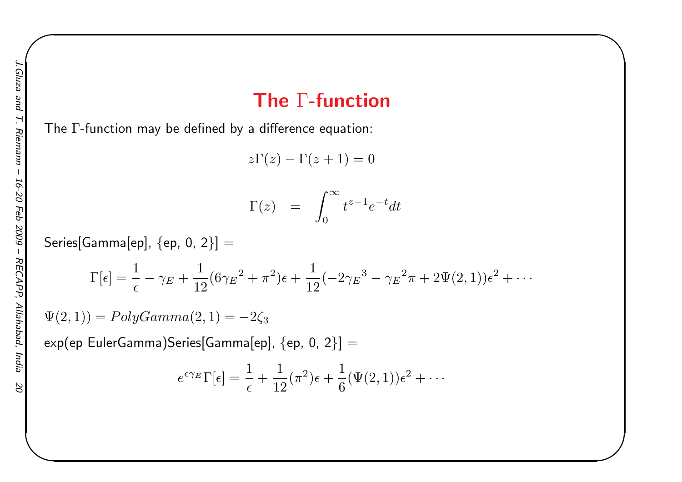#### The  $\Gamma\text{-}\mathsf{function}$

 $\begin{matrix} \hline \end{matrix}$ 

The  $\Gamma$ -function may be defined by a difference equation:

 $z\Gamma(z) - \Gamma(z+1) = 0$ 

$$
\Gamma(z) = \int_0^\infty t^{z-1} e^{-t} dt
$$

 $\sf Series[Gamma[ep],\,\{ep,\,0,\,2\}]=$ 

$$
\Gamma[\epsilon] = \frac{1}{\epsilon} - \gamma_E + \frac{1}{12} (6\gamma_E^2 + \pi^2)\epsilon + \frac{1}{12} (-2\gamma_E^3 - \gamma_E^2 \pi + 2\Psi(2, 1))\epsilon^2 + \cdots
$$

 $\Psi(2,1))=PolyGamma(2,1)=$  $-2\zeta_3$ 

 $\exp(\textsf{ep EulerGamma})$ Series[Gamma[ep],  $\{\textsf{ep},\textsf{0},\textsf{2}\}] =$ 

$$
e^{\epsilon \gamma_E} \Gamma[\epsilon] = \frac{1}{\epsilon} + \frac{1}{12} (\pi^2) \epsilon + \frac{1}{6} (\Psi(2, 1)) \epsilon^2 + \cdots
$$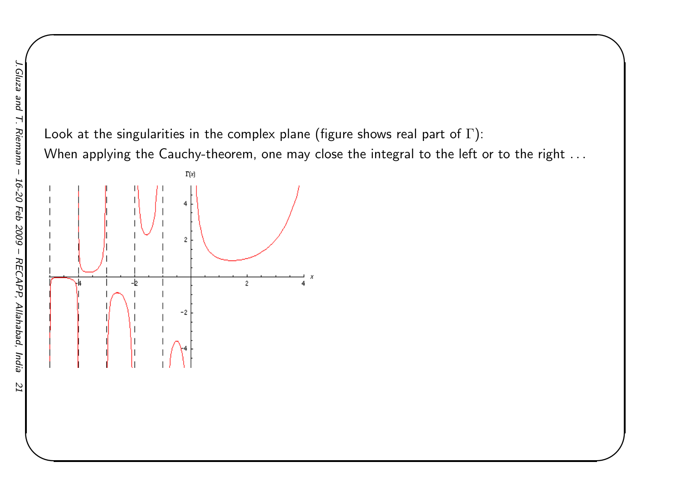Look at the singularities in the complex plane (figure shows real part of  $\Gamma)$ : When applying the Cauchy-theorem, one may close the integral to the left or to the right . . .  $\begin{matrix} \hline \end{matrix}$ 

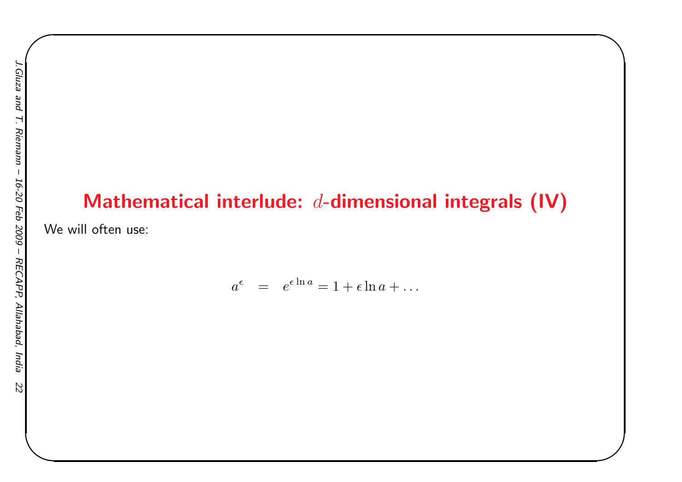### Mathematical interlude:  $d$ -dimensional integrals (IV)

 $\begin{matrix} \hline \end{matrix}$ 

We will often use:

$$
a^{\epsilon} = e^{\epsilon \ln a} = 1 + \epsilon \ln a + \dots
$$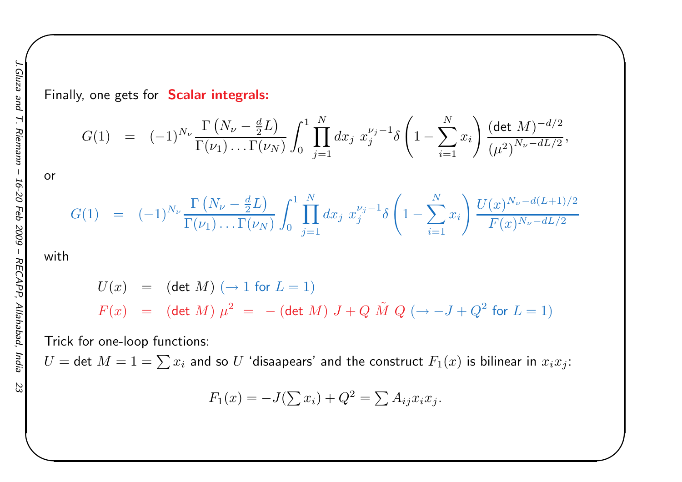Finally, one gets for **Scalar integrals:** 

$$
G(1) = (-1)^{N_{\nu}} \frac{\Gamma(N_{\nu} - \frac{d}{2}L)}{\Gamma(\nu_1) \dots \Gamma(\nu_N)} \int_0^1 \prod_{j=1}^N dx_j \ x_j^{\nu_j - 1} \delta\left(1 - \sum_{i=1}^N x_i\right) \frac{(\det M)^{-d/2}}{(\mu^2)^{N_{\nu} - dL/2}},
$$

 $\begin{matrix} \hline \end{matrix}$ 

$$
G(1) = (-1)^{N_{\nu}} \frac{\Gamma(N_{\nu} - \frac{d}{2}L)}{\Gamma(\nu_1) \dots \Gamma(\nu_N)} \int_0^1 \prod_{j=1}^N dx_j \ x_j^{\nu_j - 1} \delta\left(1 - \sum_{i=1}^N x_i\right) \frac{U(x)^{N_{\nu} - d(L+1)/2}}{F(x)^{N_{\nu} - dL/2}}
$$

with

or

$$
U(x) = (\det M) (\to 1 \text{ for } L = 1)
$$
  

$$
F(x) = (\det M) \mu^{2} = -(\det M) J + Q \tilde{M} Q (\to -J + Q^{2} \text{ for } L = 1)
$$

Trick for one-loop functions:

 $U=$  det  $M=1=\sum x_i$  and so  $U$  'disaapears' and the construct  $F_1(x)$  is bilinear in  $x_ix_j$ :

$$
F_1(x) = -J(\sum x_i) + Q^2 = \sum A_{ij} x_i x_j.
$$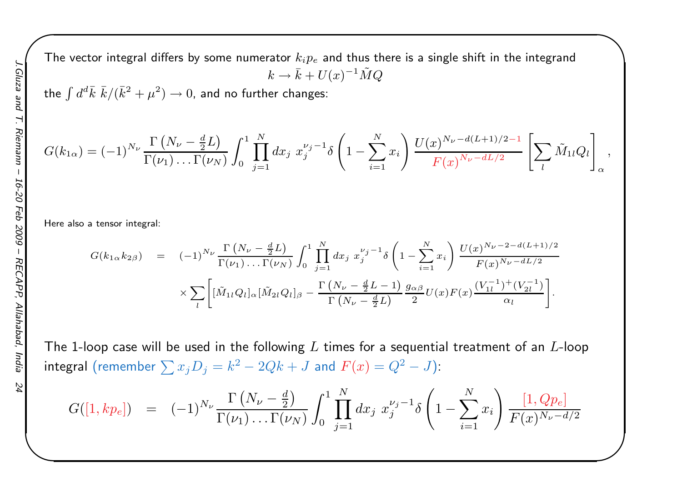The vector integral differs by some numerator  $k_i p_e$  and thus there is a single shift in the integrand  $k\rightarrow \bar{k}+U(x)^{-1}\tilde{M}Q$ 

the  $\int d^d\bar{k}\,\,\bar{k}/(\bar{k}^2+\mu^2)\to 0$ , and no further changes:

$$
G(k_{1\alpha}) = (-1)^{N_{\nu}} \frac{\Gamma(N_{\nu} - \frac{d}{2}L)}{\Gamma(\nu_1) \dots \Gamma(\nu_N)} \int_0^1 \prod_{j=1}^N dx_j \ x_j^{\nu_j - 1} \delta\left(1 - \sum_{i=1}^N x_i\right) \frac{U(x)^{N_{\nu} - d(L+1)/2 - 1}}{F(x)^{N_{\nu} - dL/2}} \left[\sum_l \tilde{M}_{1l} Q_l\right]_{\alpha},
$$

 $\begin{matrix} \hline \end{matrix}$ 

Here also <sup>a</sup> tensor integral:

$$
G(k_{1\alpha}k_{2\beta}) = (-1)^{N_{\nu}} \frac{\Gamma(N_{\nu} - \frac{d}{2}L)}{\Gamma(\nu_{1}) \dots \Gamma(\nu_{N})} \int_{0}^{1} \prod_{j=1}^{N} dx_{j} x_{j}^{\nu_{j}-1} \delta\left(1 - \sum_{i=1}^{N} x_{i}\right) \frac{U(x)^{N_{\nu}-2-d(L+1)/2}}{F(x)^{N_{\nu}-dL/2}} \times \sum_{l} \left[ [\tilde{M}_{1l} Q_{l}]_{\alpha} [\tilde{M}_{2l} Q_{l}]_{\beta} - \frac{\Gamma(N_{\nu} - \frac{d}{2}L - 1)}{\Gamma(N_{\nu} - \frac{d}{2}L)} \frac{g_{\alpha\beta}}{2} U(x) F(x) \frac{(V_{1l}^{-1})^{+}(V_{2l}^{-1})}{\alpha_{l}} \right].
$$

The 1-loop case will be used in the following  $L$  times for a sequential treatment of an  $L$ -loop  ${\sf integral\,\,} ({\sf remember}\,\sum x_jD_j=k^2-2Qk+J\,\,{\sf and}\,\,F(x)=Q^2-J) \mathcal{E}$ 

$$
G([1, kp_e]) = (-1)^{N_{\nu}} \frac{\Gamma(N_{\nu} - \frac{d}{2})}{\Gamma(\nu_1) \dots \Gamma(\nu_N)} \int_0^1 \prod_{j=1}^N dx_j \ x_j^{\nu_j - 1} \delta\left(1 - \sum_{i=1}^N x_i\right) \frac{[1, Qp_e]}{F(x)^{N_{\nu} - d/2}}
$$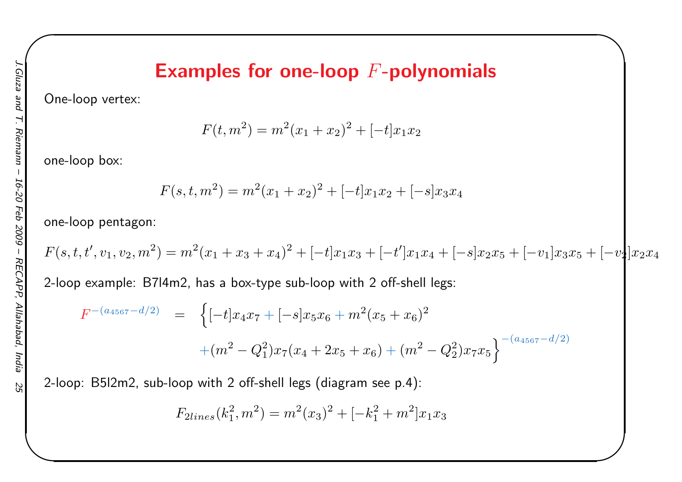#### Examples for one-loop  $F\text{-}\mathbf{polynomials}$

 $\begin{matrix} \hline \end{matrix}$ 

One-loop vertex:

 $F(t, m^2) = m^2(x_1 + x_2)^2 + [ -t]x_1x_2$ 

one-loop box:

$$
F(s, t, m^2) = m^2(x_1 + x_2)^2 + [-t]x_1x_2 + [-s]x_3x_4
$$

one-loop pentagon:

$$
F(s,t,t',v_1,v_2,m^2)=m^2(x_1+x_3+x_4)^2+[-t]x_1x_3+[-t']x_1x_4+[-s]x_2x_5+[-v_1]x_3x_5+[-v_2]x_2x_4
$$

2-loop example: B7l4m2, has <sup>a</sup> box-type sub-loop with <sup>2</sup> off-shell legs:

$$
F^{-(a_{4567}-d/2)} = \left\{ [-t]x_4x_7 + [-s]x_5x_6 + m^2(x_5+x_6)^2 + (m^2 - Q_1^2)x_7(x_4+2x_5+x_6) + (m^2 - Q_2^2)x_7x_5 \right\}^{-(a_{4567}-d/2)}
$$

2-loop: B5l2m2, sub-loop with <sup>2</sup> off-shell legs (diagram see p.4):

$$
F_{2lines}(k_1^2, m^2) = m^2(x_3)^2 + [-k_1^2 + m^2]x_1x_3
$$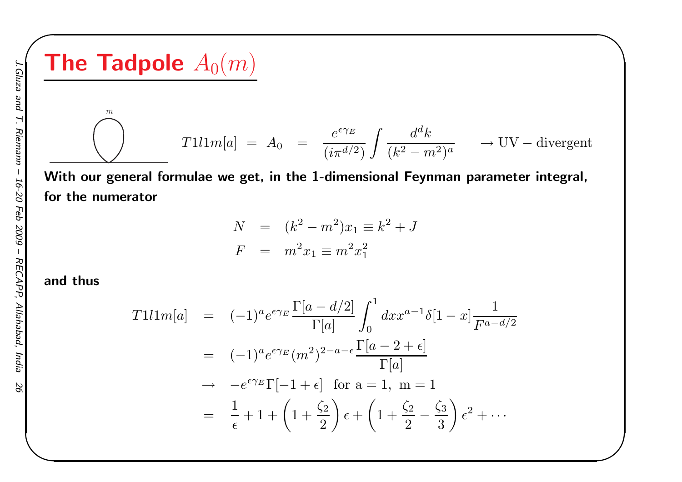**The Tadpole** 
$$
A_0(m)
$$
  
\n
$$
T111m[a] = A_0 = \frac{e^{\epsilon \gamma_E}}{(i\pi^{d/2})} \int \frac{d^d k}{(k^2 - m^2)^a} \longrightarrow UV-divergent
$$

 $\begin{matrix} \hline \end{matrix}$ 

 With our genera<sup>l</sup> formulae we get, in the 1-dimensional Feynman parameter integral, for the numerator

$$
N = (k^{2} - m^{2})x_{1} \equiv k^{2} + J
$$
  

$$
F = m^{2}x_{1} \equiv m^{2}x_{1}^{2}
$$

#### and thus

$$
T1l1m[a] = (-1)^{a}e^{\epsilon\gamma_{E}}\frac{\Gamma[a-d/2]}{\Gamma[a]} \int_{0}^{1} dx x^{a-1}\delta[1-x] \frac{1}{F^{a-d/2}}
$$
  

$$
= (-1)^{a}e^{\epsilon\gamma_{E}}(m^{2})^{2-a-\epsilon}\frac{\Gamma[a-2+\epsilon]}{\Gamma[a]}
$$
  

$$
\rightarrow -e^{\epsilon\gamma_{E}}\Gamma[-1+\epsilon] \text{ for a = 1, m = 1}
$$
  

$$
= \frac{1}{\epsilon} + 1 + \left(1 + \frac{\zeta_{2}}{2}\right)\epsilon + \left(1 + \frac{\zeta_{2}}{2} - \frac{\zeta_{3}}{3}\right)\epsilon^{2} + \cdots
$$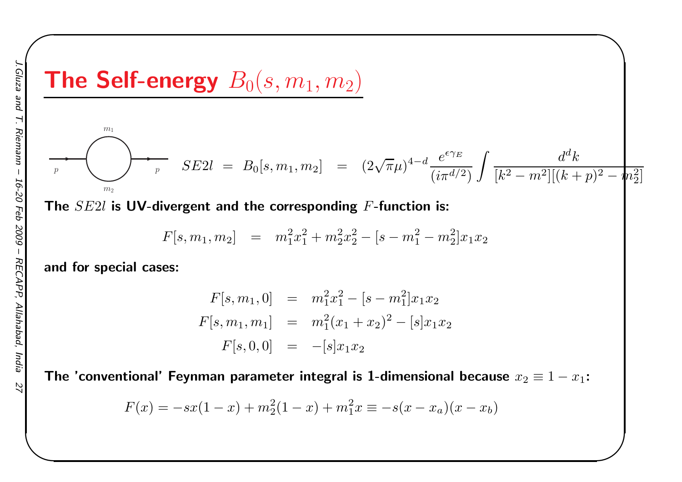# The Self-energy  $B_0(s, m_1, m_2)$

$$
\sum_{m_2} \sum_{m_2} SE2l = B_0[s, m_1, m_2] = (2\sqrt{\pi}\mu)^{4-d} \frac{e^{\epsilon \gamma_E}}{(i\pi^{d/2})} \int \frac{d^d k}{[k^2 - m^2][(k+p)^2 - m_2^2]}
$$

 $\begin{matrix} \hline \end{matrix}$ 

The  $SE2l$  is  $\mathsf{\textbf{UV}}\text{-}\mathsf{divergent}$  and the corresponding  $F\text{-}\mathsf{function}$  is:

$$
F[s, m_1, m_2] = m_1^2 x_1^2 + m_2^2 x_2^2 - [s - m_1^2 - m_2^2] x_1 x_2
$$

and for special cases:

 $m_1$ 

$$
F[s, m_1, 0] = m_1^2 x_1^2 - [s - m_1^2] x_1 x_2
$$
  

$$
F[s, m_1, m_1] = m_1^2 (x_1 + x_2)^2 - [s] x_1 x_2
$$
  

$$
F[s, 0, 0] = -[s] x_1 x_2
$$

The 'conventional' Feynman parameter integral is 1-dimensional because  $x_2\equiv1-x_1$ :

$$
F(x) = -sx(1-x) + m_2^2(1-x) + m_1^2x \equiv -s(x-x_a)(x-x_b)
$$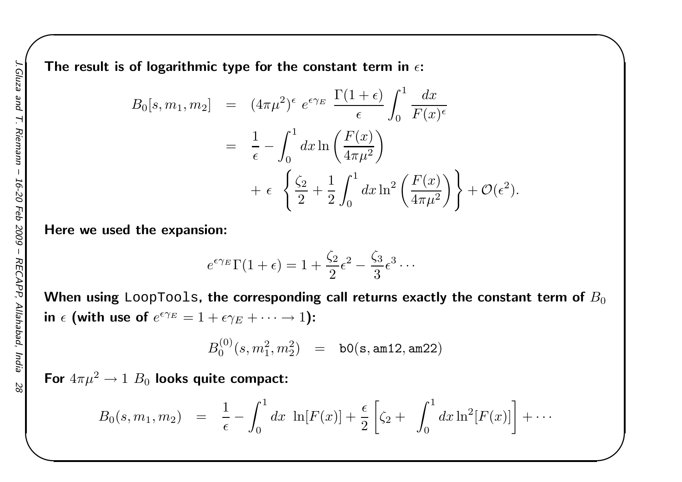The result is of logarithmic type for the constant term in  $\epsilon$ :

$$
B_0[s, m_1, m_2] = (4\pi\mu^2)^{\epsilon} e^{\epsilon \gamma_E} \frac{\Gamma(1+\epsilon)}{\epsilon} \int_0^1 \frac{dx}{F(x)^{\epsilon}}
$$
  

$$
= \frac{1}{\epsilon} - \int_0^1 dx \ln\left(\frac{F(x)}{4\pi\mu^2}\right)
$$
  

$$
+ \epsilon \left\{\frac{\zeta_2}{2} + \frac{1}{2} \int_0^1 dx \ln^2\left(\frac{F(x)}{4\pi\mu^2}\right) \right\} + \mathcal{O}(\epsilon^2).
$$

 $\begin{matrix} \hline \end{matrix}$ 

Here we used the expansion:

$$
e^{\epsilon \gamma_E} \Gamma(1+\epsilon) = 1 + \frac{\zeta_2}{2} \epsilon^2 - \frac{\zeta_3}{3} \epsilon^3 \cdots
$$

When using <code>LoopTools,</code> the corresponding call returns exactly the constant term of  $B_0$ in  $\epsilon$  (with use of  $e^{\epsilon \gamma_E} = 1 + \epsilon \gamma_E + \cdots \to 1$ ):

$$
B_0^{(0)}(s,m_1^2,m_2^2) \quad = \quad \texttt{b0(s, am12, am22)}
$$

For  $4\pi\mu^2\rightarrow 1$   $B_0$  looks quite compact:

$$
B_0(s, m_1, m_2) = \frac{1}{\epsilon} - \int_0^1 dx \ln[F(x)] + \frac{\epsilon}{2} \left[ \zeta_2 + \int_0^1 dx \ln^2[F(x)] \right] + \cdots
$$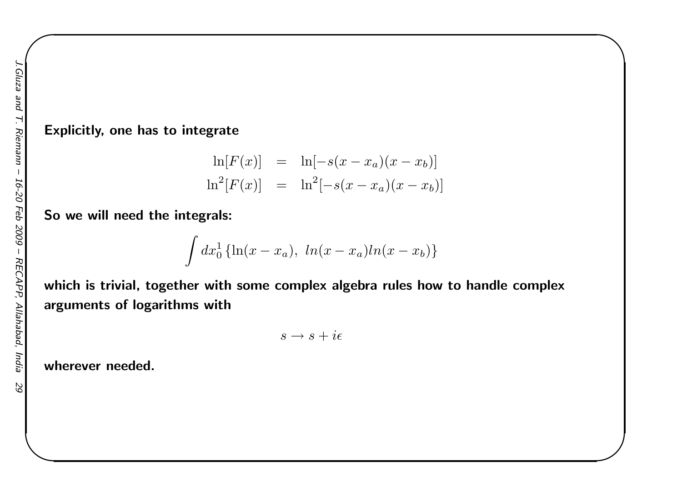#### Explicitly, one has to integrate

$$
\ln[F(x)] = \ln[-s(x - x_a)(x - x_b)]
$$
  

$$
\ln^{2}[F(x)] = \ln^{2}[-s(x - x_a)(x - x_b)]
$$

 $\begin{matrix} \hline \end{matrix}$ 

So we will need the integrals:

$$
\int dx_0^1 \left\{ \ln(x - x_a), \ln(x - x_a) \ln(x - x_b) \right\}
$$

which is trivial, together with some complex algebra rules how to handle complexarguments of logarithms with

$$
s \to s + i\epsilon
$$

wherever needed.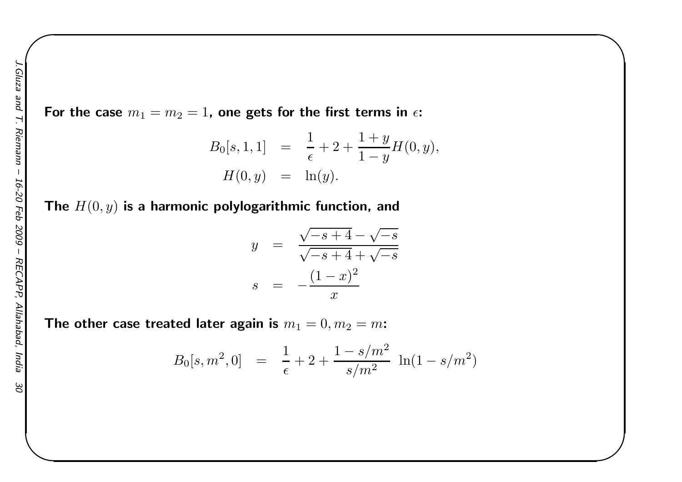For the case  $m_1=m_2=1$ , one gets for the first terms in  $\epsilon$ :

$$
B_0[s, 1, 1] = \frac{1}{\epsilon} + 2 + \frac{1+y}{1-y}H(0, y),
$$
  

$$
H(0, y) = \ln(y).
$$

 $\begin{matrix} \hline \end{matrix}$ 

The  $H(0, y)$  is a harmonic polylogarithmic function, and

$$
y = \frac{\sqrt{-s+4} - \sqrt{-s}}{\sqrt{-s+4} + \sqrt{-s}}
$$

$$
s = -\frac{(1-x)^2}{x}
$$

The other case treated later again is  $m_1 = 0, m_2=m$ :

$$
B_0[s, m^2, 0] \;\; = \;\; \frac{1}{\epsilon} + 2 + \frac{1 - s/m^2}{s/m^2} \; \ln(1 - s/m^2)
$$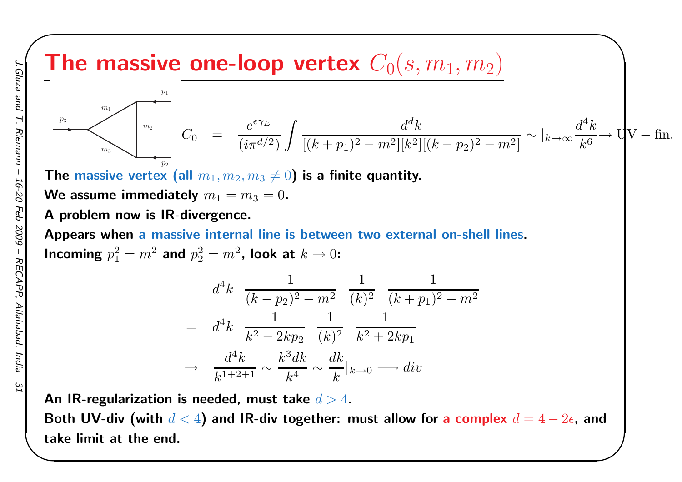### The massive one-loop vertex  $C_0(s, m_1, m_2)$

The massive one-loop vertex 
$$
C_0(s, m_1, m_2)
$$
  
\n
$$
\sum_{m_1=0}^{m_1} C_0 = \frac{e^{\epsilon \gamma_E}}{(i\pi^{d/2})} \int \frac{d^d k}{[(k+p_1)^2 - m^2][k^2][(k-p_2)^2 - m^2]} \sim |_{k \to \infty} \frac{d^4 k}{k^6} \to \frac{1}{V - \text{fin.}}
$$

The massive vertex (all  $m_1, m_2, m_3\neq 0$ ) is a finite quantity.

We assume immediately  $m_1 = m_3 = 0$ .

#### <sup>A</sup> problem now is IR-divergence.

Appears when <sup>a</sup> massive internal line is between two external on-shell lines. Incoming  $p_1^2 = m^2$  and  $p_2^2 = m^2$ , look at  $k \to 0$ :

$$
d^{4}k \frac{1}{(k-p_{2})^{2} - m^{2}} \frac{1}{(k)^{2}} \frac{1}{(k+p_{1})^{2} - m^{2}}
$$
  
= 
$$
d^{4}k \frac{1}{k^{2} - 2kp_{2}} \frac{1}{(k)^{2}} \frac{1}{k^{2} + 2kp_{1}}
$$
  

$$
\rightarrow \frac{d^{4}k}{k^{1+2+1}} \sim \frac{k^{3}dk}{k^{4}} \sim \frac{dk}{k}|_{k \to 0} \longrightarrow div
$$

An IR-regularization is needed, must take  $d>4.$ 

Both UV-div (with  $d < 4$ ) and IR-div together: must allow for a complex  $d = 4 - 2\epsilon$ , and take limit at the end.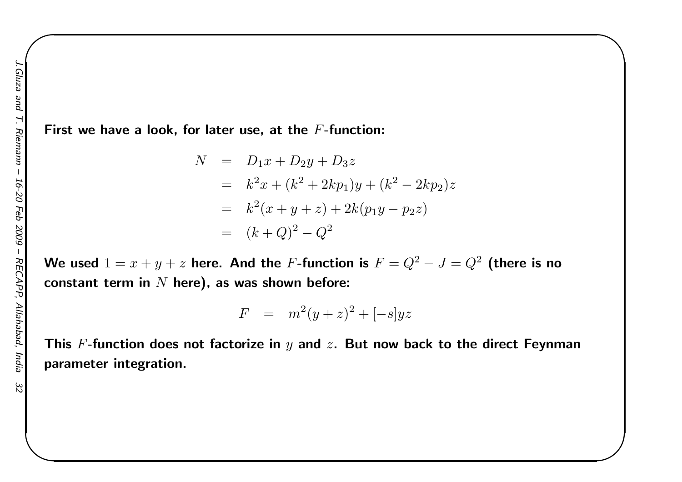ezn<sub>19</sub>

First we have a look, for later use, at the  $F\text{-}\mathsf{function}\text{:}$ 

$$
N = D_1x + D_2y + D_3z
$$
  
=  $k^2x + (k^2 + 2kp_1)y + (k^2 - 2kp_2)z$   
=  $k^2(x + y + z) + 2k(p_1y - p_2z)$   
=  $(k+Q)^2 - Q^2$ 

 $\begin{matrix} \hline \end{matrix}$ 

We used  $1=x+y+z$  here. And the  $F$ -function is  $F=Q^2-J=Q^2$  (there is no constant term in  $N$  here), as was shown before:

$$
F = m^2(y+z)^2 + [-s]yz
$$

This  $F\text{-}\mathsf{function}$  does not factorize in  $y$  and  $z.$  But now back to the direct Feynman parameter integration.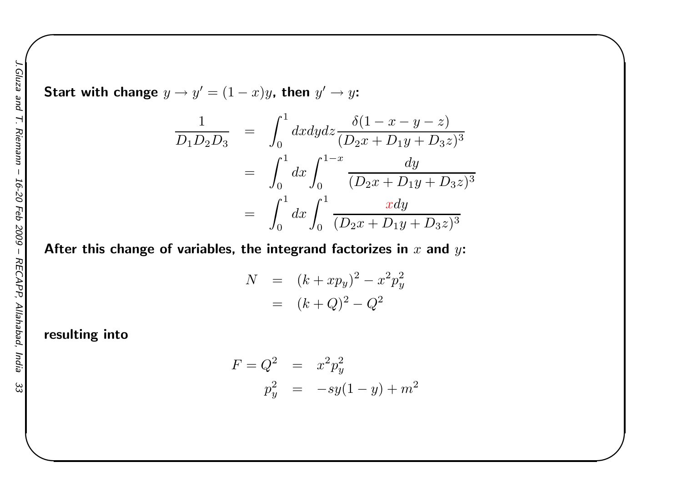Start with change  $y\rightarrow y'=(1$  $x)y$ , then  $y' \rightarrow y$ :

$$
\frac{1}{D_1 D_2 D_3} = \int_0^1 dx dy dz \frac{\delta(1 - x - y - z)}{(D_2 x + D_1 y + D_3 z)^3}
$$
  
= 
$$
\int_0^1 dx \int_0^{1-x} \frac{dy}{(D_2 x + D_1 y + D_3 z)^3}
$$
  
= 
$$
\int_0^1 dx \int_0^1 \frac{x dy}{(D_2 x + D_1 y + D_3 z)^3}
$$

 $\begin{matrix} \hline \end{matrix}$ 

After this change of variables, the integrand factorizes in  $x$  and  $y$ :

$$
N = (k + xp_y)^2 - x^2p_y^2
$$
  
=  $(k+Q)^2 - Q^2$ 

resulting into

$$
F = Q^2 = x^2 p_y^2
$$
  

$$
p_y^2 = -sy(1-y) + m^2
$$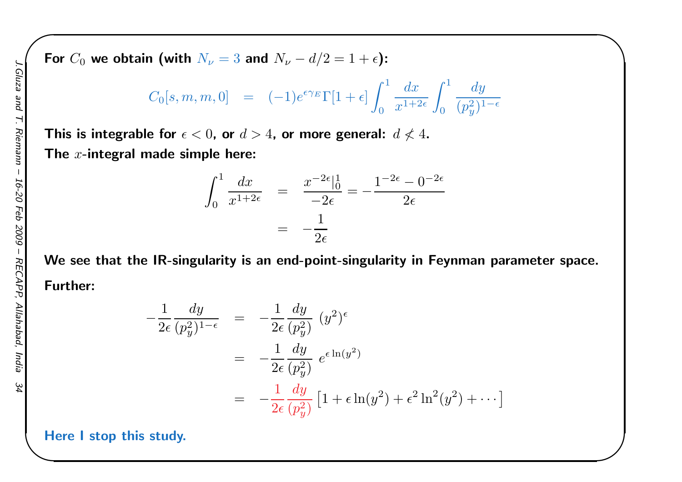For  $C_0$  we obtain (with  $N_{\nu}=3$  and  $N_{\nu} -d/2=1+\epsilon$ ):

$$
C_0[s,m,m,0] \quad = \quad (-1)e^{\epsilon \gamma_E} \Gamma[1+\epsilon] \int_0^1 \frac{dx}{x^{1+2\epsilon}} \int_0^1 \frac{dy}{(p_y^2)^{1-\epsilon}}
$$

 $\begin{matrix} \hline \end{matrix}$ 

This is integrable for  $\epsilon < 0$ , or  $d > 4$ , or more general:  $d \not < 4$ . The  $x\text{-integral}$  made simple here:

$$
\int_0^1 \frac{dx}{x^{1+2\epsilon}} = \frac{x^{-2\epsilon}|_0^1}{-2\epsilon} = -\frac{1^{-2\epsilon} - 0^{-2\epsilon}}{2\epsilon}
$$

$$
= -\frac{1}{2\epsilon}
$$

We see that the IR-singularity is an end-point-singularity in Feynman parameter space. Further:

$$
-\frac{1}{2\epsilon} \frac{dy}{(p_y^2)^{1-\epsilon}} = -\frac{1}{2\epsilon} \frac{dy}{(p_y^2)} (y^2)^{\epsilon}
$$
  

$$
= -\frac{1}{2\epsilon} \frac{dy}{(p_y^2)} e^{\epsilon \ln(y^2)}
$$
  

$$
= -\frac{1}{2\epsilon} \frac{dy}{(p_y^2)} [1 + \epsilon \ln(y^2) + \epsilon^2 \ln^2(y^2) + \cdots]
$$

Here <sup>I</sup> stop this study.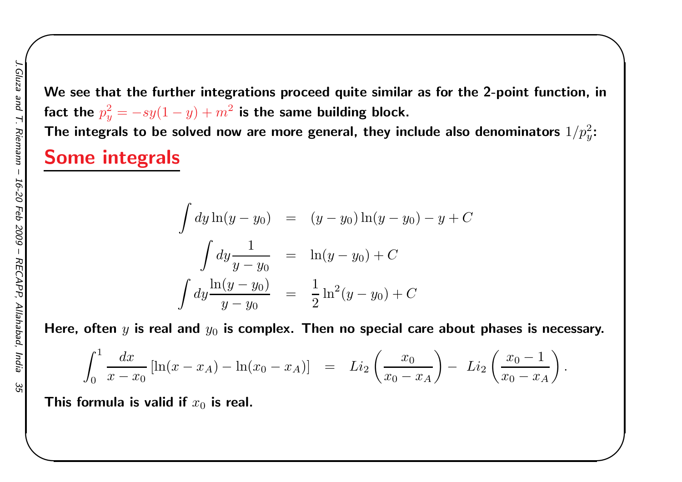16-20 Feb 6002 RECAPP,

We see that the further integrations proceed quite similar as for the 2-point function, infact the  $p_y^2=-sy(1-\alpha$ The integrals to be solved now are more general, they include also denominators  $1/p_y^2\mathrm{:}$  $y)+m^2$  is the same building block.

 $\begin{matrix} \hline \end{matrix}$ 

#### Some integrals

$$
\int dy \ln(y - y_0) = (y - y_0) \ln(y - y_0) - y + C
$$

$$
\int dy \frac{1}{y - y_0} = \ln(y - y_0) + C
$$

$$
\int dy \frac{\ln(y - y_0)}{y - y_0} = \frac{1}{2} \ln^2(y - y_0) + C
$$

Here, often  $y$  is real and  $y_0$  is complex. Then no special care about phases is necessary.

$$
\int_0^1 \frac{dx}{x - x_0} \left[ \ln(x - x_A) - \ln(x_0 - x_A) \right] = Li_2\left(\frac{x_0}{x_0 - x_A}\right) - Li_2\left(\frac{x_0 - 1}{x_0 - x_A}\right).
$$

This formula is valid if  $x_0$  is real.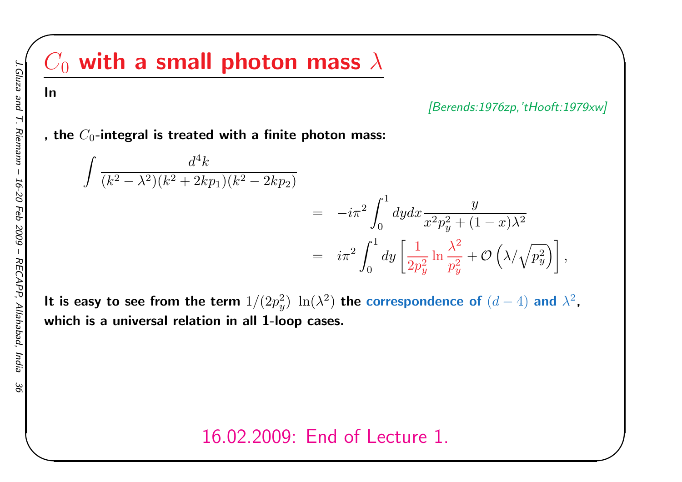# $C_0$  with a small photon mass  $\lambda$

[Berends:1976zp,'tHooft:1979xw]

 $\begin{matrix} \hline \end{matrix}$ 

, the  $C_0\text{-}$ integral is treated with a finite photon mass:

$$
\int \frac{d^4k}{(k^2 - \lambda^2)(k^2 + 2kp_1)(k^2 - 2kp_2)}\n= -i\pi^2 \int_0^1 dy dx \frac{y}{x^2 p_y^2 + (1 - x)\lambda^2}\n= i\pi^2 \int_0^1 dy \left[ \frac{1}{2p_y^2} \ln \frac{\lambda^2}{p_y^2} + \mathcal{O}\left(\lambda/\sqrt{p_y^2}\right) \right],
$$

It is easy to see from the term  $1/(2p_y^2)$  which is <sup>a</sup> universal relation in all 1-loop cases.  $y^2$ )  $\ln(\lambda^2)$  the correspondence of  $(d)$  $-4)$  and  $\lambda^2$ ,

16.02.2009: End of Lecture 1.

In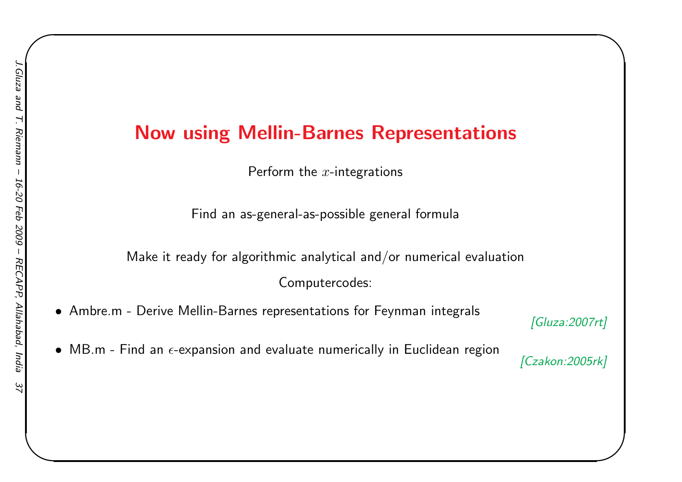### Now using Mellin-Barnes Representations

Perform the  $x\text{-}$ integrations

Find an as-general-as-possible genera<sup>l</sup> formula

Make it ready for algorithmic analytical and/or numerical evaluationComputercodes:

- Ambre.m Derive Mellin-Barnes representations for Feynman integrals  ${\it [Gluza:2007rt]}$
- $\bullet\,$  MB.m Find an  $\epsilon$ -expansion and evaluate numerically in Euclidean region

 $\begin{matrix} \hline \end{matrix}$ 

[Czakon: 2005rk]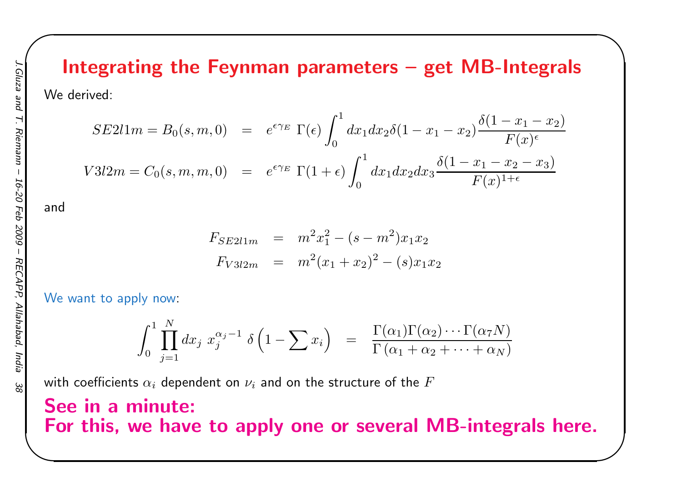# Integrating the Feynman parameters – get MB-Integrals

 $\begin{matrix} \hline \end{matrix}$ 

We derived:

$$
SE211m = B_0(s, m, 0) = e^{\epsilon \gamma_E} \Gamma(\epsilon) \int_0^1 dx_1 dx_2 \delta(1 - x_1 - x_2) \frac{\delta(1 - x_1 - x_2)}{F(x)^{\epsilon}}
$$
  

$$
V312m = C_0(s, m, m, 0) = e^{\epsilon \gamma_E} \Gamma(1 + \epsilon) \int_0^1 dx_1 dx_2 dx_3 \frac{\delta(1 - x_1 - x_2 - x_3)}{F(x)^{1 + \epsilon}}
$$

and

$$
F_{SE2l1m} = m^2 x_1^2 - (s - m^2) x_1 x_2
$$
  

$$
F_{V3l2m} = m^2 (x_1 + x_2)^2 - (s) x_1 x_2
$$

We want to apply now:

$$
\int_0^1 \prod_{j=1}^N dx_j x_j^{\alpha_j-1} \delta\left(1-\sum x_i\right) = \frac{\Gamma(\alpha_1)\Gamma(\alpha_2)\cdots\Gamma(\alpha_7 N)}{\Gamma(\alpha_1+\alpha_2+\cdots+\alpha_N)}
$$

with coefficients  $\alpha_i$  dependent on  $\nu_i$  and on the structure of the  $F$ 

### See in <sup>a</sup> minute: For this, we have to apply one or several MB-integrals here.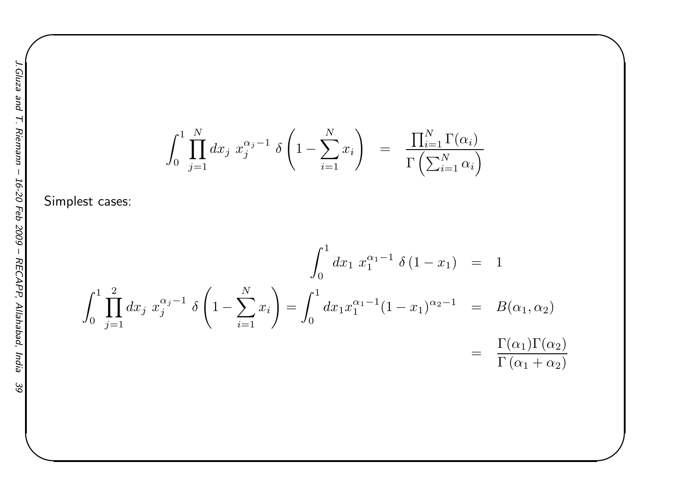$$
\int_0^1 \prod_{j=1}^N dx_j x_j^{\alpha_j - 1} \delta \left( 1 - \sum_{i=1}^N x_i \right) = \frac{\prod_{i=1}^N \Gamma(\alpha_i)}{\Gamma(\sum_{i=1}^N \alpha_i)}
$$

 $\begin{matrix} \hline \end{matrix}$ 

Simplest cases:

$$
\int_0^1 dx_1 x_1^{\alpha_1 - 1} \delta(1 - x_1) = 1
$$
  

$$
\int_0^1 dx_1 x_1^{\alpha_1 - 1} \delta(1 - x_1) = 1
$$
  

$$
\int_0^1 dx_1 x_1^{\alpha_1 - 1} (1 - x_1)^{\alpha_2 - 1} = B(\alpha_1, \alpha_2)
$$
  

$$
= \frac{\Gamma(\alpha_1) \Gamma(\alpha_2)}{\Gamma(\alpha_1 + \alpha_2)}
$$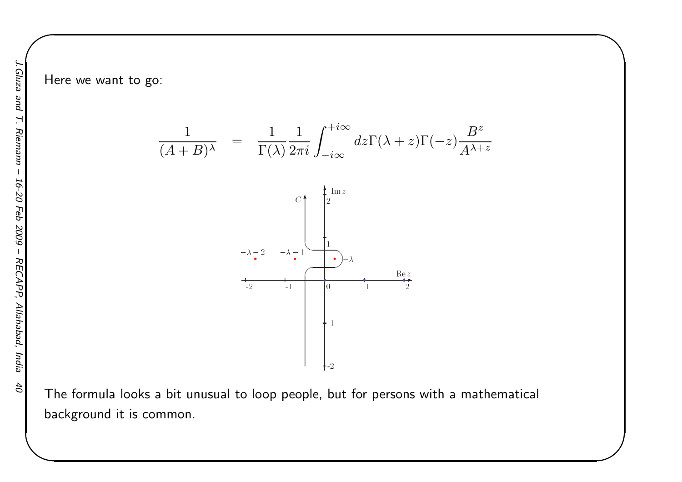Here we want to go:



 $\begin{matrix} \hline \end{matrix}$ 

z

z

The formula looks <sup>a</sup> bit unusual to loop people, but for persons with <sup>a</sup> mathematical background it is common.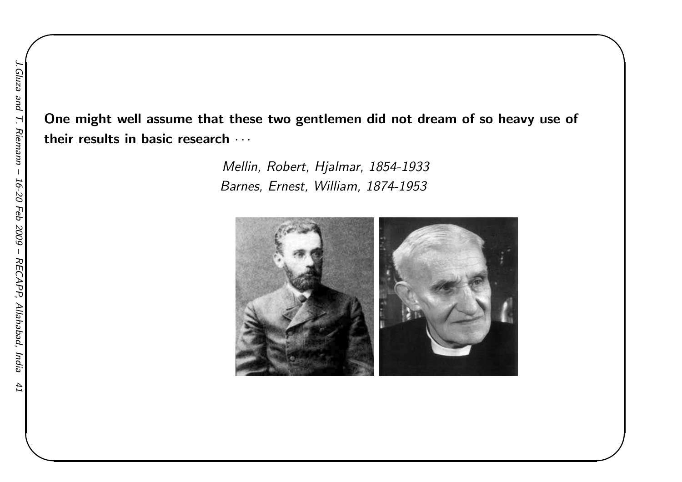One might well assume that these two gentlemen did not dream of so heavy use of their results in basic research  $\cdots$ 

> Mellin, Robert, Hjalmar, 1854-1933Barnes, Ernest, William, 1874-1953

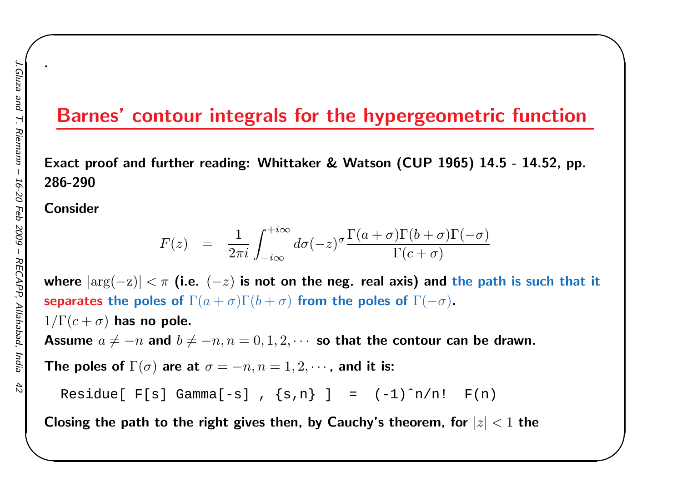### Barnes' contour integrals for the hypergeometric function

 $\begin{matrix} \hline \end{matrix}$ 

Exact proof and further reading: Whittaker & Watson (CUP 1965) 14.5 - 14.52, pp. 286-290

Consider

.

$$
F(z) = \frac{1}{2\pi i} \int_{-i\infty}^{+i\infty} d\sigma(-z)^\sigma \frac{\Gamma(a+\sigma)\Gamma(b+\sigma)\Gamma(-\sigma)}{\Gamma(c+\sigma)}
$$

where  $|\text{arg}(-\mathrm{z})| < \pi$  (i.e.  $(-z)$  is not on the neg. real axis) and the path is such that it separates the poles of  $\Gamma(a+\sigma)\Gamma(b+\sigma)$  from the poles of  $\Gamma($  $-\sigma)$ .

 $1/\Gamma(c+\sigma)$  has no pole.

Assume  $a\neq-n$  and  $b\neq-n, n=0, 1, 2, \cdots$  so that the contour can be drawn.

The poles of  $\Gamma(\sigma)$  are at  $\sigma=-n, n=1, 2, \cdots$ , and it is:

Residue[  $F[s]$  Gamma[-s],  $\{s,n\}$  ] =  $(-1)^n/n!$   $F(n)$ 

Closing the path to the right gives then, by Cauchy's theorem, for  $\vert z \vert < 1$  the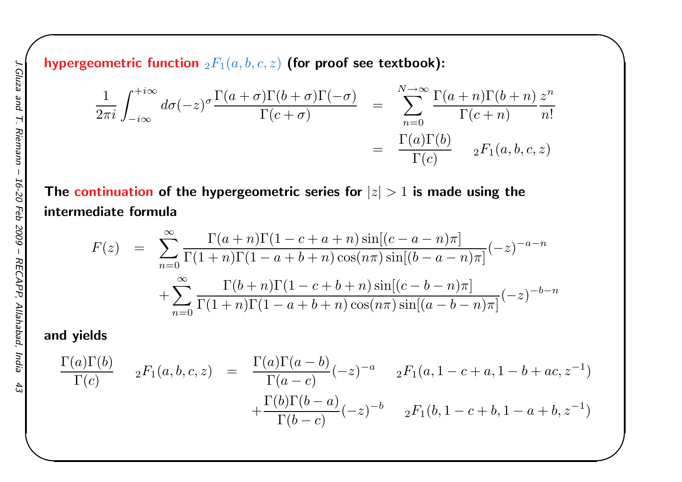hypergeometric function  $_2F_1(a, b, c, z)$  (for proof see textbook):

$$
\frac{1}{2\pi i} \int_{-i\infty}^{+i\infty} d\sigma(-z)^{\sigma} \frac{\Gamma(a+\sigma)\Gamma(b+\sigma)\Gamma(-\sigma)}{\Gamma(c+\sigma)} = \sum_{n=0}^{N\to\infty} \frac{\Gamma(a+n)\Gamma(b+n)}{\Gamma(c+n)} \frac{z^n}{n!}
$$

$$
= \frac{\Gamma(a)\Gamma(b)}{\Gamma(c)} \qquad {}_2F_1(a,b,c,z)
$$

 $\begin{matrix} \hline \end{matrix}$ 

The continuation of the hypergeometric series for  $\vert z\vert>1$  is made using the intermediate formula

$$
F(z) = \sum_{n=0}^{\infty} \frac{\Gamma(a+n)\Gamma(1-c+a+n)\sin[(c-a-n)\pi]}{\Gamma(1+n)\Gamma(1-a+b+n)\cos(n\pi)\sin[(b-a-n)\pi]}(-z)^{-a-n} + \sum_{n=0}^{\infty} \frac{\Gamma(b+n)\Gamma(1-c+b+n)\sin[(c-b-n)\pi]}{\Gamma(1+n)\Gamma(1-a+b+n)\cos(n\pi)\sin[(a-b-n)\pi]}(-z)^{-b-n}
$$

#### and <sup>y</sup>ields

$$
\frac{\Gamma(a)\Gamma(b)}{\Gamma(c)} \quad {}_{2}F_{1}(a,b,c,z) = \frac{\Gamma(a)\Gamma(a-b)}{\Gamma(a-c)}(-z)^{-a} \quad {}_{2}F_{1}(a,1-c+a,1-b+ac,z^{-1})
$$

$$
+\frac{\Gamma(b)\Gamma(b-a)}{\Gamma(b-c)}(-z)^{-b} \quad {}_{2}F_{1}(b,1-c+b,1-a+b,z^{-1})
$$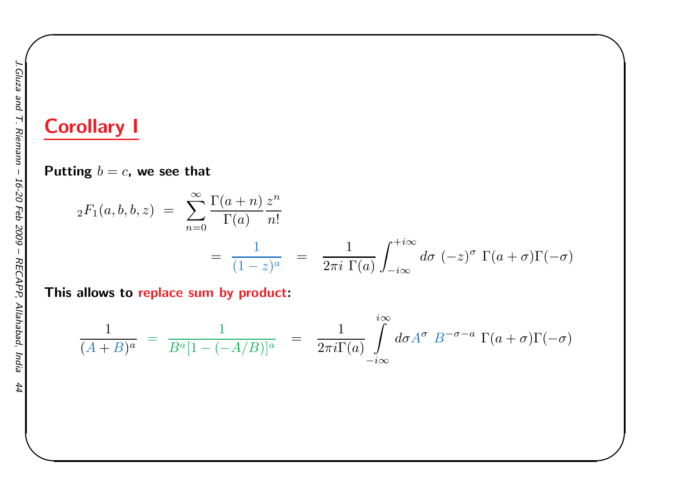# Corollary <sup>I</sup>

Putting  $b=c$ , we see that

$$
{}_2F_1(a,b,b,z) = \sum_{n=0}^{\infty} \frac{\Gamma(a+n)}{\Gamma(a)} \frac{z^n}{n!}
$$
  
= 
$$
\frac{1}{(1-z)^a} = \frac{1}{2\pi i} \int_{-i\infty}^{+i\infty} d\sigma \, (-z)^{\sigma} \, \Gamma(a+\sigma) \Gamma(-\sigma)
$$

 $\begin{matrix} \hline \end{matrix}$ 

This allows to <mark>repl</mark>ace sum by product:

$$
\frac{1}{(A+B)^a} = \frac{1}{B^a[1-(-A/B)]^a} = \frac{1}{2\pi i \Gamma(a)} \int_{-i\infty}^{i\infty} d\sigma A^{\sigma} B^{-\sigma-a} \Gamma(a+\sigma) \Gamma(-\sigma)
$$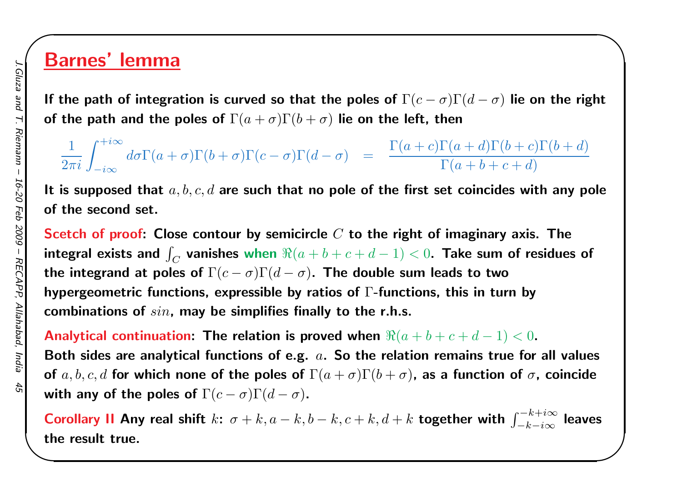## Barnes' lemma

If the path of integration is curved so that the poles of  $\Gamma(c-\sigma)\Gamma(d-\sigma)$  lie on the right of the path and the poles of  $\Gamma(a+\sigma)\Gamma(b+\sigma)$  lie on the left, then

 $\begin{matrix} \hline \end{matrix}$ 

1 $\frac{1}{2\pi i}\int_{-i\infty}^{+i\infty}$  $-i\infty$  $d\sigma\Gamma(a$  $+ \sigma) \Gamma(b$  $(b+\sigma)\Gamma(c)$  $\sigma$ ) $\Gamma(d$  $\sigma$ ) =  $\frac{\Gamma(a)}{a}$  $\, + \,$  $c)\Gamma(a$  $\, + \,$  $d) \Gamma(b$  $\frac{b+1}{b+1}$  $c) \Gamma(b$  $\frac{b+1}{b+1}$  $\frac{\Gamma(a+d)\Gamma(b+c)\Gamma(b+d)}{\Gamma(a+b+c+d)}$ 

It is supposed that  $a,b,c,d$  are such that no pole of the first set coincides with any pole of the second set.

Scetch of proof: Close contour by semicircle  $C$  to the right of imaginary axis. The integral exists and  $\int_C$ the integrand at poles of  $\Gamma(c-\sigma)\Gamma(d-\sigma)$ . The double su  $\overline{C}$  vanishes when  $\Re(a+b+c+d (-1)$   $<$   $0$ . Take sum of residues of hypergeometric functions, expressible by ratios of  $\Gamma$ -functions, this in turn by  $\sigma)$ . The double sum leads to two combinations of sin, may be simplifies finally to the r.h.s.

Analytical continuation: The relation is proved when  $\Re(a+b+c+d-\,1)$ Both sides are analytical functions of e.g.  $\,a.\,$  So the relation remains true for all values  $(1) < 0.$ of  $a,b,c,d$  for which none of the poles of  $\Gamma(a+\sigma)\Gamma(b+\sigma)$ , as a function of  $\sigma$ , coincide with any of the poles of  $\Gamma(c-\sigma)\Gamma(d-\sigma).$ 

Corollary II Any real shift  $k$ :  $\sigma + k, a - k, b - k, c + k, d + k$  together with  $\int_{-l}^{-}$ k $k+i\infty$  $-k{-}i\infty$  $\int_{\infty}^{\infty}$  leaves the result true.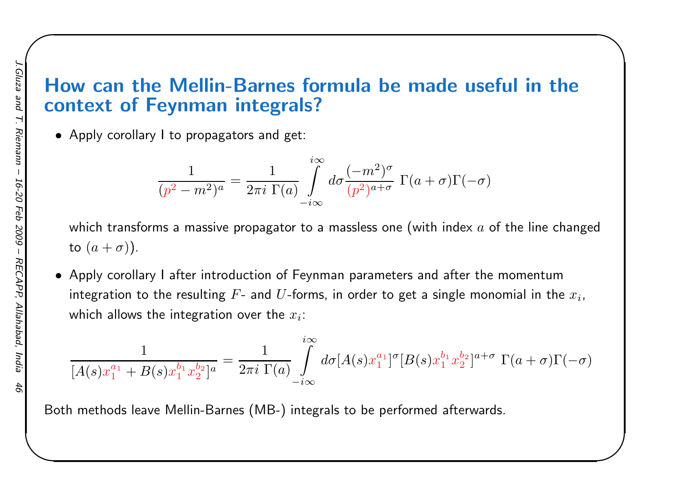### How can the Mellin-Barnes formula be made useful in thecontext of Feynman integrals?

 $\begin{matrix} \hline \end{matrix}$ 

• Apply corollary <sup>I</sup> to propagators and get:

$$
\frac{1}{(p^2 - m^2)^a} = \frac{1}{2\pi i} \prod_{\substack{\text{odd } \\ \text{odd } \\ \text{odd}}} \int_{-i\infty}^{i\infty} d\sigma \frac{(-m^2)^{\sigma}}{(p^2)^{a+\sigma}} \Gamma(a+\sigma)\Gamma(-\sigma)
$$

which transforms a massive propagator to a massless one (with index  $a$  of the line changed to  $(a+\sigma)$ ).

• Apply corollary <sup>I</sup> after introduction of Feynman parameters and after the momentumintegration to the resulting  $F\text{-}$  and  $U\text{-}$ forms, in order to get a single monomial in the  $x_i$ , which allows the integration over the  $x_i$ :

$$
\frac{1}{[A(s)x_1^{a_1} + B(s)x_1^{b_1}x_2^{b_2}]^a} = \frac{1}{2\pi i \ \Gamma(a)} \int\limits_{-i\infty}^{i\infty} d\sigma [A(s)x_1^{a_1}]^{\sigma} [B(s)x_1^{b_1}x_2^{b_2}]^{a+\sigma} \ \Gamma(a+\sigma)\Gamma(-\sigma)
$$

Both methods leave Mellin-Barnes (MB-) integrals to be performed afterwards.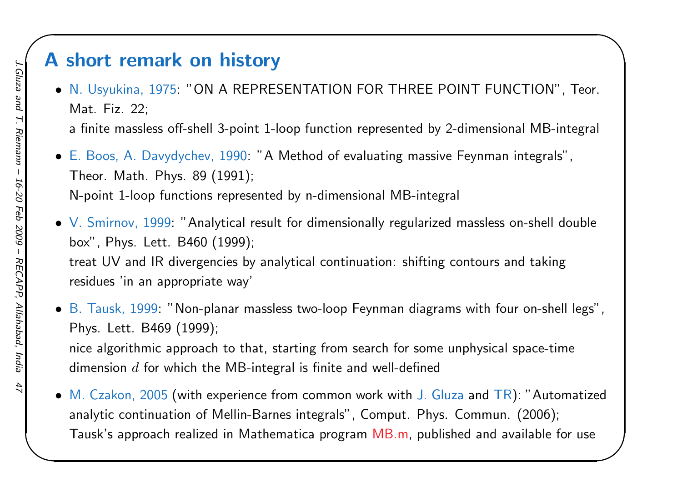### <sup>A</sup> short remark on history

• N. Usyukina, 1975: "ON <sup>A</sup> REPRESENTATION FOR THREE POINT FUNCTION", Teor. Mat. Fiz. 22;

 $\begin{matrix} \hline \end{matrix}$ 

<sup>a</sup> finite massless off-shell 3-point 1-loop function represented by 2-dimensional MB-integral

• E. Boos, A. Davydychev, 1990: "A Method of evaluating massive Feynman integrals", Theor. Math. Phys. <sup>89</sup> (1991); N-point 1-loop functions represented by n-dimensional MB-integral

 $\bullet\,$  V. Smirnov,  $1999\!$ : "Analytical result for dimensionally regularized massless on-shell double box", Phys. Lett. B460 (1999); treat UV and IR divergencies by analytical continuation: shifting contours and takingresidues 'in an appropriate way'

 $\bullet\,$  B. Tausk, 1999: "Non-planar massless two-loop Feynman diagrams with four on-shell legs", Phys. Lett. B469 (1999);

nice algorithmic approach to that, starting from search for some unphysical space-timedimension  $d$  for which the MB-integral is finite and well-defined

 $\bullet\,$  M. Czakon, 2005 (with experience from common work with J. Gluza and TR): "Automatized analytic continuation of Mellin-Barnes integrals", Comput. Phys. Commun. (2006); Tausk's approach realized in Mathematica program MB.m, published and available for use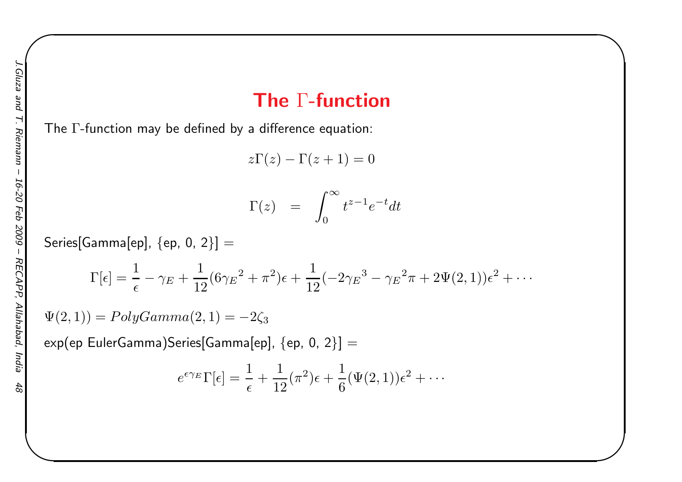## The  $\Gamma\text{-}\mathsf{function}$

 $\begin{matrix} \hline \end{matrix}$ 

The  $\Gamma$ -function may be defined by a difference equation:

 $z\Gamma(z) - \Gamma(z+1) = 0$ 

$$
\Gamma(z) = \int_0^\infty t^{z-1} e^{-t} dt
$$

 $\sf Series[Gamma[ep],\,\{ep,\,0,\,2\}]=$ 

$$
\Gamma[\epsilon] = \frac{1}{\epsilon} - \gamma_E + \frac{1}{12} (6\gamma_E^2 + \pi^2)\epsilon + \frac{1}{12} (-2\gamma_E^3 - \gamma_E^2 \pi + 2\Psi(2, 1))\epsilon^2 + \cdots
$$

 $\Psi(2,1))=PolyGamma(2,1)=$  $-2\zeta_3$ 

 $\exp(\textsf{ep EulerGamma})$ Series[Gamma[ep],  $\{\textsf{ep, 0, 2}\}] =$ 

$$
e^{\epsilon \gamma_E} \Gamma[\epsilon] = \frac{1}{\epsilon} + \frac{1}{12} (\pi^2) \epsilon + \frac{1}{6} (\Psi(2, 1)) \epsilon^2 + \cdots
$$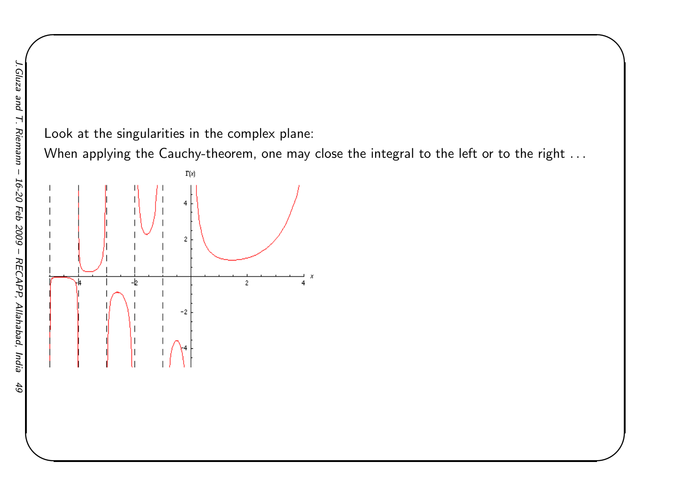#### Look at the singularities in the complex plane:

When applying the Cauchy-theorem, one may close the integral to the left or to the right . . .

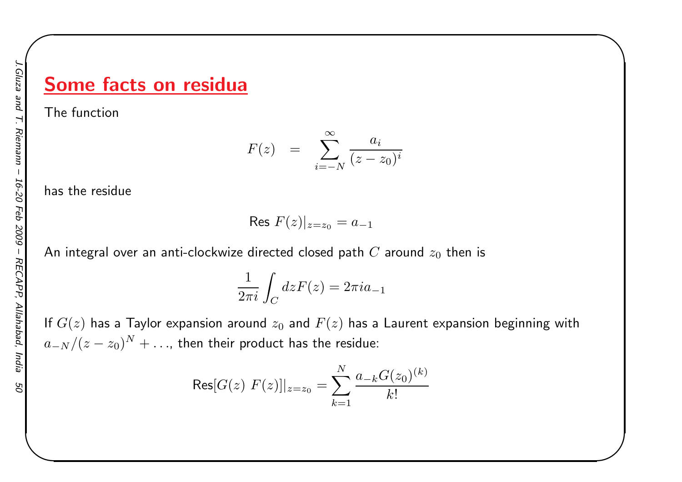## Some facts on residua

The function

$$
F(z) = \sum_{i=-N}^{\infty} \frac{a_i}{(z-z_0)^i}
$$

 $\begin{matrix} \hline \end{matrix}$ 

has the residue

Res 
$$
F(z)|_{z=z_0} = a_{-1}
$$

An integral over an anti-clockwize directed closed path  $C$  around  $z_0$  then is

$$
\frac{1}{2\pi i} \int_C dz F(z) = 2\pi i a_{-1}
$$

If  $G(z)$  has a Taylor expansion around  $z_{0}$  and  $F(z)$  has a Laurent expansion beginning with  $a_{-N}/(z-z_0)^N$  $1^N + \ldots$ , then their product has the residue:

$$
\operatorname{Res}[G(z) \ F(z)]|_{z=z_0} = \sum_{k=1}^{N} \frac{a_{-k} G(z_0)^{(k)}}{k!}
$$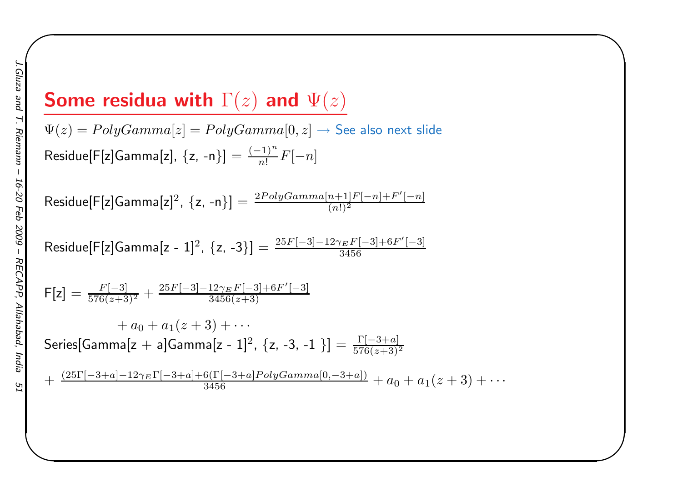# Some residua with  $\Gamma(z)$  and  $\Psi(z)$

 $\Psi(z)=PolyGamma[z]=PolyGamma[0,z]\rightarrow$  See also next slide  $\mathsf{Residue[F[z]Gamma[x], \: \{z,\, -n\}]} = \frac{(-1)}{n!}$  $\, n \,$  $\frac{(-1)}{n!}F[-n]$ 

$$
\textsf{Residue[F[z]Gamma[z]^2, \: \{z,\,-n\}]} = \tfrac{2PolyGamma[n+1]F[-n]+F'[-n]}{(n!)^2}
$$

Residue[F[z]Gamma[z - 1]<sup>2</sup>, {z, -3}] = 
$$
\frac{25F[-3]-12\gamma_E F[-3]+6F'[-3]}{3456}
$$

$$
\mathsf{F}[\mathsf{z}] = \frac{F[-3]}{576(z+3)^2} + \frac{25F[-3]-12\gamma_E F[-3]+6F'[-3]}{3456(z+3)}
$$

$$
+ a_0 + a_1(z+3) + \cdots
$$
  
Series[Gamma[z + a]Gamma[z - 1]<sup>2</sup>, {z, -3, -1}] =  $\frac{\Gamma[-3+a]}{576(z+3)^2}$ 

$$
+\frac{(25\Gamma[-3+a]-12\gamma_E\Gamma[-3+a]+6(\Gamma[-3+a]PolyGamma0,-3+a])}{3456}+a_0+a_1(z+3)+\cdots
$$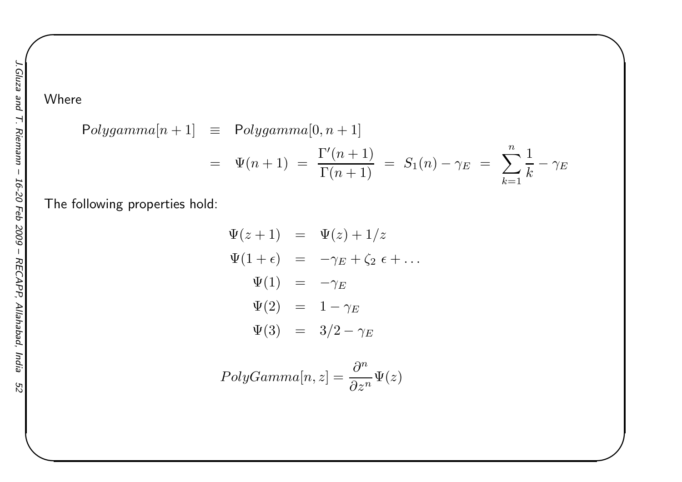### Where

$$
Polygamma[n+1] \equiv Polygamma[0, n+1]
$$
  
=  $\Psi(n+1) = \frac{\Gamma'(n+1)}{\Gamma(n+1)} = S_1(n) - \gamma_E = \sum_{k=1}^n \frac{1}{k} - \gamma_E$ 

 $\begin{matrix} \hline \end{matrix}$ 

The following properties hold:

$$
\Psi(z+1) = \Psi(z) + 1/z
$$
  
\n
$$
\Psi(1+\epsilon) = -\gamma_E + \zeta_2 \epsilon + \dots
$$
  
\n
$$
\Psi(1) = -\gamma_E
$$
  
\n
$$
\Psi(2) = 1 - \gamma_E
$$
  
\n
$$
\Psi(3) = 3/2 - \gamma_E
$$

$$
PolyGamma[n, z] = \frac{\partial^n}{\partial z^n} \Psi(z)
$$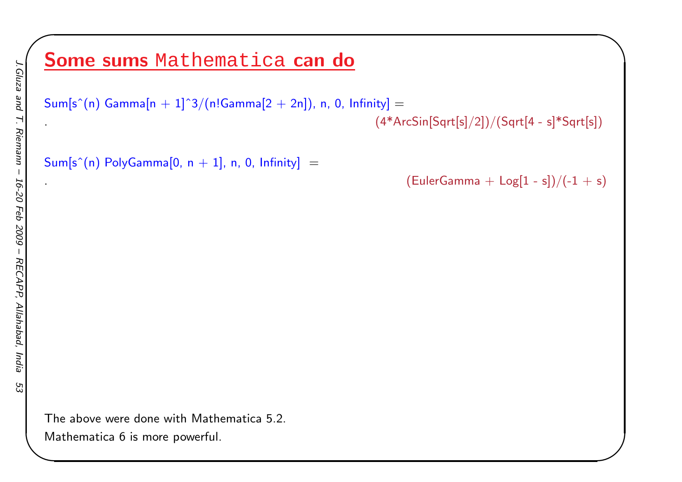# <mark>Some sums</mark> Mathematica <mark>can do</mark>

 $\mathsf{Sum}[\mathsf{s}^\smallfrown(\mathsf{n}) \; \mathsf{Gamma}[\mathsf{n}+1]^\smallfrown 3/(\mathsf{n}!\mathsf{Gamma}[2+2\mathsf{n}]),$   $\mathsf{n}, \; \mathsf{0}, \; \mathsf{Infinity}] =$ 

.  $(4*{\sf ArcSin[Sqrt[s]/2]})/({\sf Sqrt[4-s]}*{\sf Sqrt[s]})$ 

 $\mathsf{Sum}[\mathsf{s}^{\smallfrown}(\mathsf{n})\; \mathsf{PolyGamma}[\mathsf{0},\, \mathsf{n+1}],\, \mathsf{n},\, \mathsf{0},\, \mathsf{Infinity}] \;=\;$ 

 $(EulerGamma + Log[1 - s])/(-1 + s)$ 

✬

The above were done with Mathematica 5.2.

Mathematica <sup>6</sup> is more powerful.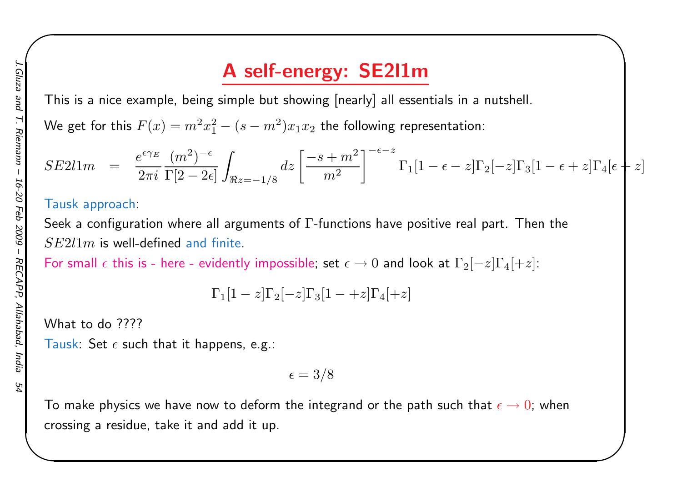## <sup>A</sup> self-energy: SE2l1m

This is <sup>a</sup> nice example, being simple but showing [nearly] all essentials in <sup>a</sup> nutshell.

We get for this  $F(x) = m^2x_1^2 - (s)$  $m^2)x_1x_2$  the following representation:

$$
SE211m = \frac{e^{\epsilon \gamma_E}}{2\pi i} \frac{(m^2)^{-\epsilon}}{\Gamma[2-2\epsilon]} \int_{\Re z=-1/8} dz \left[ \frac{-s+m^2}{m^2} \right]^{-\epsilon-z} \Gamma_1[1-\epsilon-z] \Gamma_2[-z] \Gamma_3[1-\epsilon+z] \Gamma_4[\epsilon+z]
$$

 $\begin{matrix} \hline \end{matrix}$ 

#### Tausk approach:

Seek a configuration where all arguments of  $\Gamma$ -functions have positive real part. Then the  $SE2l1m$ 

 $SE2l1m$  is well-defined and finite.<br>For small  $\epsilon$  this is - here - evidently impossible; set  $\epsilon\to 0$  and look at  $\Gamma_2[-z]\Gamma_4[+z]$ :

$$
\Gamma_1[1-z]\Gamma_2[-z]\Gamma_3[1-+z]\Gamma_4[+z]
$$

What to do ????

```
Tausk: Set \epsilon such that it happens, e.g.:
```

$$
\epsilon = 3/8
$$

To make physics we have now to deform the integrand or the path such that  $\epsilon\to 0$ ; when crossing <sup>a</sup> residue, take it and add it up.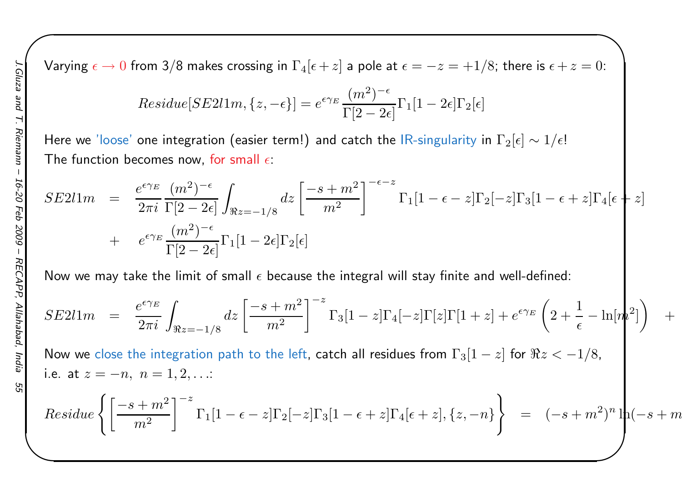Varying  $\epsilon \to 0$  from 3/8 makes crossing in  $\Gamma_4[\epsilon+z]$  a pole at  $\epsilon=-z=+1/8;$  there is  $\epsilon+z=0$ :

 $\begin{matrix} \hline \end{matrix}$ 

$$
Residue[SE211m, \{z, -\epsilon\}] = e^{\epsilon \gamma_E} \frac{(m^2)^{-\epsilon}}{\Gamma[2 - 2\epsilon]} \Gamma_1[1 - 2\epsilon] \Gamma_2[\epsilon]
$$

Here we 'loose' one integration (easier term!) and catch the IR-singularity in  $\Gamma_2[\epsilon]\sim 1/\epsilon!$ The function becomes now, for small  $\epsilon$ :

$$
SE211m = \frac{e^{\epsilon \gamma_E} (m^2)^{-\epsilon}}{2\pi i} \int_{\Re z = -1/8} dz \left[ \frac{-s + m^2}{m^2} \right]^{-\epsilon - z} \Gamma_1[1 - \epsilon - z] \Gamma_2[-z] \Gamma_3[1 - \epsilon + z] \Gamma_4[\epsilon + z]
$$
  
+ 
$$
e^{\epsilon \gamma_E} \frac{(m^2)^{-\epsilon}}{\Gamma[2 - 2\epsilon]} \Gamma_1[1 - 2\epsilon] \Gamma_2[\epsilon]
$$

Now we may take the limit of small  $\epsilon$  because the integral will stay finite and well-defined:

$$
SE211m = \frac{e^{\epsilon \gamma_E}}{2\pi i} \int_{\Re z = -1/8} dz \left[ \frac{-s + m^2}{m^2} \right]^{-z} \Gamma_3[1 - z] \Gamma_4[-z] \Gamma[z] \Gamma[1 + z] + e^{\epsilon \gamma_E} \left( 2 + \frac{1}{\epsilon} - \ln[m^2] \right) +
$$

Now we close the integration path to the left, catch all residues from  $\Gamma_3[1-z]$  for  $\Re z<-1/8$ , i.e. at  $z=-n, n = 1, 2, ...$ 

$$
Residue\left\{ \left[ \frac{-s+m^2}{m^2} \right]^{-z} \Gamma_1[1-\epsilon-z] \Gamma_2[-z] \Gamma_3[1-\epsilon+z] \Gamma_4[\epsilon+z], \{z,-n\} \right\} = (-s+m^2)^n \ln(-s+m^2)
$$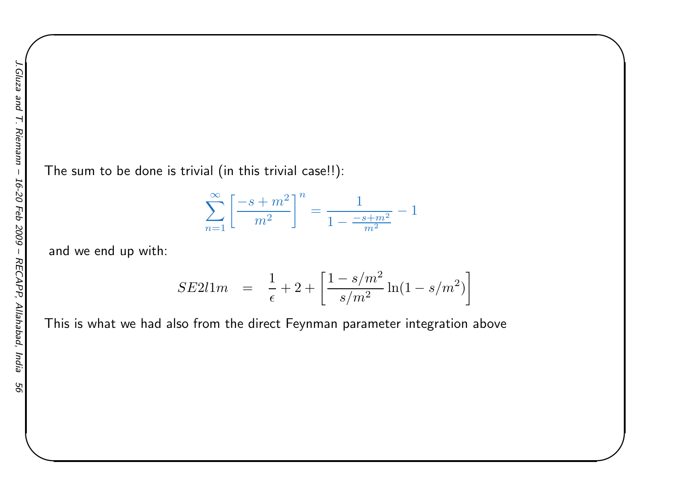The sum to be done is trivial (in this trivial case!!):

$$
\sum_{n=1}^{\infty} \left[ \frac{-s+m^2}{m^2} \right]^n = \frac{1}{1 - \frac{-s+m^2}{m^2}} - 1
$$

 $\begin{matrix} \hline \end{matrix}$ 

and we end up with:

$$
SE2l1m = \frac{1}{\epsilon} + 2 + \left[ \frac{1 - s/m^2}{s/m^2} \ln(1 - s/m^2) \right]
$$

This is what we had also from the direct Feynman parameter integration above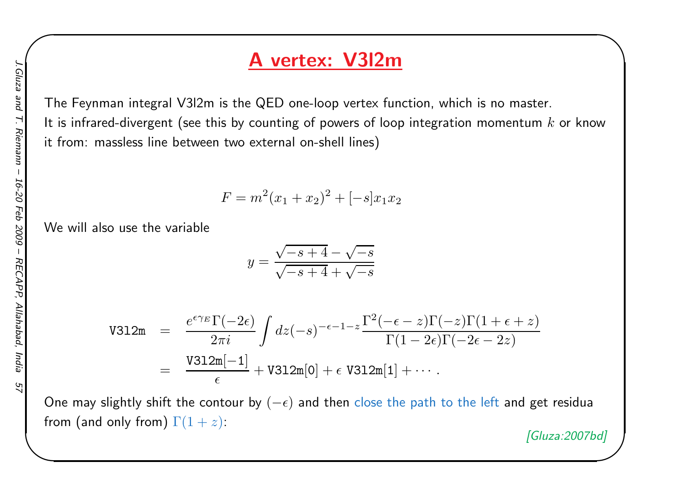### <sup>A</sup> vertex: V3l2m

The Feynman integral V3l2m is the QED one-loop vertex function, which is no master. It is infrared-divergent (see this by counting of powers of loop integration momentum  $k$  or know it from: massless line between two external on-shell lines)

$$
F = m^2(x_1 + x_2)^2 + [-s]x_1x_2
$$

We will also use the variable

$$
y = \frac{\sqrt{-s+4} - \sqrt{-s}}{\sqrt{-s+4} + \sqrt{-s}}
$$

$$
\begin{array}{rcl}\n\texttt{V312m} &=& \frac{e^{\epsilon \gamma_E} \Gamma(-2\epsilon)}{2\pi i} \int dz(-s)^{-\epsilon - 1 - z} \frac{\Gamma^2(-\epsilon - z) \Gamma(-z) \Gamma(1 + \epsilon + z)}{\Gamma(1 - 2\epsilon) \Gamma(-2\epsilon - 2z)} \\
&=& \frac{\texttt{V312m}[-1]}{\epsilon} + \texttt{V312m}[0] + \epsilon \texttt{V312m}[1] + \cdots.\n\end{array}
$$

One may slightly shift the contour by  $(-\epsilon)$  and then close the path to the left and get residua from (and only from)  $\Gamma(1+z)$ :

[Gluza:2007bd]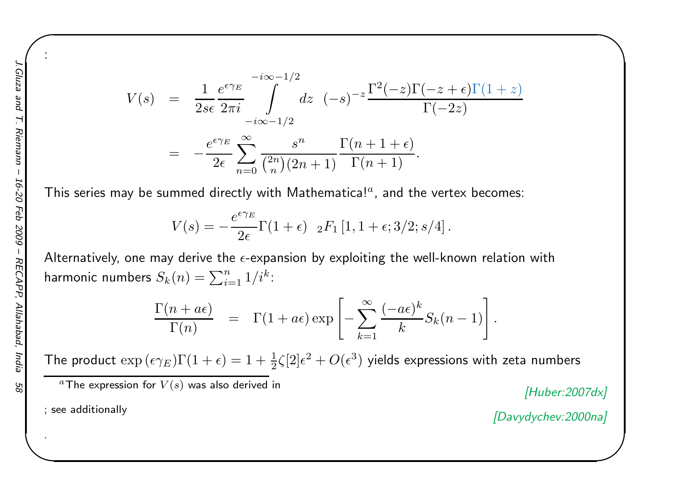$\frac{1}{\sqrt{2}}$ 

:

$$
V(s) = \frac{1}{2s\epsilon} \frac{e^{\epsilon \gamma_E}}{2\pi i} \int_{-i\infty - 1/2}^{-i\infty - 1/2} dz \quad (-s)^{-z} \frac{\Gamma^2(-z)\Gamma(-z + \epsilon)\Gamma(1 + z)}{\Gamma(-2z)}
$$
  
= 
$$
-\frac{e^{\epsilon \gamma_E}}{2\epsilon} \sum_{n=0}^{\infty} \frac{s^n}{\binom{2n}{n}(2n+1)} \frac{\Gamma(n+1+\epsilon)}{\Gamma(n+1)}.
$$

This series may be summed directly with Mathematica! $^a$ , and the vertex becomes:

$$
V(s) = -\frac{e^{\epsilon \gamma_E}}{2\epsilon} \Gamma(1+\epsilon) \quad {}_2F_1\left[1, 1+\epsilon; 3/2; s/4\right].
$$

Alternatively, one may derive the  $\epsilon$ -expansion by exploiting the well-known relation with harmonic numbers  $S_k(n) = \sum_{i=1}^n p_i$  $\,n$  $\sum\limits_{i=1}^n1/i^k$ :

$$
\frac{\Gamma(n+a\epsilon)}{\Gamma(n)} = \Gamma(1+a\epsilon) \exp\left[-\sum_{k=1}^{\infty} \frac{(-a\epsilon)^k}{k} S_k(n-1)\right].
$$

The product  $\exp{(\epsilon \gamma_E)}\Gamma(1+\epsilon)=1+\frac{1}{2}\zeta[2]\epsilon^2+O(\epsilon^3)$  yields expressions with zeta numbers

 $^a$ The expression for  $V(s)$  was also derived in  $[Huber:2007dx]$ 

 $\begin{matrix} \hline \end{matrix}$ 

; see additionally

[Davydychev:2000na]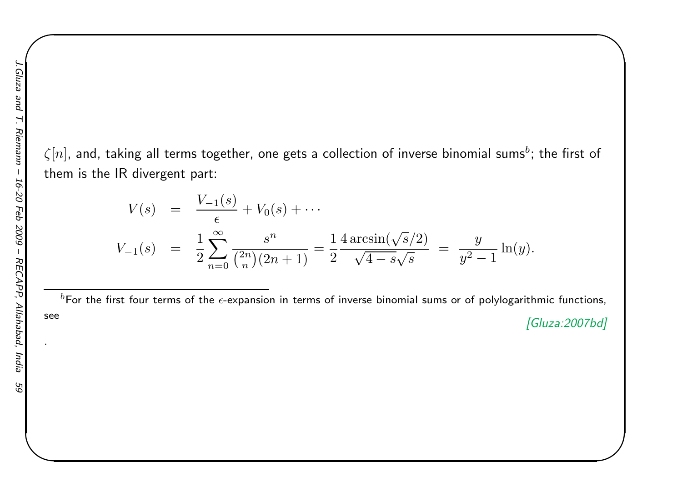$\zeta[n]$ , and, taking all terms together, one gets a collection of inverse binomial sums $^b$ ; the first of them is the IR divergent part:

$$
V(s) = \frac{V_{-1}(s)}{\epsilon} + V_0(s) + \cdots
$$
  
\n
$$
V_{-1}(s) = \frac{1}{2} \sum_{n=0}^{\infty} \frac{s^n}{\binom{2n}{n} (2n+1)} = \frac{1}{2} \frac{4 \arcsin(\sqrt{s}/2)}{\sqrt{4-s} \sqrt{s}} = \frac{y}{y^2 - 1} \ln(y).
$$

 $^b$ For the first four terms of the  $\epsilon$ -expansion in terms of inverse binomial sums or of polylogarithmic functions, see

[Gluza:2007bd]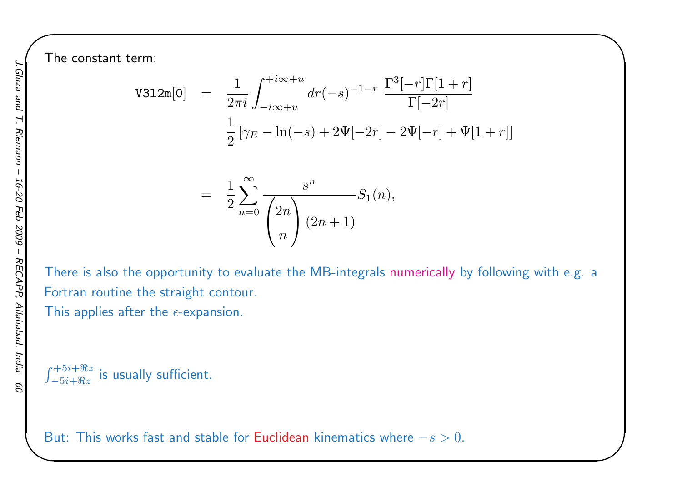The constant term:

$$
\text{V312m}[0] = \frac{1}{2\pi i} \int_{-i\infty+u}^{+i\infty+u} dr(-s)^{-1-r} \frac{\Gamma^3[-r]\Gamma[1+r]}{\Gamma[-2r]}
$$

$$
\frac{1}{2} \left[ \gamma_E - \ln(-s) + 2\Psi[-2r] - 2\Psi[-r] + \Psi[1+r] \right]
$$

 $\begin{matrix} \hline \end{matrix}$ 

$$
= \frac{1}{2} \sum_{n=0}^{\infty} \frac{s^n}{\binom{2n}{n}} S_1(n),
$$

There is also the opportunity to evaluate the MB-integrals numerically by following with e.g. <sup>a</sup>Fortran routine the straight contour.

This applies after the  $\epsilon$ -expansion.

 $\int_{-5i+\Re s}^{+5i+\Re s}$  $x^{-5i+\Re z}$  is usually sufficient.

But: This works fast and stable for <mark>Euclidean</mark> kinematics where  $-s > 0$ .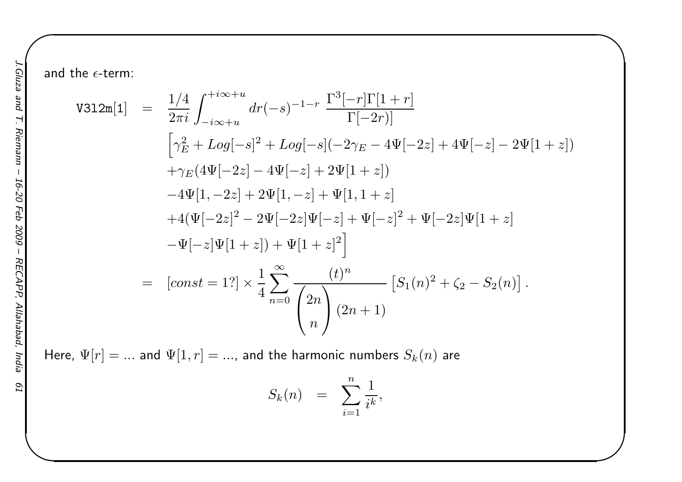and the  $\epsilon$ -term:

$$
\begin{split}\n\text{V312m}[1] &= \frac{1/4}{2\pi i} \int_{-i\infty+u}^{+i\infty+u} dr(-s)^{-1-r} \frac{\Gamma^3[-r]\Gamma[1+r]}{\Gamma[-2r]} \\
& \Big[ \gamma_E^2 + Log[-s]^2 + Log[-s](-2\gamma_E - 4\Psi[-2z] + 4\Psi[-z] - 2\Psi[1+z]) \\
& \quad + \gamma_E(4\Psi[-2z] - 4\Psi[-z] + 2\Psi[1+z]) \\
&- 4\Psi[1, -2z] + 2\Psi[1, -z] + \Psi[1, 1+z] \\
& \quad + 4(\Psi[-2z]^2 - 2\Psi[-2z]\Psi[-z] + \Psi[-z]^2 + \Psi[-2z]\Psi[1+z] \\
&- \Psi[-z]\Psi[1+z]) + \Psi[1+z]^2 \Big] \\
&= \left[ const = 1? \right] \times \frac{1}{4} \sum_{n=0}^{\infty} \frac{(t)^n}{2n} \left[ S_1(n)^2 + \zeta_2 - S_2(n) \right].\n\end{split}
$$

 $\begin{matrix} \hline \end{matrix}$ 

Here,  $\Psi[r]=...$  and  $\Psi[1,r]=...,$  and the harmonic numbers  $S_k(n)$  are

$$
S_k(n) = \sum_{i=1}^n \frac{1}{i^k},
$$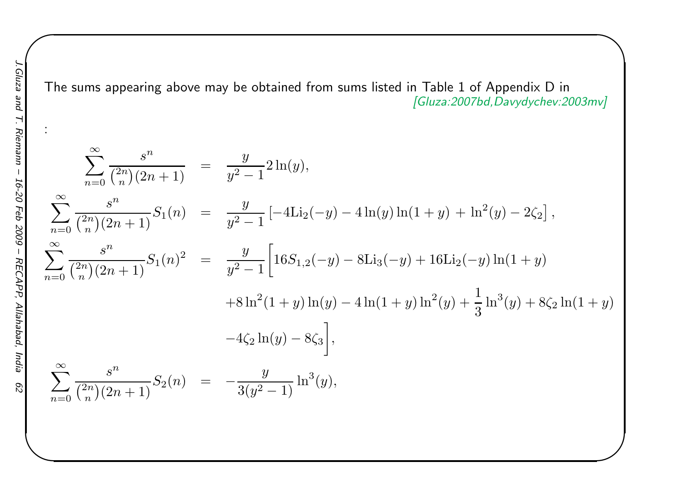:

The sums appearing above may be obtained from sums listed in Table 1 of Appendix D in<br>[Gluza:2007bd,Davydychev:2003mv]

$$
\sum_{n=0}^{\infty} \frac{s^n}{\binom{2n}{n}(2n+1)} = \frac{y}{y^2-1} 2\ln(y),
$$
  
\n
$$
\sum_{n=0}^{\infty} \frac{s^n}{\binom{2n}{n}(2n+1)} S_1(n) = \frac{y}{y^2-1} [-4\text{Li}_2(-y) - 4\ln(y)\ln(1+y) + \ln^2(y) - 2\zeta_2],
$$
  
\n
$$
\sum_{n=0}^{\infty} \frac{s^n}{\binom{2n}{n}(2n+1)} S_1(n)^2 = \frac{y}{y^2-1} \left[ 16S_{1,2}(-y) - 8\text{Li}_3(-y) + 16\text{Li}_2(-y)\ln(1+y) + 8\ln^2(1+y)\ln(y) - 4\ln(1+y)\ln^2(y) + \frac{1}{3}\ln^3(y) + 8\zeta_2\ln(1+y) -4\zeta_2\ln(y) - 8\zeta_3 \right],
$$
  
\n
$$
\sum_{n=0}^{\infty} \frac{s^n}{\binom{2n}{n}(2n+1)} S_2(n) = -\frac{y}{3(y^2-1)} \ln^3(y),
$$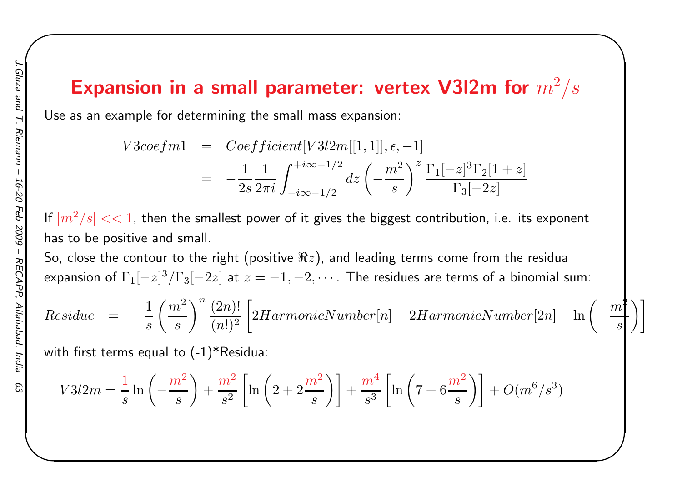## Expansion in a small parameter: vertex V3I2m for  $m^2/s$

 $\begin{matrix} \hline \end{matrix}$ 

Use as an example for determining the small mass expansion:

$$
V3\text{coeff}m1 = \text{Coefficient}[V3l2m[[1,1]], \epsilon, -1]
$$
  
=  $-\frac{1}{2s} \frac{1}{2\pi i} \int_{-i\infty - 1/2}^{+i\infty - 1/2} dz \left(-\frac{m^2}{s}\right)^z \frac{\Gamma_1[-z]^3 \Gamma_2[1+z]}{\Gamma_3[-2z]}$ 

If  $|m^{2}/s| << 1$ , then the smallest power of it gives the biggest contribution, i.e. its exponent has to be positive and small.

So, close the contour to the right (positive  $\Re z)$ , and leading terms come from the residua expansion of  $\Gamma_{1}[-z]^{3}/\Gamma_{3}[-2z]$  at  $z=-1,-2,\cdots$  . The residues are terms of a binomial sum:

$$
Residue = -\frac{1}{s} \left(\frac{m^2}{s}\right)^n \frac{(2n)!}{(n!)^2} \left[ 2HarmonicNumber[n] - 2HarmonicNumber[2n] - \ln\left(-\frac{m^2}{s}\right) \right]
$$

with first terms equal to  $(-1)^*$ Residua:

$$
V3l2m = \frac{1}{s} \ln \left( -\frac{m^2}{s} \right) + \frac{m^2}{s^2} \left[ \ln \left( 2 + 2\frac{m^2}{s} \right) \right] + \frac{m^4}{s^3} \left[ \ln \left( 7 + 6\frac{m^2}{s} \right) \right] + O(m^6/s^3)
$$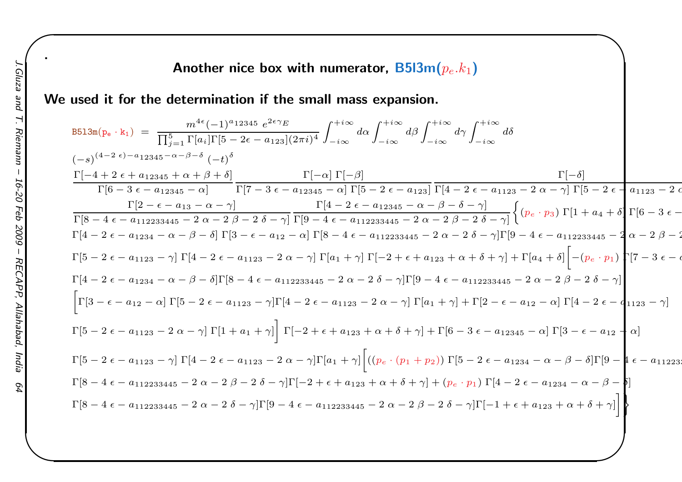### Another nice box with numerator,  $\mathsf{B5l3m}(p_e.k_1)$

We used it for the determination if the small mass expansion.

$$
B513m(p_e \cdot k_1) = \frac{m^{4e}(-1)^{a}12345 e^{2e\gamma}E}{\prod_{j=1}^{5} \Gamma[a_i]\Gamma[5 - 2\epsilon - a_{123}](2\pi i)^4} \int_{-i\infty}^{+i\infty} d\alpha \int_{-i\infty}^{+i\infty} d\beta \int_{-i\infty}^{+i\infty} d\delta
$$
  
\n
$$
(-s)^{(4-2\epsilon)-a_{12345}-\alpha-\beta-\delta} (-t)^{\delta}
$$
\n
$$
\frac{\Gamma[-4 + 2\epsilon + a_{12345} + \alpha + \beta + \delta]}{\Gamma[6 - 3\epsilon - a_{12345} - \alpha]} \frac{\Gamma[7 - 3\epsilon - a_{12345} - \alpha] \Gamma[5 - 2\epsilon - a_{123}]}{\Gamma[7 - 3\epsilon - a_{12345} - \alpha] \Gamma[9 - 4\epsilon - a_{12345} - \alpha - \beta - \delta - \gamma]} \frac{\Gamma[4 - 2\epsilon - a_{12345} - \alpha - \beta - \delta - \gamma]}{\Gamma[8 - 4\epsilon - a_{112233445} - 2\alpha - 2\beta - 2\delta - \gamma]} \frac{\Gamma[4 - 2\epsilon - a_{12345} - \alpha - \beta - \delta - \gamma]}{\Gamma[9 - 4\epsilon - a_{112233445} - 2\alpha - 2\beta - 2\delta - \gamma]} \left\{ (p_e \cdot p_3) \Gamma[1 + a_4 + \delta] \Gamma[6 - 3\epsilon - \gamma] \right\}
$$
  
\n
$$
\Gamma[5 - 2\epsilon - a_{1234} - \alpha - \beta - \delta] \Gamma[3 - \epsilon - a_{12} - \alpha] \Gamma[8 - 4\epsilon - a_{112233445} - 2\alpha - 2\beta - 2\delta - \gamma] \Gamma[9 - 4\epsilon - a_{112233445} - 2\alpha - 2\beta - 2\delta - \gamma]
$$
  
\n
$$
\Gamma[4 - 2\epsilon - a_{1234} - \alpha - \beta - \delta] \Gamma[8 - 4\epsilon - a_{112233445} - 2\alpha - 2\delta - \gamma] \Gamma[9 - 4\epsilon - a_{112233445} - 2\
$$

 $\begin{matrix} \hline \end{matrix}$ 

2

 $\epsilon$ 

.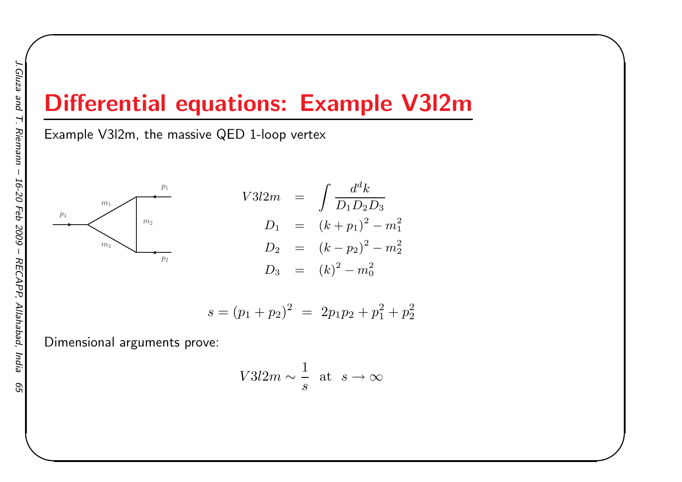# Differential equations: Example V3l2m

Example V3l2m, the massive QED 1-loop vertex



$$
V3l2m = \int \frac{d^d k}{D_1 D_2 D_3}
$$
  
\n
$$
D_1 = (k+p_1)^2 - m_1^2
$$
  
\n
$$
D_2 = (k-p_2)^2 - m_2^2
$$
  
\n
$$
D_3 = (k)^2 - m_0^2
$$

 $\begin{matrix} \hline \end{matrix}$ 

$$
s = (p_1 + p_2)^2 = 2p_1p_2 + p_1^2 + p_2^2
$$

Dimensional arguments prove:

$$
V3l2m \sim \frac{1}{s} \text{ at } s \to \infty
$$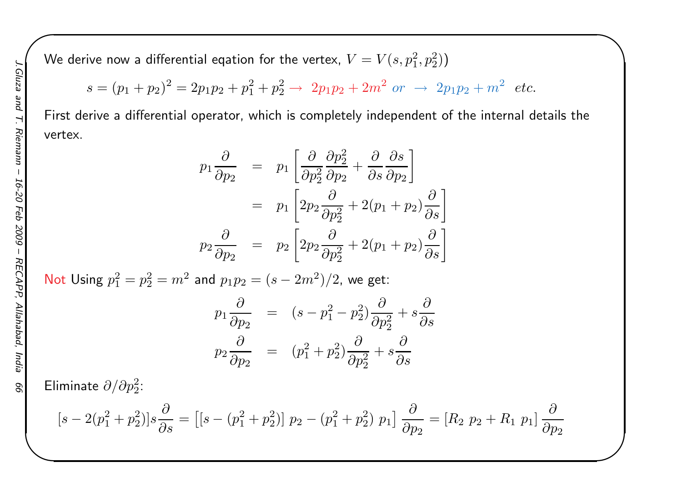We derive now a differential eqation for the vertex,  $V=V(s,p_1^2,p_2^2))$ 

$$
s = (p_1 + p_2)^2 = 2p_1p_2 + p_1^2 + p_2^2 \rightarrow 2p_1p_2 + 2m^2 \text{ or } \rightarrow 2p_1p_2 + m^2 \text{ etc.}
$$

First derive <sup>a</sup> differential operator, which is completely independent of the internal details thevertex.

 $\begin{matrix} \hline \end{matrix}$ 

$$
p_1 \frac{\partial}{\partial p_2} = p_1 \left[ \frac{\partial}{\partial p_2^2} \frac{\partial p_2^2}{\partial p_2} + \frac{\partial}{\partial s} \frac{\partial s}{\partial p_2} \right]
$$
  

$$
= p_1 \left[ 2p_2 \frac{\partial}{\partial p_2^2} + 2(p_1 + p_2) \frac{\partial}{\partial s} \right]
$$
  

$$
p_2 \frac{\partial}{\partial p_2} = p_2 \left[ 2p_2 \frac{\partial}{\partial p_2^2} + 2(p_1 + p_2) \frac{\partial}{\partial s} \right]
$$

Not Using  $p_1^2 = p_2^2 = m^2$  and  $p_1p_2 = (s-2m^2)/2$ , we get:

$$
p_1 \frac{\partial}{\partial p_2} = (s - p_1^2 - p_2^2) \frac{\partial}{\partial p_2^2} + s \frac{\partial}{\partial s}
$$
  

$$
p_2 \frac{\partial}{\partial p_2} = (p_1^2 + p_2^2) \frac{\partial}{\partial p_2^2} + s \frac{\partial}{\partial s}
$$

Eliminate  $\partial/\partial p_2^2$ :

$$
[s - 2(p_1^2 + p_2^2)]s\frac{\partial}{\partial s} = [[s - (p_1^2 + p_2^2)] p_2 - (p_1^2 + p_2^2) p_1] \frac{\partial}{\partial p_2} = [R_2 p_2 + R_1 p_1] \frac{\partial}{\partial p_2}
$$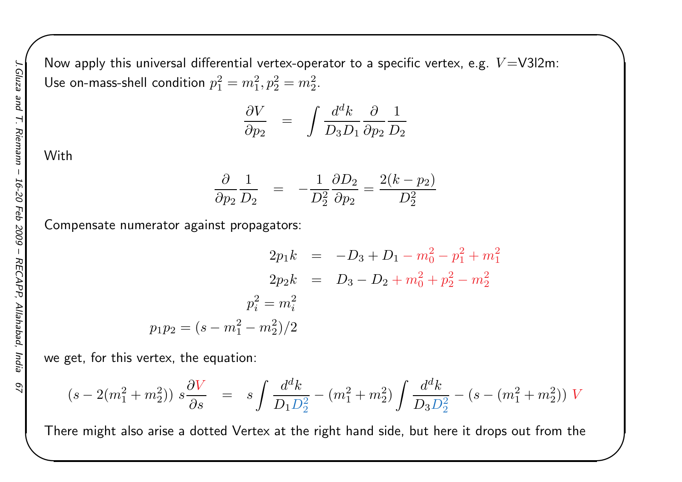Now apply this universal differential vertex-operator to a specific vertex, e.g.  $V{=}$ V3l2m: Use on-mass-shell condition  $p_1^2 = m_1^2, p_2^2 = m_2^2.$ 

$$
\frac{\partial V}{\partial p_2} = \int \frac{d^d k}{D_3 D_1} \frac{\partial}{\partial p_2} \frac{1}{D_2}
$$

 $\begin{matrix} \hline \end{matrix}$ 

**With** 

$$
\frac{\partial}{\partial p_2}\frac{1}{D_2} = -\frac{1}{D_2^2}\frac{\partial D_2}{\partial p_2} = \frac{2(k-p_2)}{D_2^2}
$$

Compensate numerator against propagators:

$$
2p_1k = -D_3 + D_1 - m_0^2 - p_1^2 + m_1^2
$$
  
\n
$$
2p_2k = D_3 - D_2 + m_0^2 + p_2^2 - m_2^2
$$
  
\n
$$
p_i^2 = m_i^2
$$
  
\n
$$
p_1p_2 = (s - m_1^2 - m_2^2)/2
$$

we get, for this vertex, the equation:

$$
(s-2(m_1^2+m_2^2)) s\frac{\partial V}{\partial s} \;\; = \;\; s\int \frac{d^d k}{D_1 D_2^2} - (m_1^2+m_2^2) \int \frac{d^d k}{D_3 D_2^2} - (s-(m_1^2+m_2^2)) \; V
$$

There might also arise <sup>a</sup> dotted Vertex at the right hand side, but here it drops out from the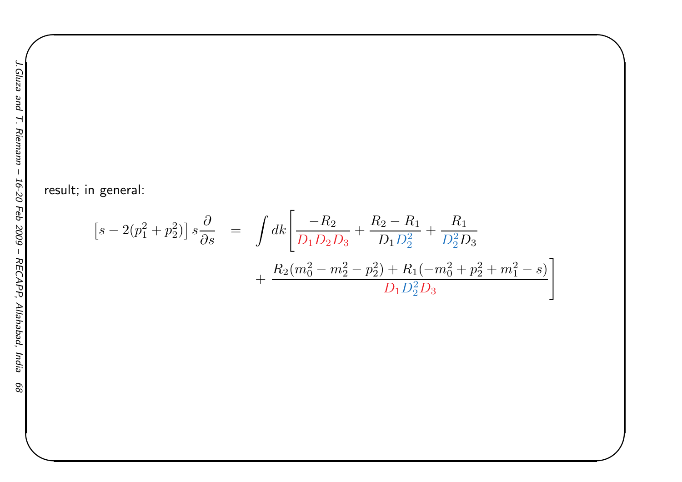result; in general:

$$
\[s - 2(p_1^2 + p_2^2)\]s\frac{\partial}{\partial s} = \int dk \left[\frac{-R_2}{D_1 D_2 D_3} + \frac{R_2 - R_1}{D_1 D_2^2} + \frac{R_1}{D_2^2 D_3} + \frac{R_2 (m_0^2 - m_2^2 - p_2^2) + R_1 (-m_0^2 + p_2^2 + m_1^2 - s)}{D_1 D_2^2 D_3}\right]
$$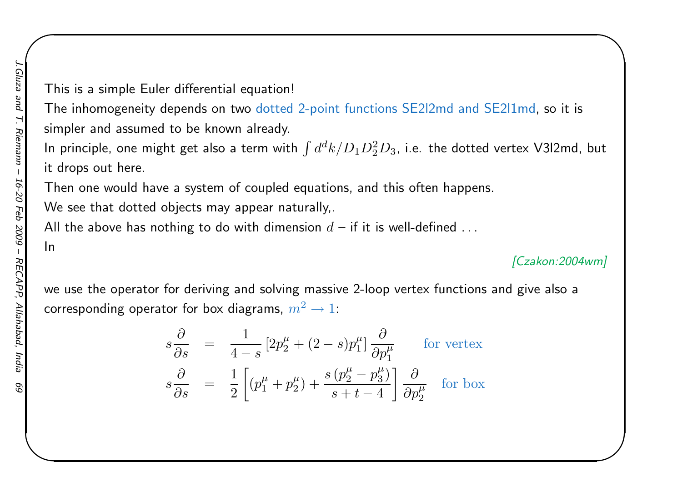In

This is <sup>a</sup> simple Euler differential equation!

The inhomogeneity depends on two dotted 2-point functions SE2l2md and SE2l1md, so it is simpler and assumed to be known already.

In principle, one might get also a term with  $\int d^d k/D_1D_2^2D_3$ , i.e. the dotted vertex V3l2md, but it drops out here.

Then one would have <sup>a</sup> system of coupled equations, and this often happens.

We see that dotted objects may appear naturally,.

All the above has nothing to do with dimension  $d$  — if it is well-defined  $\dots$ 

#### [Czakon:2004wm]

 $\begin{matrix} \hline \end{matrix}$ 

we use the operator for deriving and solving massive 2-loop vertex functions and <sup>g</sup>ive also <sup>a</sup>corresponding operator for box diagrams,  $m^2\rightarrow 1$ :

$$
s\frac{\partial}{\partial s} = \frac{1}{4-s} \left[ 2p_2^{\mu} + (2-s)p_1^{\mu} \right] \frac{\partial}{\partial p_1^{\mu}}
$$
 for vertex  

$$
s\frac{\partial}{\partial s} = \frac{1}{2} \left[ (p_1^{\mu} + p_2^{\mu}) + \frac{s(p_2^{\mu} - p_3^{\mu})}{s + t - 4} \right] \frac{\partial}{\partial p_2^{\mu}}
$$
 for box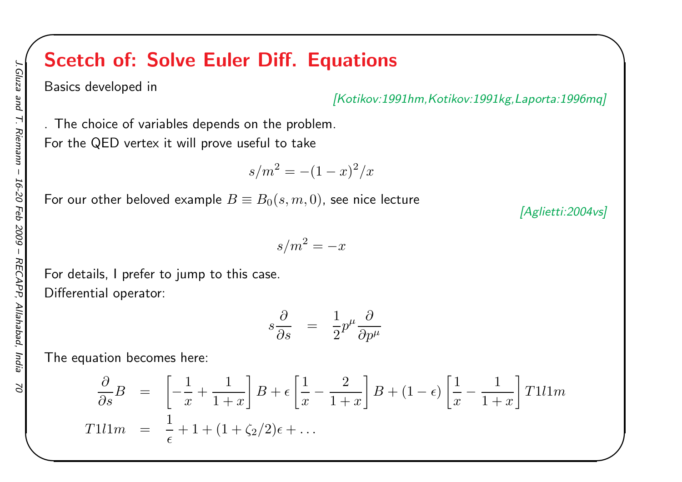## Scetch of: Solve Euler Diff. Equations

Basics developed in

[Kotikov:1991hm,Kotikov:1991kg,Laporta:1996mq]

. The choice of variables depends on the problem. For the QED vertex it will prove useful to take

$$
s/m^2 = -(1-x)^2/x
$$

 $s/m^2=-x$ 

For our other beloved example  $B\equiv B_0(s, m, 0)$ , see nice lecture

For details, <sup>I</sup> prefer to jump to this case. Differential operator:

$$
s\frac{\partial}{\partial s} \quad = \quad \frac{1}{2}p^{\mu}\frac{\partial}{\partial p^{\mu}}
$$

The equation becomes here:

$$
\frac{\partial}{\partial s}B = \left[ -\frac{1}{x} + \frac{1}{1+x} \right] B + \epsilon \left[ \frac{1}{x} - \frac{2}{1+x} \right] B + (1-\epsilon) \left[ \frac{1}{x} - \frac{1}{1+x} \right] T 1 l 1 m
$$
  
T1l1m =  $\frac{1}{\epsilon}$  + 1 + (1 + \zeta\_2/2) \epsilon + ...

[Aglietti:2004vs]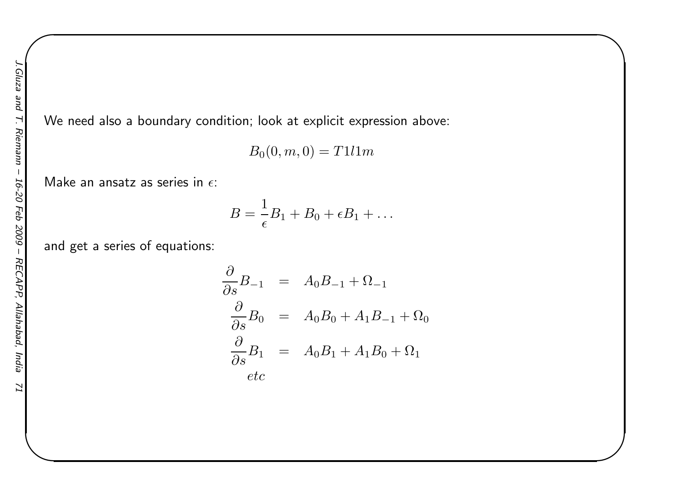We need also <sup>a</sup> boundary condition; look at explicit expression above:

$$
B_0(0,m,0) = T1l1m
$$

 $\begin{matrix} \hline \end{matrix}$ 

Make an ansatz as series in  $\epsilon$ :

$$
B=\frac{1}{\epsilon}B_1+B_0+\epsilon B_1+\ldots
$$

and get <sup>a</sup> series of equations:

$$
\frac{\partial}{\partial s} B_{-1} = A_0 B_{-1} + \Omega_{-1}
$$
  

$$
\frac{\partial}{\partial s} B_0 = A_0 B_0 + A_1 B_{-1} + \Omega_0
$$
  

$$
\frac{\partial}{\partial s} B_1 = A_0 B_1 + A_1 B_0 + \Omega_1
$$
  
etc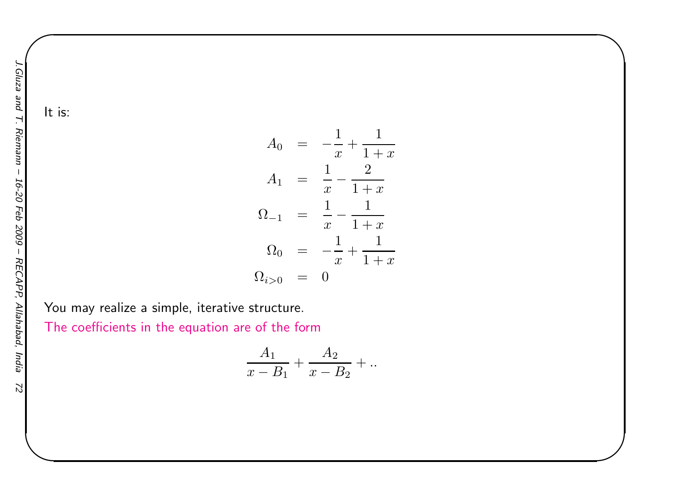$\mathcal{L}$ 

It is:

$$
A_0 = -\frac{1}{x} + \frac{1}{1+x}
$$
  
\n
$$
A_1 = \frac{1}{x} - \frac{2}{1+x}
$$
  
\n
$$
\Omega_{-1} = \frac{1}{x} - \frac{1}{1+x}
$$
  
\n
$$
\Omega_0 = -\frac{1}{x} + \frac{1}{1+x}
$$
  
\n
$$
\Omega_{i>0} = 0
$$

 $\begin{matrix} \hline \end{matrix}$ 

You may realize <sup>a</sup> simple, iterative structure.

The coefficients in the equation are of the form

$$
\frac{A_1}{x - B_1} + \frac{A_2}{x - B_2} + \dots
$$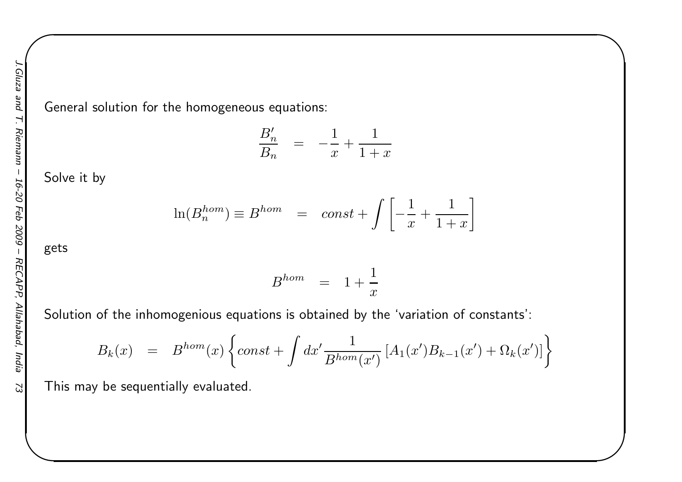General solution for the homogeneous equations:

$$
\frac{B'_n}{B_n} = -\frac{1}{x} + \frac{1}{1+x}
$$

 $\begin{matrix} \hline \end{matrix}$ 

Solve it by

$$
\ln(B_n^{hom}) \equiv B^{hom} = const + \int \left[ -\frac{1}{x} + \frac{1}{1+x} \right]
$$

gets

$$
B^{hom} = 1 + \frac{1}{x}
$$

Solution of the inhomogenious equations is obtained by the 'variation of constants':

$$
B_k(x) = B^{hom}(x) \left\{ const + \int dx' \frac{1}{B^{hom}(x')} \left[ A_1(x') B_{k-1}(x') + \Omega_k(x') \right] \right\}
$$

This may be sequentially evaluated.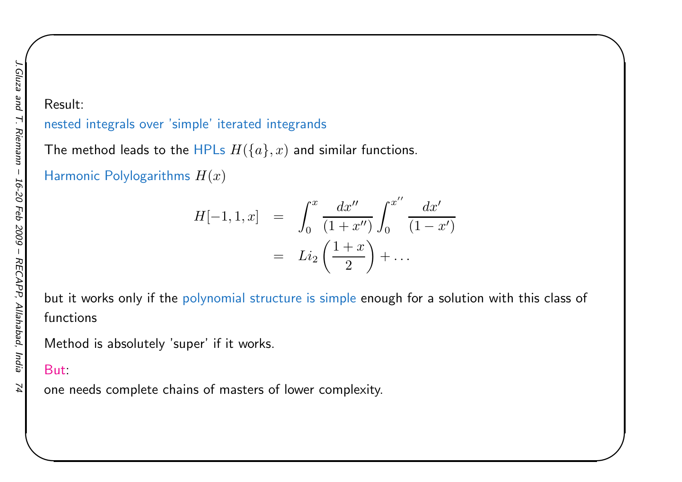#### nested integrals over 'simple' iterated integrands

The method leads to the HPLs  $H(\{a\},x)$  and similar functions.

Harmonic Polylogarithms  $H(x)$ 

$$
H[-1, 1, x] = \int_0^x \frac{dx''}{(1+x'')} \int_0^{x''} \frac{dx'}{(1-x')}
$$
  
=  $Li_2 \left(\frac{1+x}{2}\right) + \dots$ 

 $\begin{matrix} \hline \end{matrix}$ 

but it works only if the polynomial structure is simple enoug<sup>h</sup> for <sup>a</sup> solution with this class of functions

Method is absolutely 'super' if it works.

#### But:

one needs complete chains of masters of lower complexity.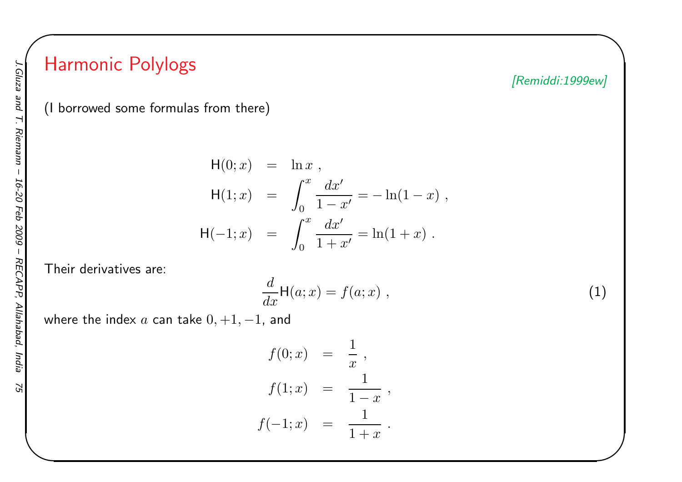# Harmonic Polylogs

[Remiddi:1999ew]

 $\begin{matrix} \hline \end{matrix}$ 

(I borrowed some formulas from there)

$$
H(0; x) = \ln x ,
$$
  
\n
$$
H(1; x) = \int_0^x \frac{dx'}{1 - x'} = -\ln(1 - x) ,
$$
  
\n
$$
H(-1; x) = \int_0^x \frac{dx'}{1 + x'} = \ln(1 + x) .
$$

Their derivatives are:

$$
\frac{d}{dx}\mathsf{H}(a;x) = f(a;x) \;, \tag{1}
$$

where the index  $a$  can take  $0, +1, -1$ , and

$$
f(0; x) = \frac{1}{x},
$$
  
\n
$$
f(1; x) = \frac{1}{1-x},
$$
  
\n
$$
f(-1; x) = \frac{1}{1+x}.
$$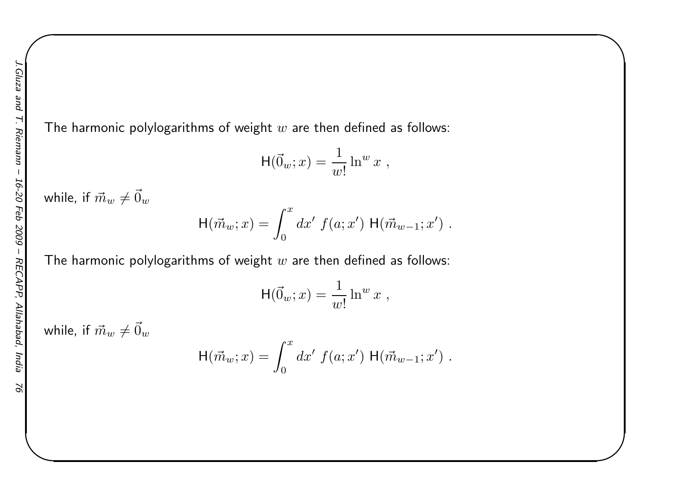The harmonic polylogarithms of weight  $w$  are then defined as follows:

$$
\mathsf{H}(\vec{0}_w; x) = \frac{1}{w!} \ln^w x ,
$$

 $\begin{matrix} \hline \end{matrix}$ 

while, if  $\vec{m}_w\neq\vec{0}_w$ 

$$
H(\vec{m}_w; x) = \int_0^x dx' f(a; x') H(\vec{m}_{w-1}; x') .
$$

The harmonic polylogarithms of weight  $w$  are then defined as follows:

$$
H(\vec{0}_w; x) = \frac{1}{w!} \ln^w x ,
$$

while, if  $\vec{m}_w\neq\vec{0}_w$ 

$$
H(\vec{m}_w; x) = \int_0^x dx' f(a; x') H(\vec{m}_{w-1}; x') .
$$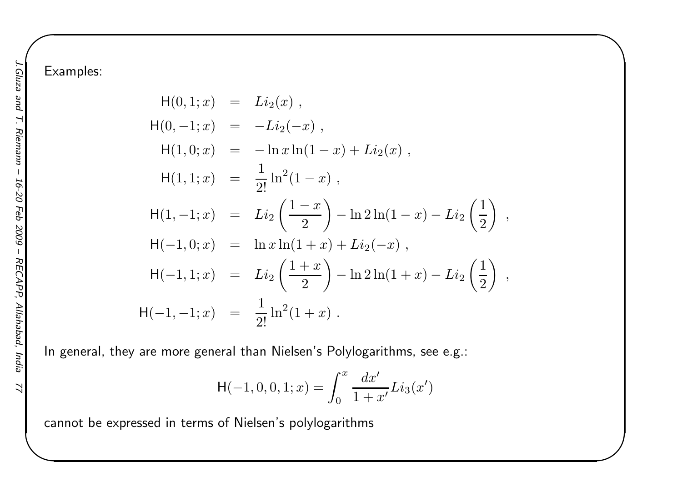$H(0,1;x) = Li_2(x)$ ,  $H(0,-1;x) = -Li_2(-x)$ ,  $H(1, 0; x) = -\ln x$ the contract of the contract of the contract of the contract of the contract of the contract of the contract of  $-\ln x \ln(1$  $x) + Li_2(x)$ ,  $H(1,1;x) =$ 1 $\frac{1}{2!} \ln^2(1-x)$ ,  $H(1, -1; x) = Li_2\left(\frac{1}{2}\right)$ − $\mathcal{X}% =\mathbb{R}^{2}\times\mathbb{R}^{2}$  $\left(\frac{-x}{2}\right)$  $-\ln 2 \ln(1$  $(x) - Li_2\left(\frac{1}{2}\right)$  $\left(\frac{1}{2}\right)$ ,  $H(-1,0;x) = \ln x \ln(1+x) + Li_2(-x)$ the contract of the contract of the contract of the contract of the contract of the contract of the contract of <sup>H</sup>(− $1, 1; x$  =  $Li_2\left(\frac{1+x}{2}\right)$  $\left(\frac{+x}{2}\right)$  $-\ln 2\ln(1+x)-Li_2\left(\frac{1}{2}\right)$  $\left(\frac{1}{2}\right)$ ,  $H(-1,-1;x) =$ 1 $\frac{1}{2!} \ln^2(1+x)$ .

 $\begin{matrix} \hline \end{matrix}$ 

In general, they are more genera<sup>l</sup> than Nielsen's Polylogarithms, see e.g.:

$$
H(-1,0,0,1;x) = \int_0^x \frac{dx'}{1+x'} Li_3(x')
$$

cannot be expressed in terms of Nielsen's polylogarithms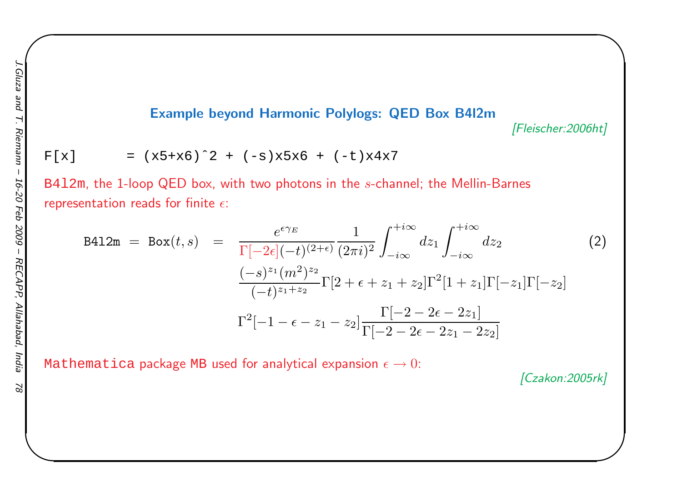#### Example beyond Harmonic Polylogs: QED Box B4l2m

[Fleischer:2006ht]

 $\begin{matrix} \hline \end{matrix}$ 

$$
F[x] = (x5+x6)^2 + (-s)x5x6 + (-t)x4x7
$$

<code>B412m</code>, the 1-loop QED box, with two photons in the  $s$ -channel; the Mellin-Barnes representation reads for finite  $\epsilon$ :

$$
B412m = Box(t, s) = \frac{e^{\epsilon \gamma_E}}{\Gamma[-2\epsilon](-t)^{(2+\epsilon)}} \frac{1}{(2\pi i)^2} \int_{-i\infty}^{+i\infty} dz_1 \int_{-i\infty}^{+i\infty} dz_2
$$
(2)  

$$
\frac{(-s)^{z_1}(m^2)^{z_2}}{(-t)^{z_1+z_2}} \Gamma[2+\epsilon+z_1+z_2] \Gamma^2[1+z_1] \Gamma[-z_1] \Gamma[-z_2]
$$

$$
\Gamma^2[-1-\epsilon-z_1-z_2] \frac{\Gamma[-2-2\epsilon-2z_1]}{\Gamma[-2-2\epsilon-2z_1-2z_2]}
$$

<code>Mathematica</code> package <code>MB</code> used for analytical expansion  $\epsilon \to 0$ :

[Czakon:2005rk]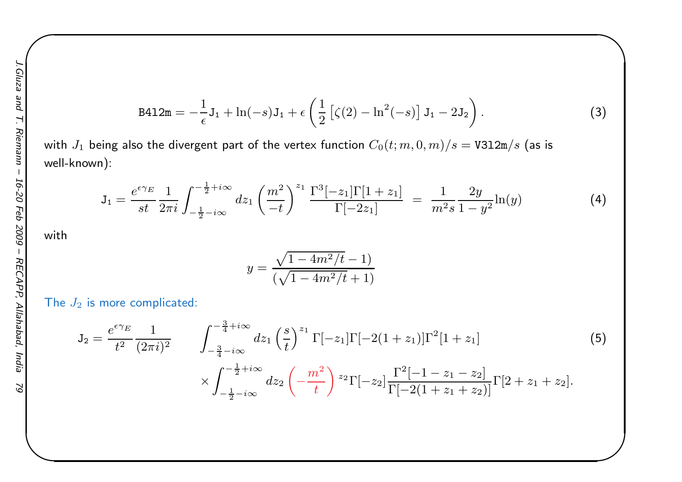B412m = 
$$
-\frac{1}{\epsilon}
$$
J<sub>1</sub> + ln(-s)J<sub>1</sub> +  $\epsilon$   $(\frac{1}{2} [ \zeta(2) - ln^2(-s) ] J<sub>1</sub> - 2J<sub>2</sub> ). (3)$ 

 $\begin{matrix} \hline \end{matrix}$ 

with  $J_1$  being also the divergent part of the vertex function  $C_0(t; m, 0, m)/s = \texttt{V3l2m/s}$  (as is well-known):

$$
J_1 = \frac{e^{\epsilon \gamma_E}}{st} \frac{1}{2\pi i} \int_{-\frac{1}{2} - i\infty}^{-\frac{1}{2} + i\infty} dz_1 \left(\frac{m^2}{-t}\right)^{z_1} \frac{\Gamma^3[-z_1] \Gamma[1+z_1]}{\Gamma[-2z_1]} = \frac{1}{m^2 s} \frac{2y}{1 - y^2} \ln(y) \tag{4}
$$

with

$$
y = \frac{\sqrt{1 - 4m^2/t} - 1}{(\sqrt{1 - 4m^2/t} + 1)}
$$

The  $J_2$  is more complicated:

$$
J_2 = \frac{e^{\epsilon \gamma_E}}{t^2} \frac{1}{(2\pi i)^2} \qquad \int_{-\frac{3}{4} - i\infty}^{-\frac{3}{4} + i\infty} dz_1 \left(\frac{s}{t}\right)^{z_1} \Gamma[-z_1] \Gamma[-2(1+z_1)] \Gamma^2[1+z_1] \qquad (5)
$$
  

$$
\times \int_{-\frac{1}{2} - i\infty}^{-\frac{1}{2} + i\infty} dz_2 \left(-\frac{m^2}{t}\right)^{z_2} \Gamma[-z_2] \frac{\Gamma^2[-1-z_1-z_2]}{\Gamma[-2(1+z_1+z_2)]} \Gamma[2+z_1+z_2].
$$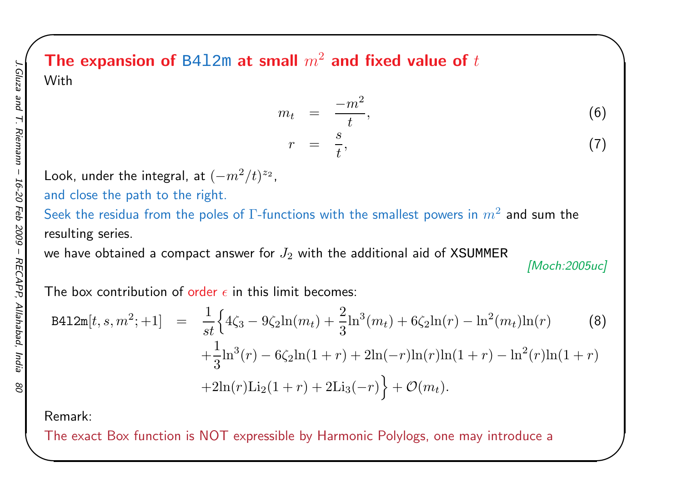### The expansion of <code>B412m</code> at small  $m^2$  and fixed value of  $t$ With

$$
m_t = \frac{-m^2}{t}, \tag{6}
$$
  

$$
r = \frac{s}{t}, \tag{7}
$$

Look, under the integral, at  $(-m^2/t)^{z_2}$ ,

and close the path to the right.

Seek the residua from the poles of  $\Gamma$ -functions with the smallest powers in  $m^2$  and sum the resulting series.

we have obtained a compact answer for  $J_2$  with the additional aid of XSUMMER

[Moch:2005uc]

 $\begin{matrix} \hline \end{matrix}$ 

The box contribution of <mark>order  $\epsilon$  in this limit becomes:</mark>

B412m[t, s, m<sup>2</sup>; +1] = 
$$
\frac{1}{st} \Big\{ 4\zeta_3 - 9\zeta_2 \ln(m_t) + \frac{2}{3} \ln^3(m_t) + 6\zeta_2 \ln(r) - \ln^2(m_t) \ln(r)
$$
 (8)  
  $+ \frac{1}{3} \ln^3(r) - 6\zeta_2 \ln(1+r) + 2\ln(-r) \ln(r) \ln(1+r) - \ln^2(r) \ln(1+r)$   
  $+ 2\ln(r) \text{Li}_2(1+r) + 2\text{Li}_3(-r) \Big\} + \mathcal{O}(m_t).$ 

Remark:

The exact Box function is NOT expressible by Harmonic Polylogs, one may introduce <sup>a</sup>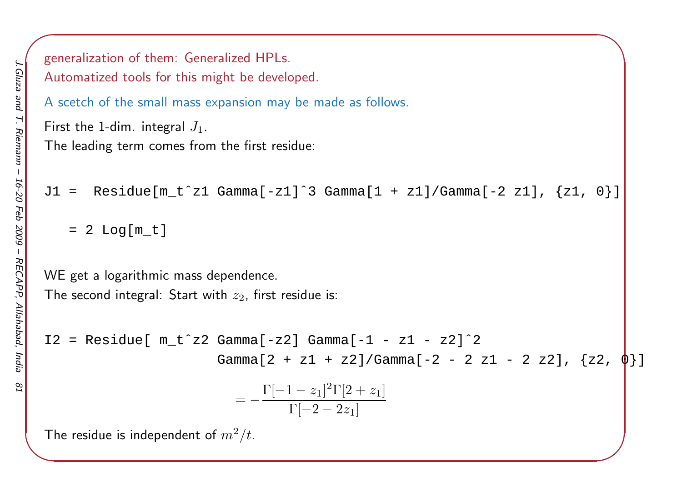```
\left( \frac{1}{2} \right)generalization of them: Generalized HPLs.
Automatized tools for this might be developed.
A scetch of the small mass expansion may be made as follows.
First the 1-dim. integral J_1.The leading term comes from the first residue:
J1 = Residue[m_t^z1 Gamma[-z1]^3 Gamma[1 + z1]/Gamma[-2 z1], \{z1, 0\}]
     = 2 Log[m_t]
WE get a logarithmic mass dependence.
The second integral: Start with z_2, first residue is:
I2 = Residue[ m_t^2 2 Gamma[-z2] Gamma[-1 - z1 - z2]^2]Gamma[2 + z1 + z2]/Gamma[-2 - 2 z1 - 2 z2], \{z2,= - \frac{\Gamma[}{}−1\frac{z_1}{2} \frac{2\Gamma[2 +}{}\frac{(1-z_1)^2\Gamma[2+z_1]}{\Gamma[-2-2z_1]}The residue is independent of m^2/t_{\cdot}
```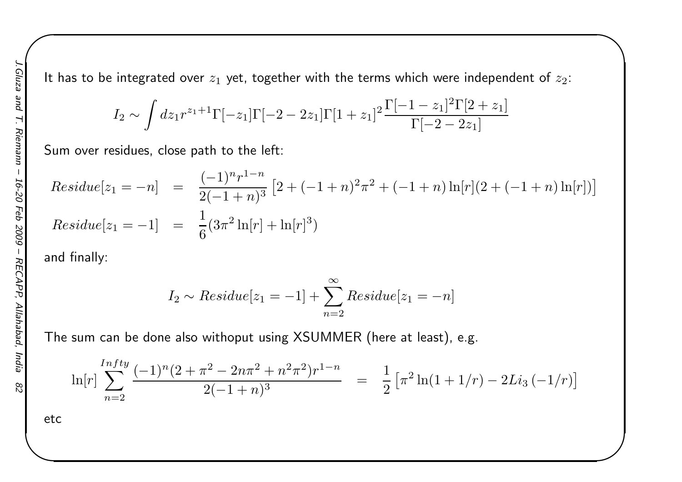It has to be integrated over  $z_1$  yet, together with the terms which were independent of  $z_2$ :

 $\begin{matrix} \hline \end{matrix}$ 

$$
I_2 \sim \int dz_1 r^{z_1+1} \Gamma[-z_1] \Gamma[-2-2z_1] \Gamma[1+z_1]^2 \frac{\Gamma[-1-z_1]^2 \Gamma[2+z_1]}{\Gamma[-2-2z_1]}
$$

Sum over residues, close path to the left:

$$
Residue[z_1 = -n] = \frac{(-1)^n r^{1-n}}{2(-1+n)^3} [2 + (-1+n)^2 \pi^2 + (-1+n) \ln[r](2 + (-1+n) \ln[r])]
$$
  
\n
$$
Residue[z_1 = -1] = \frac{1}{6} (3\pi^2 \ln[r] + \ln[r]^3)
$$

and finally:

$$
I_2 \sim Residue[z_1 = -1] + \sum_{n=2}^{\infty} Residue[z_1 = -n]
$$

The sum can be done also withoput using XSUMMER (here at least), e.g.

$$
\ln[r] \sum_{n=2}^{Intty} \frac{(-1)^n (2 + \pi^2 - 2n\pi^2 + n^2\pi^2) r^{1-n}}{2(-1+n)^3} = \frac{1}{2} \left[ \pi^2 \ln(1+1/r) - 2Li_3(-1/r) \right]
$$

etc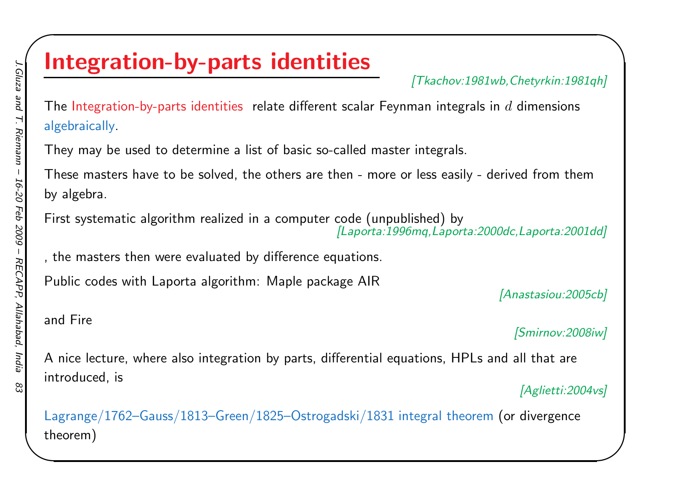# Integration-by-parts identities

[Tkachov:1981wb,Chetyrkin:1981qh]

 $\begin{matrix} \hline \end{matrix}$ 

The Integration-by-parts identities relate different scalar Feynman integrals in  $d$  dimensions algebraically.

They may be used to determine <sup>a</sup> list of basic so-called master integrals.

These masters have to be solved, the others are then - more or less easily - derived from themby algebra.

First systematic algorithm realized in <sup>a</sup> computer code (unpublished) by[Laporta:1996mq,Laporta:2000dc,Laporta:2001dd]

, the masters then were evaluated by difference equations.

Public codes with Laporta algorithm: Maple package AIR

[Anastasiou:2005cb]

#### and Fire

[Smirnov:2008iw]

<sup>A</sup> nice lecture, where also integration by parts, differential equations, HPLs and all that areintroduced, is[Aglietti:2004vs]

 $\mathsf{Lagrange}/1762\text{--Gauss}/1813\text{--Green}/1825\text{--Ostrogadski}/1831$  integral theorem  $\mathsf{(or\ divergence)}$ theorem)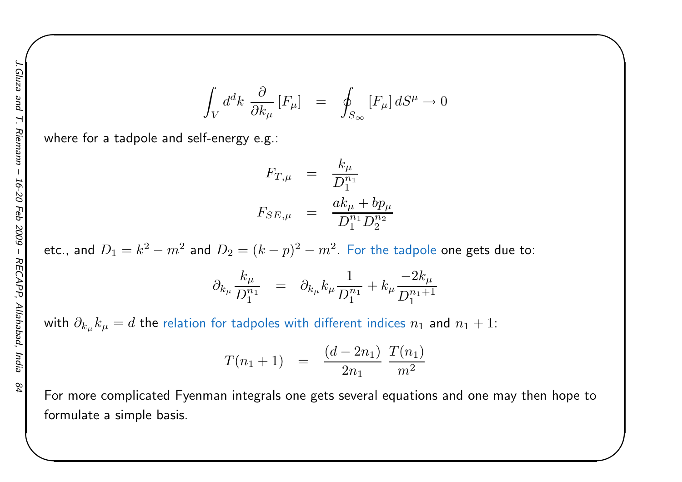$$
\int_{V} d^{d}k \frac{\partial}{\partial k_{\mu}} [F_{\mu}] = \oint_{S_{\infty}} [F_{\mu}] dS^{\mu} \to 0
$$

 $\begin{matrix} \hline \end{matrix}$ 

where for <sup>a</sup> tadpole and self-energy e.g.:

$$
F_{T,\mu} = \frac{k_{\mu}}{D_1^{n_1}}
$$
  

$$
F_{SE,\mu} = \frac{ak_{\mu} + bp_{\mu}}{D_1^{n_1} D_2^{n_2}}
$$

etc., and  $D_1 = k^2 - m^2$  and  $D_2 = (k-p)^2 - m^2$ . For the tadpole one gets due to:

$$
\partial_{k_{\mu}} \frac{k_{\mu}}{D_1^{n_1}} = \partial_{k_{\mu}} k_{\mu} \frac{1}{D_1^{n_1}} + k_{\mu} \frac{-2k_{\mu}}{D_1^{n_1+1}}
$$

with  $\partial_{k_\mu} k_\mu = d$  the relation for tadpoles with different indices  $n_1$  and  $n_1+1$ :

$$
T(n_1+1) = \frac{(d-2n_1)}{2n_1} \frac{T(n_1)}{m^2}
$$

For more complicated Fyenman integrals one gets several equations and one may then hope toformulate <sup>a</sup> simple basis.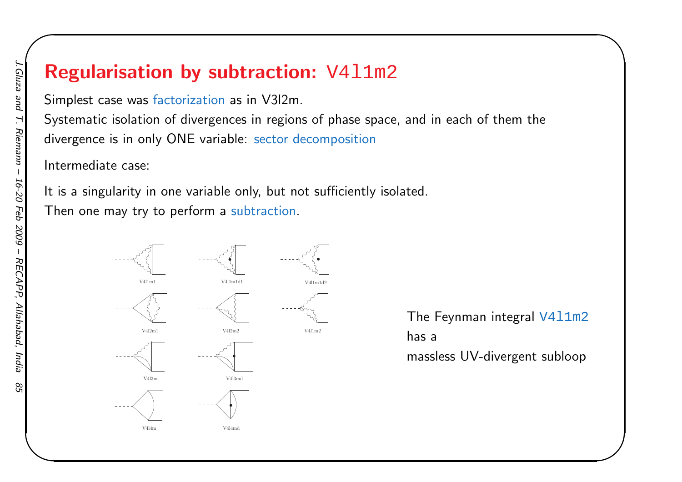# Regularisation by subtraction: V411m2

Simplest case was factorization as in V3l2m.

Systematic isolation of divergences in regions of phase space, and in each of them thedivergence is in only ONE variable: sector decomposition

Intermediate case:

It is <sup>a</sup> singularity in one variable only, but not sufficiently isolated. Then one may try to perform <sup>a</sup> subtraction.



The Feynman integral V411m2 has <sup>a</sup>massless UV-divergent subloop

 $\begin{matrix} \hline \end{matrix}$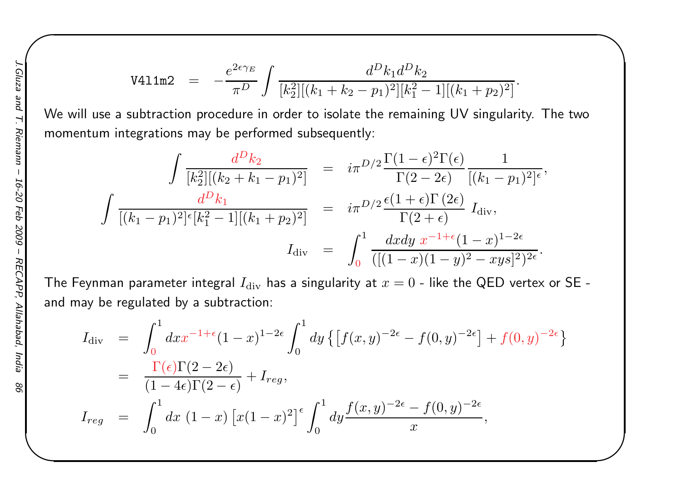$$
\text{V411m2} = -\frac{e^{2\epsilon\gamma_E}}{\pi^D} \int \frac{d^D k_1 d^D k_2}{[k_2^2][(k_1 + k_2 - p_1)^2][k_1^2 - 1][(k_1 + p_2)^2]}
$$

 $\begin{matrix} \hline \end{matrix}$ 

We will use <sup>a</sup> subtraction procedure in order to isolate the remaining UV singularity. The twomomentum integrations may be performed subsequently:

$$
\int \frac{d^D k_2}{[k_2^2][(k_2 + k_1 - p_1)^2]} = i\pi^{D/2} \frac{\Gamma(1 - \epsilon)^2 \Gamma(\epsilon)}{\Gamma(2 - 2\epsilon)} \frac{1}{[(k_1 - p_1)^2]^{\epsilon}},
$$

$$
\int \frac{d^D k_1}{[(k_1 - p_1)^2]^{\epsilon} [k_1^2 - 1][(k_1 + p_2)^2]} = i\pi^{D/2} \frac{\epsilon(1 + \epsilon) \Gamma(2\epsilon)}{\Gamma(2 + \epsilon)} I_{\text{div}},
$$

$$
I_{\text{div}} = \int_0^1 \frac{dxdy \ x^{-1 + \epsilon} (1 - x)^{1 - 2\epsilon}}{([(1 - x)(1 - y)^2 - xyz]^2)^{2\epsilon}}.
$$

The Feynman parameter integral  $I_{\rm div}$  has a singularity at  $x=0$  - like the QED vertex or SE and may be regulated by <sup>a</sup> subtraction:

$$
I_{\text{div}} = \int_0^1 dx x^{-1+\epsilon} (1-x)^{1-2\epsilon} \int_0^1 dy \left\{ \left[ f(x,y)^{-2\epsilon} - f(0,y)^{-2\epsilon} \right] + f(0,y)^{-2\epsilon} \right\}
$$
  
= 
$$
\frac{\Gamma(\epsilon)\Gamma(2-2\epsilon)}{(1-4\epsilon)\Gamma(2-\epsilon)} + I_{reg},
$$
  

$$
I_{reg} = \int_0^1 dx (1-x) \left[ x(1-x)^2 \right]^{\epsilon} \int_0^1 dy \frac{f(x,y)^{-2\epsilon} - f(0,y)^{-2\epsilon}}{x},
$$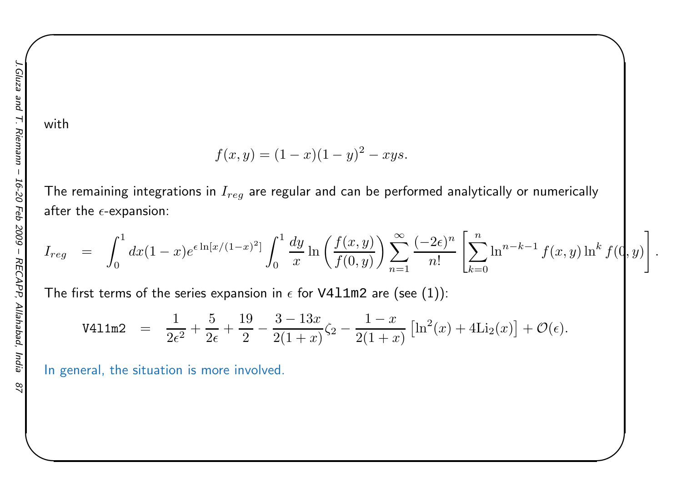with

$$
f(x, y) = (1 - x)(1 - y)^2 - xyz.
$$

The remaining integrations in  $I_{reg}$  are regular and can be performed analytically or numerically after the  $\epsilon$ -expansion:

$$
I_{reg} = \int_0^1 dx (1-x)e^{\epsilon \ln[x/(1-x)^2]} \int_0^1 \frac{dy}{x} \ln\left(\frac{f(x,y)}{f(0,y)}\right) \sum_{n=1}^\infty \frac{(-2\epsilon)^n}{n!} \left[\sum_{k=0}^n \ln^{n-k-1} f(x,y) \ln^k f(0,y)\right]
$$

 $\begin{matrix} \hline \end{matrix}$ 

The first terms of the series expansion in  $\epsilon$  for <code>V411m2</code> are (see (1)):

$$
\text{V411m2} \quad = \quad \frac{1}{2\epsilon^2} + \frac{5}{2\epsilon} + \frac{19}{2} - \frac{3 - 13x}{2(1+x)}\zeta_2 - \frac{1-x}{2(1+x)}\left[\ln^2(x) + 4\text{Li}_2(x)\right] + \mathcal{O}(\epsilon).
$$

In general, the situation is more involved.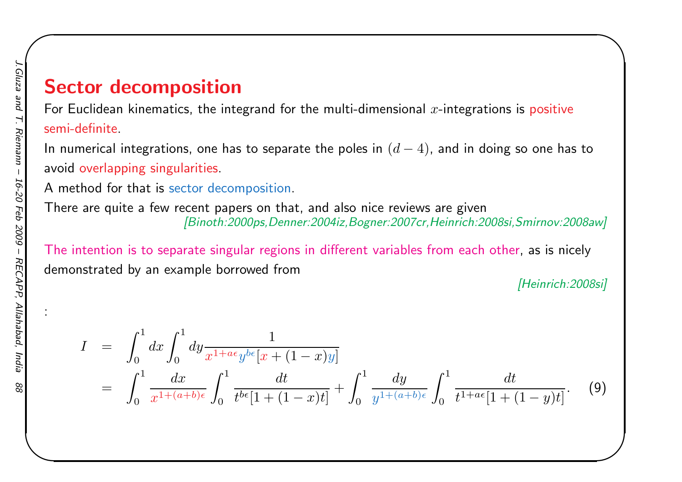# Sector decomposition

For Euclidean kinematics, the integrand for the multi-dimensional  $x$ -integrations is positive semi-definite.

In numerical integrations, one has to separate the poles in  $\left( d\right)$ − $(-4)$ , and in doing so one has to avoid overlapping singularities.

<sup>A</sup> method for that is sector decomposition.

There are quite <sup>a</sup> few recent papers on that, and also nice reviews are <sup>g</sup>iven[Binoth:2000ps,Denner:2004iz,Bogner:2007cr,Heinrich:2008si,Smirnov:2008aw]

The intention is to separate singular regions in different variables from each other, as is nicelydemonstrated by an example borrowed from

[Heinrich: 2008si]

 $\begin{matrix} \hline \end{matrix}$ 

$$
I = \int_0^1 dx \int_0^1 dy \frac{1}{x^{1+a\varepsilon} y^{b\varepsilon} [x + (1-x)y]} = \int_0^1 \frac{dx}{x^{1+(a+b)\varepsilon}} \int_0^1 \frac{dt}{t^{b\varepsilon} [1 + (1-x)t]} + \int_0^1 \frac{dy}{y^{1+(a+b)\varepsilon}} \int_0^1 \frac{dt}{t^{1+a\varepsilon} [1 + (1-y)t]}.
$$
 (9)

: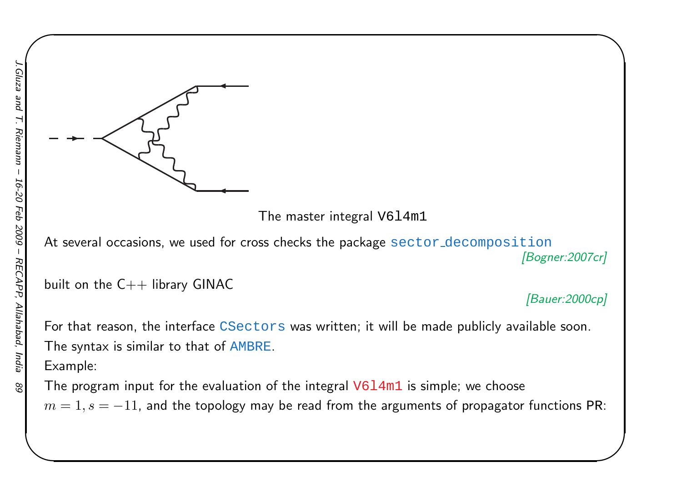

The master integral V6l4m1

At several occasions, we used for cross checks the package  $\texttt{sector-decomposition}$ [Bogner:2007cr]

built on the  $C++$  library GINAC

[Bauer:2000cp]

 $\begin{matrix} \hline \end{matrix}$ 

For that reason, the interface  $\overline{\text{CSectors}}$  was written; it will be made publicly available soon. The syntax is similar to that of AMBRE.

Example:

The program input for the evaluation of the integral  $\mathtt{V6l4m1}$  is simple; we choose

 $m=1, s=-11$ , and the topology may be read from the arguments of propagator functions PR: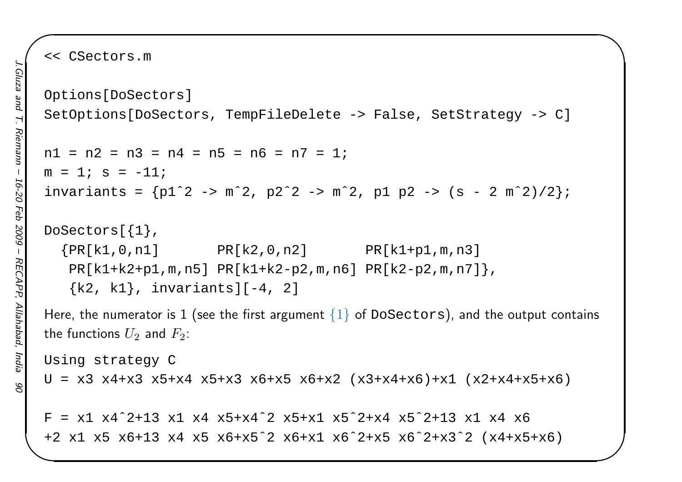<< CSectors.m

```
Options[DoSectors]SetOptions[DoSectors, TempFileDelete -> False, SetStrategy -> C]
n1 = n2 = n3 = n4 = n5 = n6 = n7 = 1;
m = 1; s = -11;
invariants = {p1ˆ2 -> mˆ2, p2ˆ2 -> mˆ2, p1 p2 -> (s - 2 mˆ2)/2};
DoSectors[{1},{PR[k1, 0, n1]} PR[k2, 0, n2] PR[k1 + p1, m, n3]PR[k1+k2+p1,m,n5] PR[k1+k2-p2,m,n6] PR[k2-p2,m,n7]},
   \{k2, k1\}, invariants][-4, 2]
Here, the numerator is 1 (see the first argument \{1\} of DoSectors), and the output contains
the functions U_2 and F_2:
Using strategy C
U = x3 x4+x3 x5+x4 x5+x3 x6+x5 x6+x2 (x3+x4+x6)+x1 (x2+x4+x5+x6)F = x1 x4^2+13 x1 x4 x5+x4^2 x5+x1 x5^2+x4 x5^2+13 x1 x4 x6
```
 $\begin{matrix} \hline \end{matrix}$ 

+2 x1 x5 x6+13 x4 x5 x6+x5ˆ2 x6+x1 x6ˆ2+x5 x6ˆ2+x3ˆ2 (x4+x5+x6)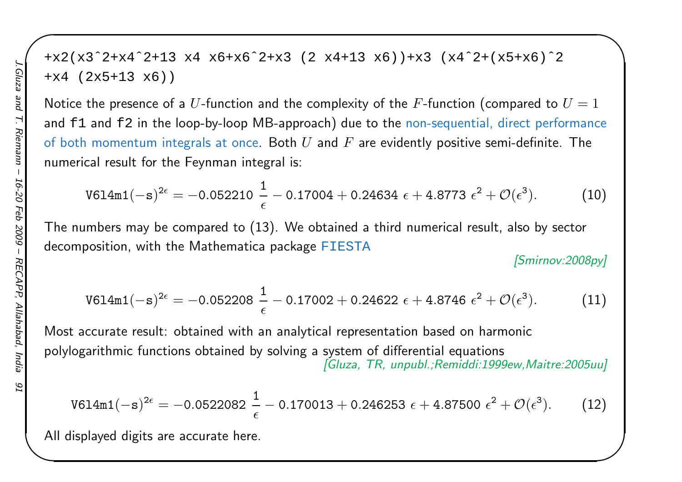+x2(x3ˆ2+x4ˆ2+13 x4 x6+x6ˆ2+x3 (2 x4+13 x6))+x3 (x4ˆ2+(x5+x6)ˆ2 +x4 (2x5+13 x6))

Notice the presence of a  $U$ -function and the complexity of the  $F$ -function (compared to  $U = 1$ and <code>f1</code> and <code>f2</code> in the loop-by-loop MB-approach) due to the non-sequential, direct performance of both momentum integrals at once. Both  $U$  and  $F$  are evidently positive semi-definite. The numerical result for the Feynman integral is:

$$
\texttt{V6l4m1}(-s)^{2\epsilon} = -0.052210 \frac{1}{\epsilon} - 0.17004 + 0.24634 \epsilon + 4.8773 \epsilon^2 + \mathcal{O}(\epsilon^3). \tag{10}
$$

The numbers may be compared to (13). We obtained <sup>a</sup> third numerical result, also by sectordecomposition, with the Mathematica package  $\tt{FIESTA}$ 

[Smirnov:2008py]

 $\begin{matrix} \hline \end{matrix}$ 

$$
\texttt{V614m1}(-s)^{2\epsilon} = -0.052208 \frac{1}{\epsilon} - 0.17002 + 0.24622 \epsilon + 4.8746 \epsilon^2 + \mathcal{O}(\epsilon^3). \tag{11}
$$

Most accurate result: obtained with an analytical representation based on harmonicpolylogarithmic functions obtained by solving <sup>a</sup> system of differential equations[Gluza, TR, unpubl.;Remiddi:1999ew,Maitre:2005uu]

$$
\mathtt{V614m1}(-s)^{2\epsilon} = -0.0522082 \; \frac{1}{\epsilon} - 0.170013 + 0.246253 \; \epsilon + 4.87500 \; \epsilon^2 + \mathcal{O}(\epsilon^3). \tag{12}
$$

All displayed digits are accurate here.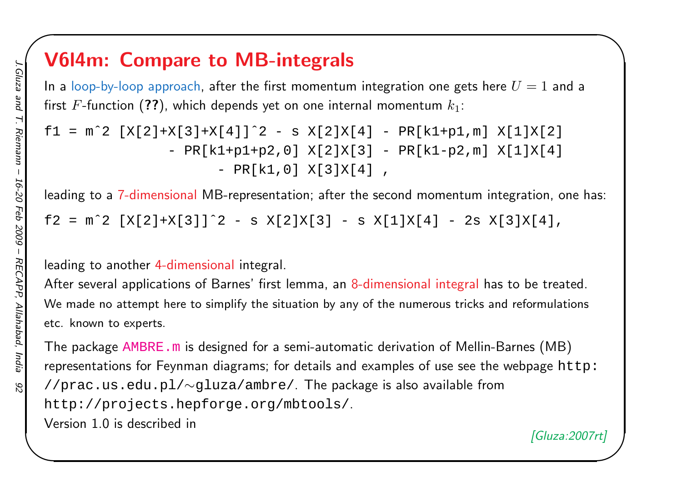## V6l4m: Compare to MB-integrals

In a loop-by-loop approach, after the first momentum integration one gets here  $U=1$  and a first  $F$ -function  $(\boldsymbol{?} \boldsymbol{?})$ , which depends yet on one internal momentum  $k_1$ :

 $\begin{matrix} \hline \end{matrix}$ 

```
f1 = m^2 [X[2]+X[3]+X[4]]<sup>2 - s</sup> X[2]X[4] - PR[k1+p1,m] X[1]X[2]
                - PR[k1+p1+p2,0] X[2]X[3] - PR[k1-p2,m] X[1]X[4]
                       - PR[k1,0] X[3]X[4] ,
```
leading to a 7-dimensional MB-representation; after the second momentum integration, one has:

f2 =  $m^2$  [X[2]+X[3]]<sup> $2 - s$ </sup> X[2]X[3] - s X[1]X[4] - 2s X[3]X[4],

leading to another 4-dimensional integral.

After several applications of Barnes' first lemma, an 8-dimensional integral has to be treated. We made no attempt here to simplify the situation by any of the numerous tricks and reformulations etc. known to experts.

The package  $\overline{\rm AMBRE}$  .  $\rm m$  is designed for a semi-automatic derivation of Mellin-Barnes  $(\rm MB)$ representations for Feynman diagrams; for details and examples of use see the webpage  ${\tt http:}$ //prac.us.edu.pl/<sup>∼</sup>gluza/ambre/. The package is also available from http://projects.hepforge.org/mbtools/.Version 1.0 is described in[Gluza:2007rt]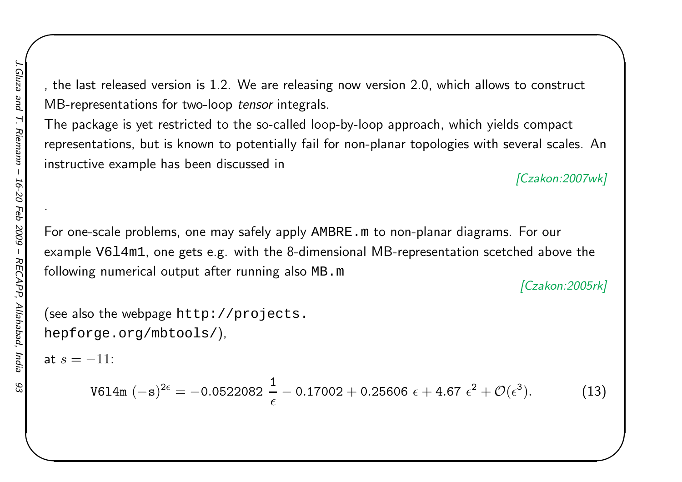, the last released version is 1.2. We are releasing now version 2.0, which allows to constructMB-representations for two-loop *tensor* integrals.

The package is yet restricted to the so-called loop-by-loop approach, which <sup>y</sup>ields compact representations, but is known to potentially fail for non-planar topologies with several scales. Aninstructive example has been discussed in

[Czakon:2007wk]

 $\begin{matrix} \hline \end{matrix}$ 

.<br>For one-scale problems, one may safely apply AMBRE .m to non-planar diagrams. For our example V6l4m1, one gets e.g. with the 8-dimensional MB-representation scetched above the following numerical output after running also MB.m

[Czakon: 2005rk]

```
(see also the webpage {\tt http://projects.}hepforge.org/mbtools/),
```
at  $s=-11:$ 

$$
\text{V614m }(-\text{s})^{2\epsilon} = -0.0522082 \frac{1}{\epsilon} - 0.17002 + 0.25606 \epsilon + 4.67 \epsilon^2 + \mathcal{O}(\epsilon^3). \tag{13}
$$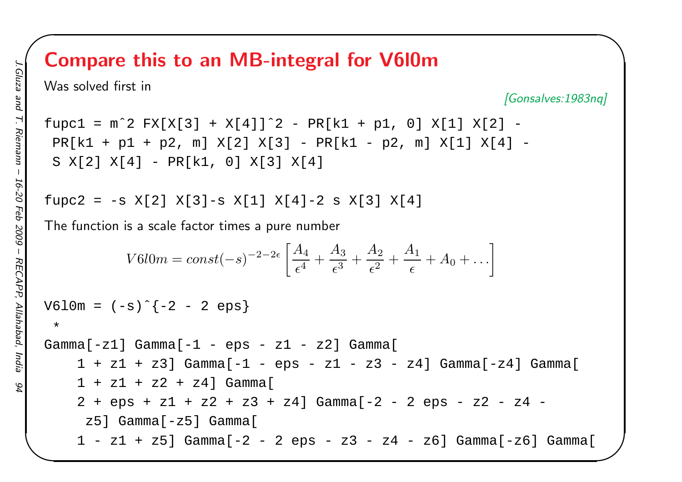## Compare this to an MB-integral for V6l0m

Was solved first in

[Gonsalves:1983nq]

 $\begin{matrix} \hline \end{matrix}$ 

 $fupc1 = m^2 \, FX[X[3] + X[4]]^2 - PR[k1 + p1, 0] X[1] X[2] -$ PR[k1 <sup>+</sup> p1 <sup>+</sup> p2, m] X[2] X[3] - PR[k1 - p2, m] X[1] X[4] - <sup>S</sup> X[2] X[4] - PR[k1, 0] X[3] X[4]

```
fupc2 = -s X[2] X[3]-s X[1] X[4]-2 s X[3] X[4]
```
The function is <sup>a</sup> scale factor times <sup>a</sup> pure number

$$
V6l0m = const(-s)^{-2-2\epsilon} \left[ \frac{A_4}{\epsilon^4} + \frac{A_3}{\epsilon^3} + \frac{A_2}{\epsilon^2} + \frac{A_1}{\epsilon} + A_0 + \ldots \right]
$$

 $V610m = (-s)$ <sup>2</sup> - 2 eps}

 Gamma[-z1] Gamma[-1 - eps - z1 - z2] Gamma[ <sup>1</sup> <sup>+</sup> z1 <sup>+</sup> z3] Gamma[-1 - eps - z1 - z3 - z4] Gamma[-z4] Gamma[ <sup>1</sup> <sup>+</sup> z1 <sup>+</sup> z2 <sup>+</sup> z4] Gamma[ <sup>2</sup> <sup>+</sup> eps <sup>+</sup> z1 <sup>+</sup> z2 <sup>+</sup> z3 <sup>+</sup> z4] Gamma[-2 - <sup>2</sup> eps - z2 - z4 z5] Gamma[-z5] Gamma[ <sup>1</sup> - z1 <sup>+</sup> z5] Gamma[-2 - <sup>2</sup> eps - z3 - z4 - z6] Gamma[-z6] Gamma[

\*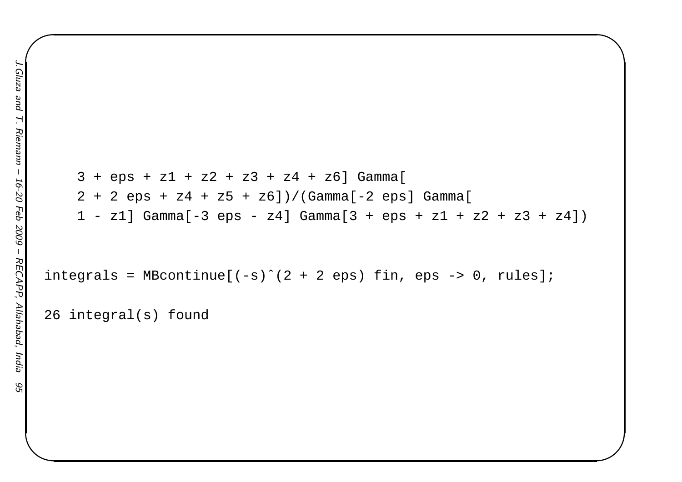```
3 + eps + z1 + z2 + z3 + z4 + z6 Gamma[
2 + 2 eps + z4 + z5 + z6])/(Gamma[-2 eps] Gamma[
1 - z1] Gamma[-3 \text{eps} - z4] Gamma[3 + \text{eps} + z1 + z2 + z3 + z4])
```
 $\begin{matrix} \hline \end{matrix}$ 

```
integrals = MBcontinue[(-s)^{2} + 2 eps) fin, eps -> 0, rules];
```
<sup>26</sup> integral(s) found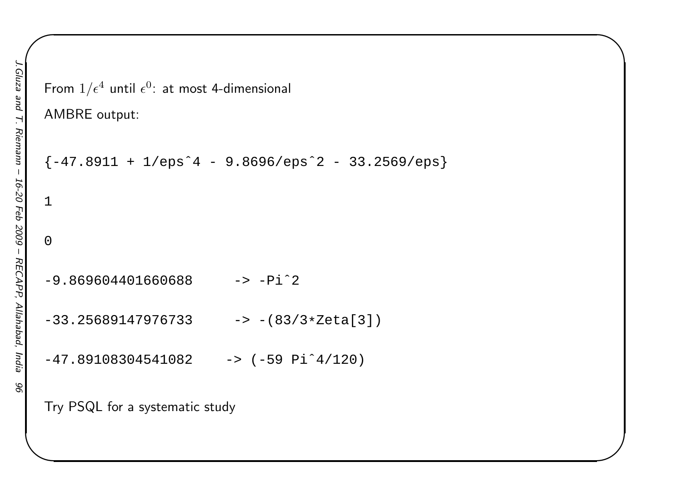```
AMBRE output:
{-47.8911 + 1/eps^4 - 9.8696/eps^2 - 33.2569/eps}1\Omega-9.869604401660688 - > -Pi^2-33.25689147976733  -> -(83/3*Zeta[3])
-47.89108304541082 -59.91^4/120Try PSQL for a systematic study
```
From  $1/\epsilon^4$  until  $\epsilon^0$ : at most 4-dimensional

 $\begin{matrix} \hline \end{matrix}$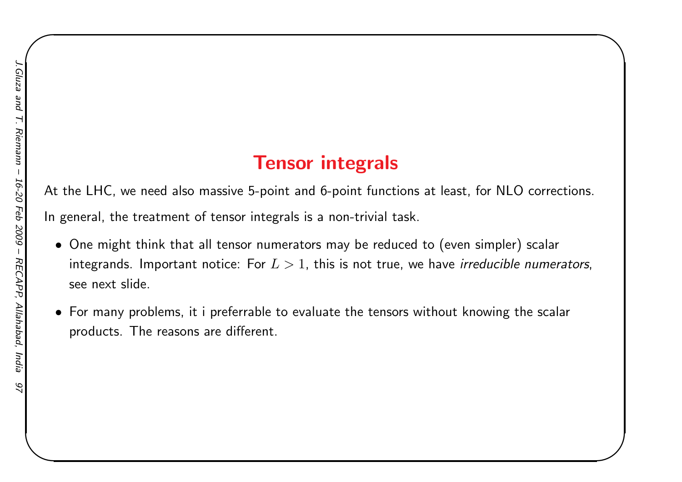# Tensor integrals

 $\begin{matrix} \hline \end{matrix}$ 

At the LHC, we need also massive 5-point and 6-point functions at least, for NLO corrections.

In general, the treatment of tensor integrals is <sup>a</sup> non-trivial task.

- One might think that all tensor numerators may be reduced to (even simpler) scalar integrands. Important notice: For  $L>1,$  this is not true, we have *irreducible numerators*, see next slide.
- $\bullet\,$  For many problems, it i preferrable to evaluate the tensors without knowing the scalar products. The reasons are different.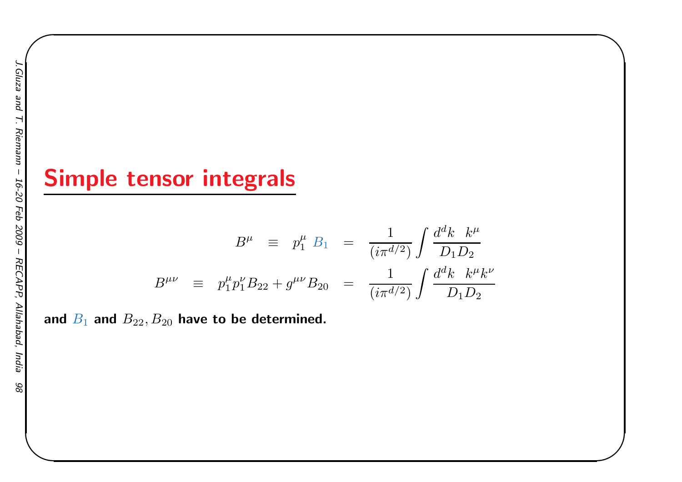# Simple tensor integrals

$$
B^{\mu} \equiv p_1^{\mu} B_1 = \frac{1}{(i\pi^{d/2})} \int \frac{d^d k \ k^{\mu}}{D_1 D_2}
$$
  

$$
B^{\mu\nu} \equiv p_1^{\mu} p_1^{\nu} B_{22} + g^{\mu\nu} B_{20} = \frac{1}{(i\pi^{d/2})} \int \frac{d^d k \ k^{\mu} k^{\nu}}{D_1 D_2}
$$

 $\begin{matrix} \hline \end{matrix}$ 

and  $B_1$  and  $B_{22}, B_{20}$  have to be determined.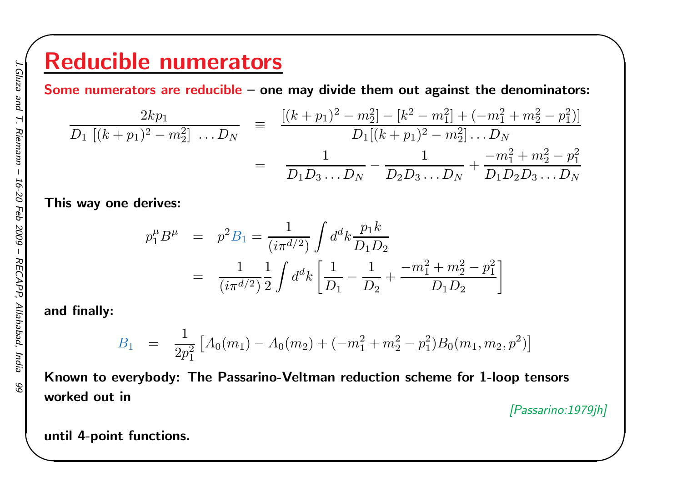# Reducible numerators

Some numerators are reducible – one may divide them out against the denominators:

$$
\frac{2kp_1}{D_1 [(k+p_1)^2 - m_2^2] \dots D_N} = \frac{[(k+p_1)^2 - m_2^2] - [k^2 - m_1^2] + (-m_1^2 + m_2^2 - p_1^2)]}{D_1 [(k+p_1)^2 - m_2^2] \dots D_N}
$$

$$
= \frac{1}{D_1 D_3 \dots D_N} - \frac{1}{D_2 D_3 \dots D_N} + \frac{-m_1^2 + m_2^2 - p_1^2}{D_1 D_2 D_3 \dots D_N}
$$

This way one derives:

$$
p_1^{\mu} B^{\mu} = p^2 B_1 = \frac{1}{(i\pi^{d/2})} \int d^d k \frac{p_1 k}{D_1 D_2}
$$
  
= 
$$
\frac{1}{(i\pi^{d/2})} \frac{1}{2} \int d^d k \left[ \frac{1}{D_1} - \frac{1}{D_2} + \frac{-m_1^2 + m_2^2 - p_1^2}{D_1 D_2} \right]
$$

and finally:

$$
B_1 = \frac{1}{2p_1^2} \left[ A_0(m_1) - A_0(m_2) + (-m_1^2 + m_2^2 - p_1^2) B_0(m_1, m_2, p^2) \right]
$$

Known to everybody: The Passarino-Veltman reduction scheme for 1-loop tensorsworked out in

[Passarino:1979jh]

 $\begin{matrix} \hline \end{matrix}$ 

until 4-point functions.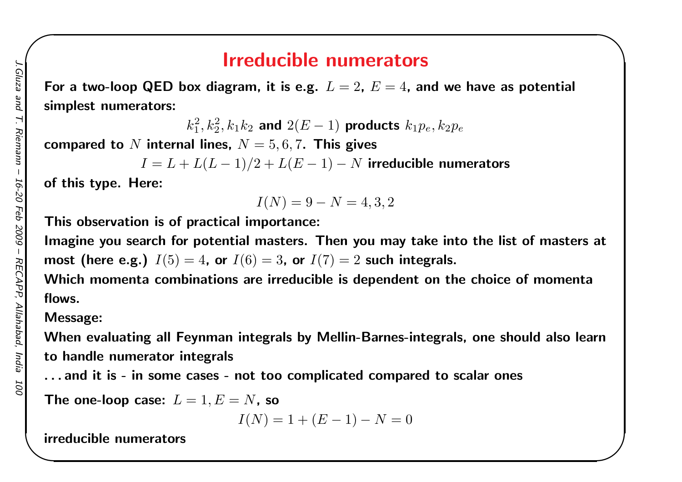## Irreducible numerators

 $\begin{matrix} \hline \end{matrix}$ 

For a two-loop QED box diagram, it is e.g.  $\, L = 2, \, E = 4,$  and we have as potential simplest numerators:

> $k_1^2, k_2^2, k_1 k_2$  and  $2(E (-1)$  products  $k_1p_e,k_2p_e$

compared to  $N$  internal lines,  $N=5,6,7.$  This gives

 $I=L+L(L -1)/2 + L(E -1)$  $−N$  irreducible numerators

of this type. Here:

$$
I(N) = 9 - N = 4, 3, 2
$$

This observation is of practical importance:

Imagine you search for potential masters. Then you may take into the list of masters atmost (here e.g.)  $I(5) = 4$ , or  $I(6) = 3$ , or  $I(7) = 2$  such integrals.

Which momenta combinations are irreducible is dependent on the choice of momenta flows.

#### Message:

When evaluating all Feynman integrals by Mellin-Barnes-integrals, one should also learnto handle numerator integrals

. . . and it is - in some cases - not too complicated compared to scalar ones

The one-loop case:  $L=1, E=N$ , so

$$
I(N) = 1 + (E - 1) - N = 0
$$

irreducible numerators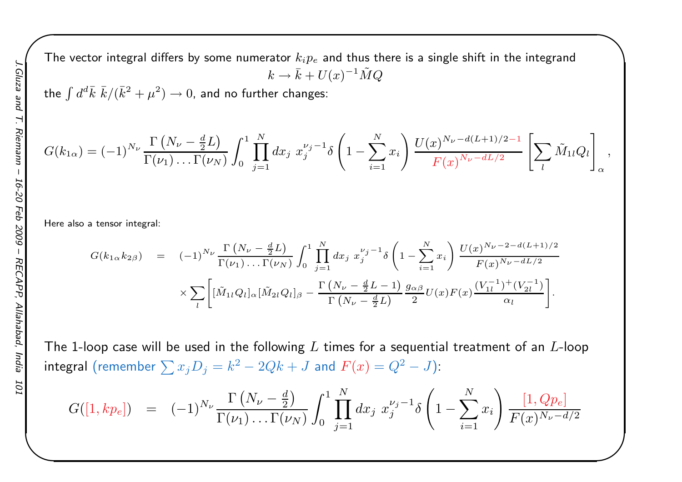The vector integral differs by some numerator  $k_i p_e$  and thus there is a single shift in the integrand  $k\rightarrow \bar{k}+U(x)^{-1}\tilde{M}Q$ 

the  $\int d^d\bar{k}\,\,\bar{k}/(\bar{k}^2+\mu^2)\to 0$ , and no further changes:

$$
G(k_{1\alpha}) = (-1)^{N_{\nu}} \frac{\Gamma(N_{\nu} - \frac{d}{2}L)}{\Gamma(\nu_1) \dots \Gamma(\nu_N)} \int_0^1 \prod_{j=1}^N dx_j \ x_j^{\nu_j - 1} \delta\left(1 - \sum_{i=1}^N x_i\right) \frac{U(x)^{N_{\nu} - d(L+1)/2 - 1}}{F(x)^{N_{\nu} - dL/2}} \left[\sum_l \tilde{M}_{1l} Q_l\right]_{\alpha},
$$

 $\begin{matrix} \hline \end{matrix}$ 

Here also <sup>a</sup> tensor integral:

$$
G(k_{1\alpha}k_{2\beta}) = (-1)^{N_{\nu}} \frac{\Gamma(N_{\nu} - \frac{d}{2}L)}{\Gamma(\nu_{1}) \dots \Gamma(\nu_{N})} \int_{0}^{1} \prod_{j=1}^{N} dx_{j} x_{j}^{\nu_{j}-1} \delta\left(1 - \sum_{i=1}^{N} x_{i}\right) \frac{U(x)^{N_{\nu}-2-d(L+1)/2}}{F(x)^{N_{\nu}-dL/2}} \times \sum_{l} \left[ [\tilde{M}_{1l} Q_{l}]_{\alpha} [\tilde{M}_{2l} Q_{l}]_{\beta} - \frac{\Gamma(N_{\nu} - \frac{d}{2}L - 1)}{\Gamma(N_{\nu} - \frac{d}{2}L)} \frac{g_{\alpha\beta}}{2} U(x) F(x) \frac{(V_{1l}^{-1})^{+}(V_{2l}^{-1})}{\alpha_{l}} \right].
$$

The 1-loop case will be used in the following  $L$  times for a sequential treatment of an  $L$ -loop  ${\sf integral\,\,} ({\sf remember}\,\sum x_jD_j=k^2-2Qk+J\,\,{\sf and}\,\,F(x)=Q^2-J) \mathcal{E}$ 

$$
G([1, kp_e]) = (-1)^{N_{\nu}} \frac{\Gamma(N_{\nu} - \frac{d}{2})}{\Gamma(\nu_1) \dots \Gamma(\nu_N)} \int_0^1 \prod_{j=1}^N dx_j \ x_j^{\nu_j - 1} \delta\left(1 - \sum_{i=1}^N x_i\right) \frac{[1, Qp_e]}{F(x)^{N_{\nu} - d/2}}
$$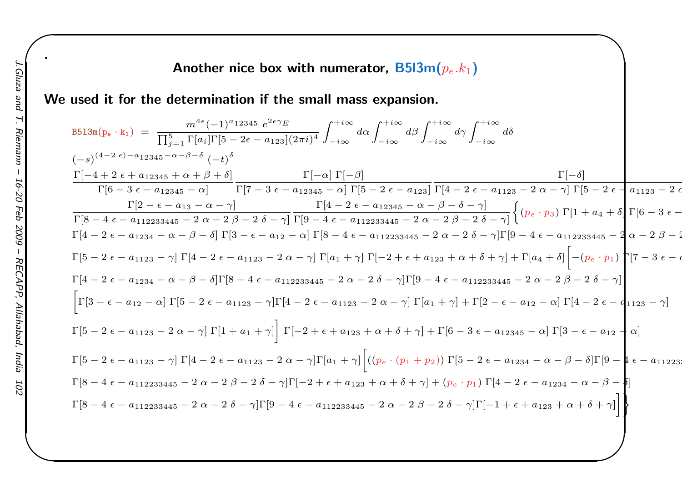#### Another nice box with numerator,  $\mathsf{B5l3m}(p_e.k_1)$

We used it for the determination if the small mass expansion.

$$
B513m(p_e \cdot k_1) = \frac{m^{4e}(-1)^{a}12345 e^{2e\gamma}E}{\prod_{j=1}^{5} \prod_{i=1}^{5} \prod_{i=1}^{5} [a_i] \Gamma[5 - 2\epsilon - a_{123}] (2\pi i)^4} \int_{-i\infty}^{+i\infty} d\alpha \int_{-i\infty}^{+i\infty} d\beta \int_{-i\infty}^{+i\infty} d\delta
$$
  
\n
$$
(-s)^{(4-2\epsilon)-a}12345 - \alpha - \beta - \delta (-t)^{\delta}
$$
\n
$$
\frac{\Gamma[-4 + 2\epsilon + a_{12345} + \alpha + \beta + \delta]}{\Gamma[6 - 3\epsilon - a_{12345} - \alpha]} \frac{\Gamma[-\alpha] \Gamma[-\beta]}{\Gamma[7 - 3\epsilon - a_{12345} - \alpha] \Gamma[5 - 2\epsilon - a_{123}]} \frac{\Gamma[4 - 2\epsilon - a_{1123} - 2\alpha - \gamma] \Gamma[5 - 2\epsilon - a_{1123} - 2\alpha - \gamma]}{\Gamma[8 - 4\epsilon - a_{112233445} - 2\alpha - 2\beta - 2\delta - \gamma]} \frac{\Gamma[4 - 2\epsilon - a_{12345} - \alpha - \beta - \delta - \gamma]}{\Gamma[8 - 4\epsilon - a_{112233445} - 2\alpha - 2\beta - 2\delta - \gamma]} \left\{ (p_e \cdot p_3) \Gamma[1 + a_4 + \delta] \Gamma[6 - 3\epsilon - \gamma] \Gamma[6 - 2\epsilon - a_{1234} - \alpha - \beta - \delta] \Gamma[3 - \epsilon - a_{122} - \alpha] \Gamma[8 - 4\epsilon - a_{112233445} - 2\alpha - 2\beta - 2\delta - \gamma] \Gamma[9 - 4\epsilon - a_{112233445} - 2\alpha - 2\beta - 2\delta - \gamma] \Gamma[9 - 4\epsilon - a_{112233445} - 2\alpha - 2\beta - 2\delta - \gamma] \Gamma[7 - 3\epsilon - \alpha - \gamma] \Gamma[4 - 2\epsilon - a_{1234} - \alpha - \beta - \delta] \Gamma[8 - 4\epsilon - a_{112233445} - 2\alpha
$$

 $\begin{matrix} \hline \end{matrix}$ 

2

 $\epsilon$ 

.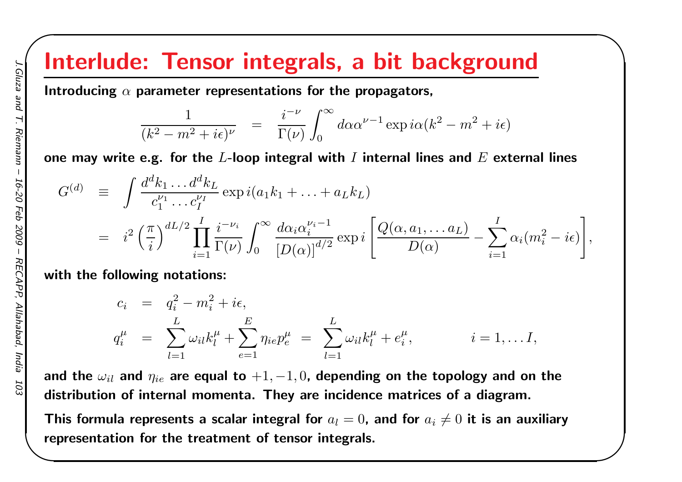# Interlude: Tensor integrals, <sup>a</sup> bit background

Introducing  $\alpha$  parameter representations for the propagators,

$$
\frac{1}{(k^2 - m^2 + i\epsilon)^{\nu}} = \frac{i^{-\nu}}{\Gamma(\nu)} \int_0^{\infty} d\alpha \alpha^{\nu - 1} \exp i\alpha (k^2 - m^2 + i\epsilon)
$$

 $\begin{matrix} \hline \end{matrix}$ 

one may write e.g. for the  $L$ -loop integral with  $I$  internal lines and  $E$  external lines

$$
G^{(d)} = \int \frac{d^d k_1 \dots d^d k_L}{c_1^{\nu_1} \dots c_I^{\nu_I}} \exp i(a_1 k_1 + \dots + a_L k_L)
$$
  
=  $i^2 \left(\frac{\pi}{i}\right)^{dL/2} \prod_{i=1}^I \frac{i^{-\nu_i}}{\Gamma(\nu)} \int_0^\infty \frac{d\alpha_i \alpha_i^{\nu_i - 1}}{\left[D(\alpha)\right]^{d/2}} \exp i \left[\frac{Q(\alpha, a_1, \dots a_L)}{D(\alpha)} - \sum_{i=1}^I \alpha_i (m_i^2 - i\epsilon)\right],$ 

with the following notations:

$$
c_i = q_i^2 - m_i^2 + i\epsilon,
$$
  
\n
$$
q_i^{\mu} = \sum_{l=1}^{L} \omega_{il} k_l^{\mu} + \sum_{e=1}^{E} \eta_{ie} p_e^{\mu} = \sum_{l=1}^{L} \omega_{il} k_l^{\mu} + e_i^{\mu}, \qquad i = 1, ... I,
$$

and the  $\omega_{il}$  and  $\eta_{ie}$  are equal to  $+1, -1, 0$ , depending on the topology and on the distribution of internal momenta. They are incidence matrices of <sup>a</sup> diagram.

This formula represents a scalar integral for  $a_l = 0$ , and for  $a_i \neq 0$  it is an auxiliary representation for the treatment of tensor integrals.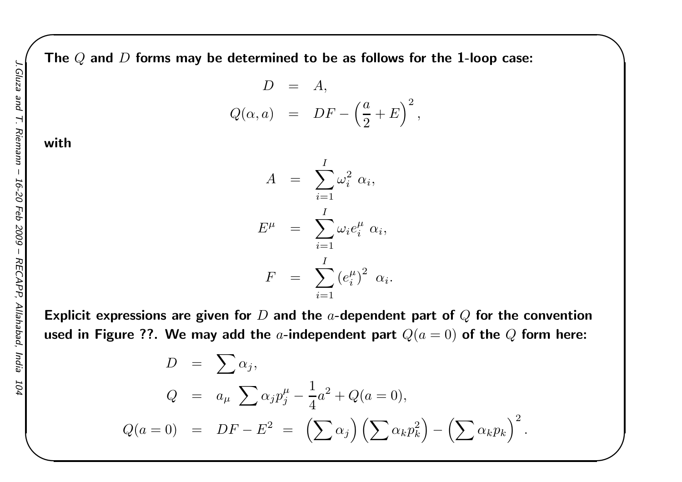The  $Q$  and  $D$  forms may be determined to be as follows for the 1-loop case:

$$
D = A,
$$
  
\n
$$
Q(\alpha, a) = DF - \left(\frac{a}{2} + E\right)^2,
$$

 $\begin{matrix} \hline \end{matrix}$ 

#### with

A= $=\sum_{i=1}^I$  $i$ =1 ω $_i^2 \alpha_i,$ E $\begin{array}{cc} \mu & = \end{array}$  $=\sum_{i=1}^I$  $i{=}1$  $\omega_i e$  $\frac{\mu}{i} \alpha_i,$  $\,F$ = $\sum^I (e$  $i=1$  $\binom{\mu}{i}$ <sup>2</sup>  $\alpha_i$ .

Explicit expressions are given for  $D$  and the  $a$ -dependent part of  $Q$  for the convention used in Figure ??. We may add the  $a$ -independent part  $Q(a = 0)$  of the  $Q$  form here:

> $D=$  $\sum \alpha_j,$  $Q~=~\ a_\mu~\sum\alpha_j p_j^\mu - \frac{1}{4}$  $\frac{1}{4}a^2 + Q(a=0),$  $Q(a=0) = DF - E^2 =$  $\left(\sum\right)$  $\alpha$  $_j\Big)\Bigl(\sum$  $\alpha_k p$  $\left(\begin{matrix} 2 \ k \end{matrix}\right)$ − $\left(\sum\right)$  $\alpha_k p_k$  $\Big)^2$  .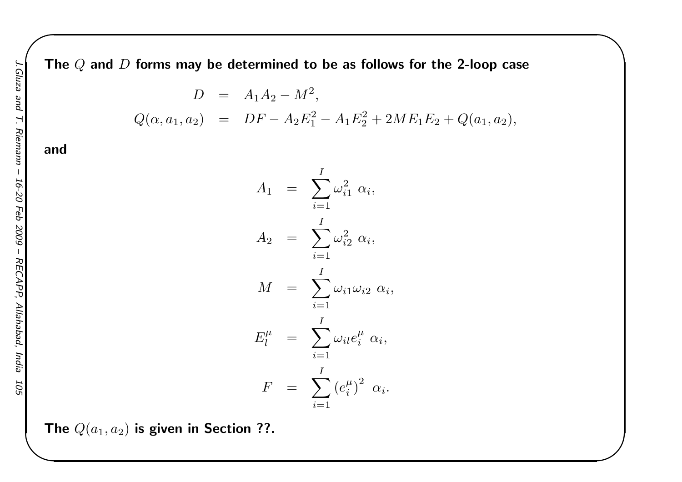The  $Q$  and  $D$  forms may be determined to be as follows for the 2-loop case

$$
D = A_1 A_2 - M^2,
$$
  
\n
$$
Q(\alpha, a_1, a_2) = DF - A_2 E_1^2 - A_1 E_2^2 + 2M E_1 E_2 + Q(a_1, a_2),
$$

 $\begin{matrix} \hline \end{matrix}$ 

and



The  $Q(a_1, a_2)$  is given in Section ??.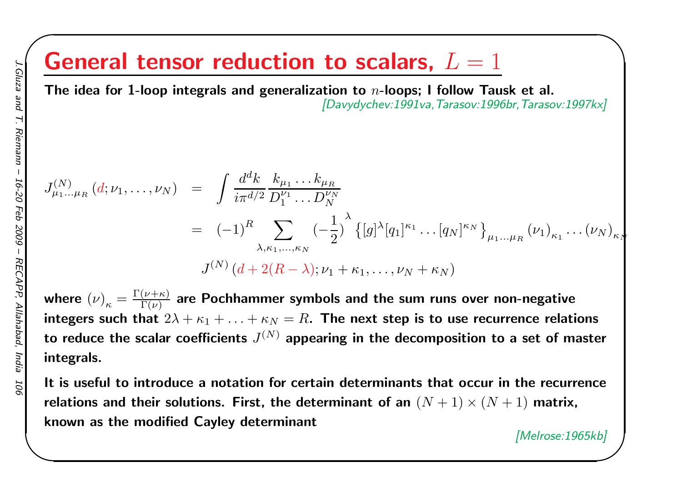# General tensor reduction to scalars,  $L=1$

The idea for 1-loop integrals and generalization to  $n\text{-loops};$  I follow Tausk et al. [Davydychev:1991va,Tarasov:1996br,Tarasov:1997kx]

$$
J_{\mu_1...\mu_R}^{(N)}(d;\nu_1,...,\nu_N) = \int \frac{d^d k}{i\pi^{d/2}} \frac{k_{\mu_1}...k_{\mu_R}}{D_1^{\nu_1}...D_N^{\nu_N}}
$$
  
=  $(-1)^R \sum_{\lambda,\kappa_1,...,\kappa_N} (-\frac{1}{2})^{\lambda} \{ [g]^{\lambda} [q_1]^{\kappa_1}...[q_N]^{\kappa_N} \}_{\mu_1...\mu_R} (\nu_1)_{\kappa_1}...(\nu_N)_{\kappa_N}$   

$$
J^{(N)}(d+2(R-\lambda);\nu_1+\kappa_1,...,\nu_N+\kappa_N)
$$

where  $\left(\nu\right)_\kappa=$ integers such that  $2\lambda+\kappa_1+\ldots+\kappa_N=R.$  The next step is to use recurrence relations  $=\frac{\Gamma(\nu+}{\Gamma(\nu+1)}$  $\frac{(\nu+\kappa)}{\Gamma(\nu)}$  are Pochhammer symbols and the sum runs over non-negative to reduce the scalar coefficients  $J^{(N)}$  appearing in the decomposition to a set of master integrals.

It is useful to introduce <sup>a</sup> notation for certain determinants that occur in the recurrencerelations and their solutions. First, the determinant of an  $(N+1)\times(N+1)$  matrix, known as the modified Cayley determinant

 $\begin{matrix} \hline \end{matrix}$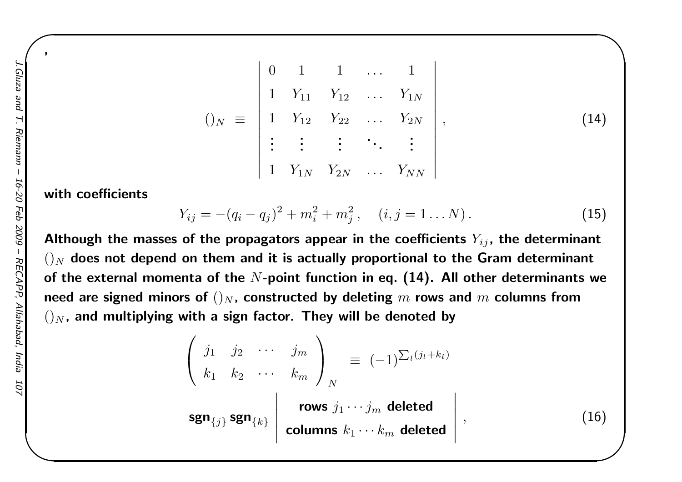$$
()_{N} \equiv \begin{vmatrix} 0 & 1 & 1 & \dots & 1 \\ 1 & Y_{11} & Y_{12} & \dots & Y_{1N} \\ 1 & Y_{12} & Y_{22} & \dots & Y_{2N} \\ \vdots & \vdots & \vdots & \ddots & \vdots \\ 1 & Y_{1N} & Y_{2N} & \dots & Y_{NN} \end{vmatrix},
$$
 (14)

 $\begin{matrix} \hline \end{matrix}$ 

with coefficients

$$
Y_{ij} = -(q_i - q_j)^2 + m_i^2 + m_j^2, \quad (i, j = 1...N).
$$
 (15)

Although the masses of the propagators appear in the coefficients  $Y_{ij}$ , the determinant  $()_{N}$  does not depend on them and it is actually proportional to the Gram determinant of the external momenta of the  $N\text{-}\mathsf{point}$  function in eq. (14). All other determinants we need are signed minors of  $()_N$ , constructed by deleting  $m$  rows and  $m$  columns from  $()_N$ , and multiplying with a sign factor. They will be denoted by

$$
\begin{pmatrix}\nj_1 & j_2 & \cdots & j_m \\
k_1 & k_2 & \cdots & k_m\n\end{pmatrix}_N \equiv (-1)^{\sum_l (j_l + k_l)}
$$
\n
$$
\text{sgn}_{\{j\}} \text{sgn}_{\{k\}} \begin{vmatrix}\n\text{rows } j_1 \cdots j_m \text{ deleted} \\
\text{columns } k_1 \cdots k_m \text{ deleted}\n\end{vmatrix},
$$
\n(16)

,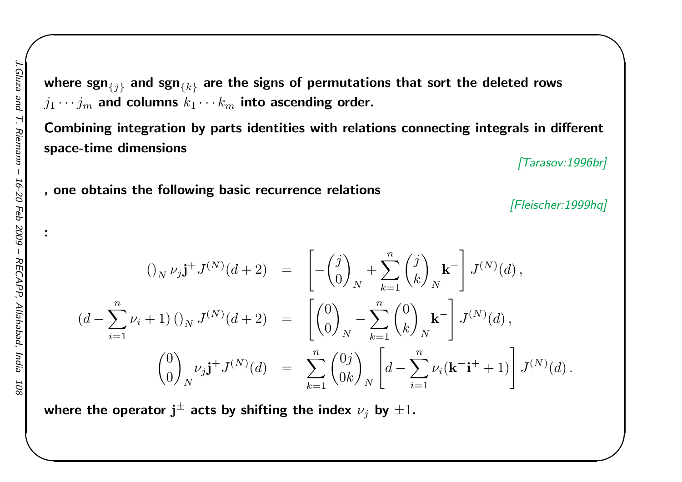:

where sgn $_{\{j\}}$  and sgn $_{\{k\}}$  are the signs of permutations that sort the deleted rows  $j_1 \cdots j_m$  and columns  $k$  $_m$  and columns  $k_1 \cdots k_m$  $_m$  into ascending order.

Combining integration by parts identities with relations connecting integrals in differentspace-time dimensions

[Tarasov:1996br]

 $\begin{matrix} \hline \end{matrix}$ 

, one obtains the following basic recurrence relations

[Fleischer:1999hq]

$$
\begin{array}{rcl}\n\left(\int_{N} \nu_{j} \mathbf{j}^{+} J^{(N)}(d+2) & = & \left[ -\binom{j}{0}_{N} + \sum_{k=1}^{n} \binom{j}{k}_{N} \mathbf{k}^{-} \right] J^{(N)}(d) \,, \\
\left(d - \sum_{i=1}^{n} \nu_{i} + 1\right) \left(\int_{N} J^{(N)}(d+2) & = & \left[ \binom{0}{0}_{N} - \sum_{k=1}^{n} \binom{0}{k}_{N} \mathbf{k}^{-} \right] J^{(N)}(d) \,, \\
\left(\begin{array}{c} 0 \\ 0 \end{array}\right)_{N} \nu_{j} \mathbf{j}^{+} J^{(N)}(d) & = & \sum_{k=1}^{n} \binom{0j}{0k}_{N} \left[ d - \sum_{i=1}^{n} \nu_{i} (\mathbf{k}^{-} \mathbf{i}^{+} + 1) \right] J^{(N)}(d) \,.\n\end{array}
$$

where the operator  ${\bf j}^{\pm}$  acts by shifting the index  $\nu_j$  by  $\pm 1.$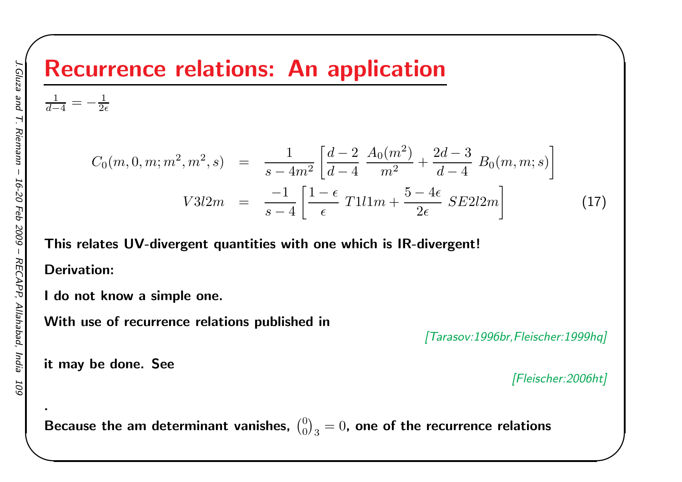# Recurrence relations: An application

$$
\frac{1}{d-4} = -\frac{1}{2\epsilon}
$$

$$
C_0(m, 0, m; m^2, m^2, s) = \frac{1}{s - 4m^2} \left[ \frac{d - 2}{d - 4} \frac{A_0(m^2)}{m^2} + \frac{2d - 3}{d - 4} B_0(m, m; s) \right]
$$
  

$$
V3l2m = \frac{-1}{s - 4} \left[ \frac{1 - \epsilon}{\epsilon} T1l1m + \frac{5 - 4\epsilon}{2\epsilon} SE2l2m \right]
$$
 (17)

This relates UV-divergent quantities with one which is IR-divergent!

Derivation:

<sup>I</sup> do not know <sup>a</sup> simple one.

With use of recurrence relations published in

[Tarasov:1996br,Fleischer:1999hq]

it may be done. See

[Fleischer:2006ht]

 $\begin{matrix} \hline \end{matrix}$ 

Because the am determinant vanishes,  $\binom{0}{0}_3=0$ , one of the recurrence relations

.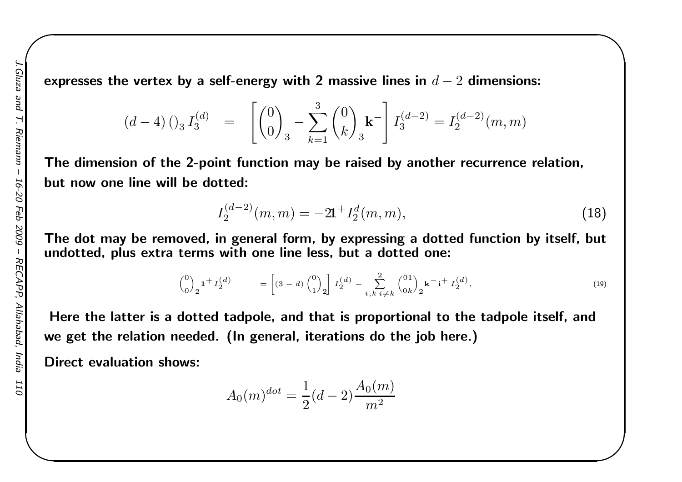expresses the vertex by a self-energy with 2 massive lines in  $d-2$  dimensions:

$$
(d-4) \begin{pmatrix} 0 & 0 \\ 0 & 0 \end{pmatrix}_3 = \begin{bmatrix} 0 \\ 0 \\ 0 \end{bmatrix}_3 - \sum_{k=1}^3 \begin{pmatrix} 0 \\ k \end{pmatrix}_3 \mathbf{k}^{-} \begin{bmatrix} 0 \\ 0 \\ 0 \end{bmatrix}_3 = I_2^{(d-2)}(m, m)
$$

The dimension of the 2-point function may be raised by another recurrence relation, but now one line will be dotted:

$$
I_2^{(d-2)}(m,m) = -2\mathbf{1}^+ I_2^d(m,m),\tag{18}
$$

 $\begin{matrix} \hline \end{matrix}$ 

The dot may be removed, in genera<sup>l</sup> form, by expressing <sup>a</sup> dotted function by itself, butundotted, plus extra terms with one line less, but a dotted one:

$$
\binom{0}{0}_2 \mathbf{1}^+ I_2^{(d)} \qquad = \left[ (3-d) \binom{0}{1}_2 \right] I_2^{(d)} - \sum_{i,k \ i \neq k}^{2} \binom{01}{0k}_2 \mathbf{k}^- \mathbf{i}^+ I_2^{(d)}, \tag{19}
$$

Here the latter is <sup>a</sup> dotted tadpole, and that is proportional to the tadpole itself, andwe get the relation needed. (In general, iterations do the job here.)

Direct evaluation shows:

$$
A_0(m)^{dot} = \frac{1}{2}(d-2)\frac{A_0(m)}{m^2}
$$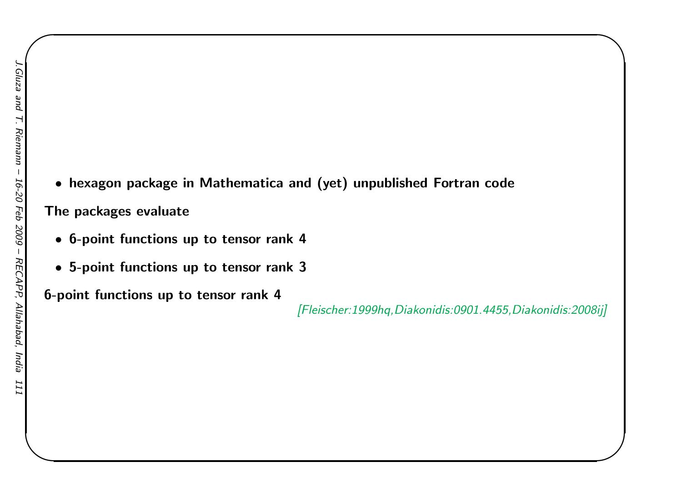• hexagon package in Mathematica and (yet) unpublished Fortran code

The packages evaluate

- 6-point functions up to tensor rank <sup>4</sup>
- 5-point functions up to tensor rank <sup>3</sup>

6-point functions up to tensor rank <sup>4</sup>

[Fleischer:1999hq,Diakonidis:0901.4455,Diakonidis:2008ij]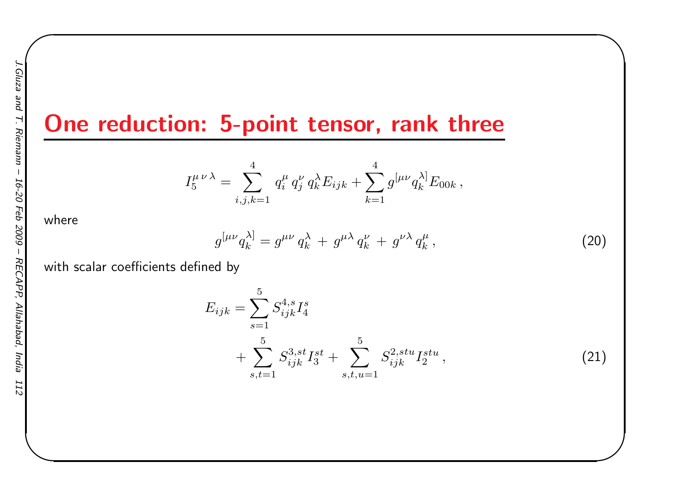## One reduction: 5-point tensor, rank three

$$
I_5^{\mu\nu\lambda} = \sum_{i,j,k=1}^4 q_i^{\mu} q_j^{\nu} q_k^{\lambda} E_{ijk} + \sum_{k=1}^4 g^{[\mu\nu} q_k^{\lambda]} E_{00k},
$$

where

$$
g^{[\mu\nu}q_k^{\lambda]} = g^{\mu\nu}q_k^{\lambda} + g^{\mu\lambda}q_k^{\nu} + g^{\nu\lambda}q_k^{\mu}, \qquad (20)
$$

 $\begin{matrix} \hline \end{matrix}$ 

with scalar coefficients defined by

$$
E_{ijk} = \sum_{s=1}^{5} S_{ijk}^{4,s} I_4^s
$$
  
+ 
$$
\sum_{s,t=1}^{5} S_{ijk}^{3,st} I_3^{st} + \sum_{s,t,u=1}^{5} S_{ijk}^{2,stu} I_2^{stu},
$$
 (21)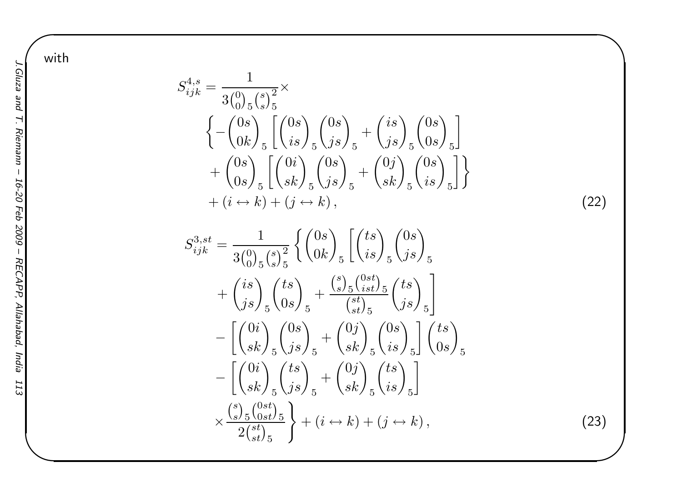with

$$
S_{ijk}^{4,s} = \frac{1}{3\binom{0}{0}5\binom{s}{s}5} \times \left\{ -\binom{0s}{0k}5\binom{0s}{s}5\binom{0s}{s}5\binom{0s}{s}5\binom{0s}{s}5\binom{0s}{s}5\binom{0s}{s}5\right\} + \left\{\binom{0s}{0s}5\binom{0s}{s}5\binom{0s}{s}5\binom{0s}{s}5\binom{0s}{s}5\binom{0s}{s}5\binom{0s}{s}5\right\} + (i \leftrightarrow k) + (j \leftrightarrow k),\tag{22}
$$

$$
S_{ijk}^{3,st} = \frac{1}{3\binom{0}{0}_{5}\binom{s}{s}_{5}^{2}} \left\{ \binom{0s}{0k}_{5} \left[ \binom{ts}{is}_{5} \binom{0s}{js}_{5} \right]_{5} + \binom{is}{js}_{5} \binom{ts}{0s}_{5} + \frac{\binom{s}{s}_{5}\binom{0st}{ist}_{5}}{\binom{st}{st}_{5}} \binom{ts}{js}_{5} \right\} - \left[ \binom{0i}{sk}_{5}\binom{0s}{js}_{5} + \binom{0j}{sk}_{5}\binom{0s}{is}_{5} \right] \binom{ts}{0s}_{5} - \left[ \binom{0i}{sk}_{5}\binom{ts}{js}_{5} + \binom{0j}{sk}_{5}\binom{ts}{is}_{5} \right] - \left[ \binom{0i}{sk}_{5}\binom{ts}{js}_{5} + \binom{0j}{sk}_{5}\binom{ts}{is}_{5} \right] - \times \frac{\binom{s}{s}_{5}\binom{0st}{0st}_{5}}{2\binom{st}{st}_{5}} + (i \leftrightarrow k) + (j \leftrightarrow k), \tag{23}
$$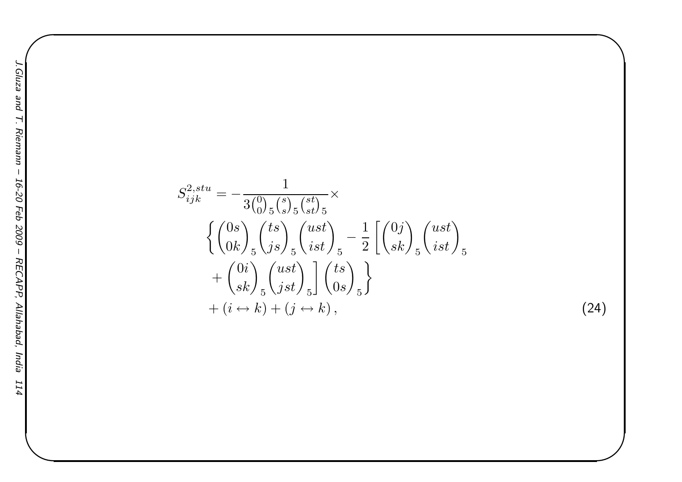$$
S_{ijk}^{2,stu} = -\frac{1}{3\binom{0}{0}5\binom{s}{s}5\binom{st}{st}} \times \left\{ \binom{0s}{0k} \binom{ts}{js} \binom{ust}{ist} \right\} = \frac{1}{2} \left[ \binom{0j}{sk} \binom{ust}{ist} \right]_5
$$

$$
+ \binom{0i}{sk} \binom{ust}{jst} \left\{ \binom{ts}{0s} \right\} \left\{ \binom{0}{0s} \right\} \left\} \left\{ \binom{0}{0s} \right\} \left\{ \binom{0}{0s} \right\} \left\{ \binom{0}{0s} \right\} \left\{ \binom{0}{0s} \right\} \left\{ \binom{0}{0s} \right\} \left\{ \binom{0}{0s} \right\} \left\{ \binom{0}{0s} \right\} \left\{ \binom{0}{0s} \right\} \left\{ \binom{0}{0s} \right\} \left\{ \binom{0}{0s} \right\} \left\{ \binom{0}{0s} \right\} \left\{ \binom{0}{0s} \right\} \left\{ \binom{0}{0s} \right\} \left\{ \binom{0}{0s} \right\} \left\{ \binom{0}{0s} \right\} \left\{ \binom{0}{0s} \right\} \left\{ \binom{0}{0s} \right\} \left\{ \binom{0}{0s} \right\} \left\{ \binom{0}{0s} \right\} \left\{ \binom{0}{0s} \right\} \left\{ \binom{0}{0s} \right\} \left\{ \binom{0}{0s} \right\} \left\{ \binom{0}{0s} \right\} \left\{ \binom{0}{0s} \right\} \left\{ \binom{0}{0s} \right\} \left\{ \binom{0}{0s} \right\} \left\{ \binom{0}{0s} \right\} \left\{ \binom{0}{0s} \right\} \left\{ \binom{0}{0s} \right\} \left\{ \binom{0}{0s} \right\} \left\{ \binom{0}{0s} \right\} \left\{ \binom{0}{0s} \right\} \left\{ \binom{0}{0s} \right\} \left\{ \binom{0}{0s} \right\} \left\{
$$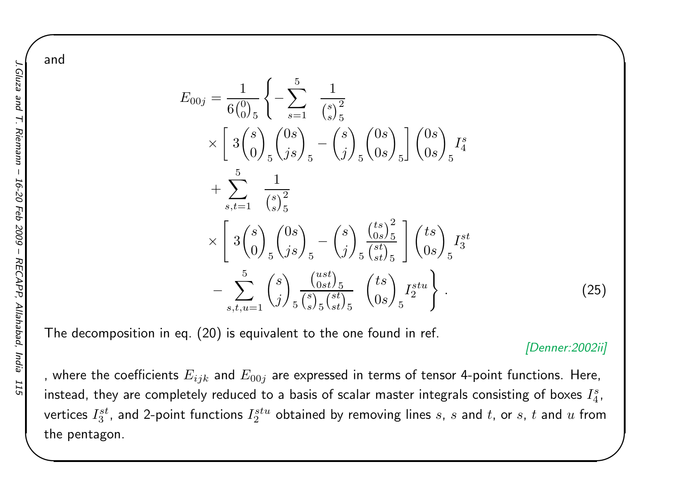$E_{00j}$ =1 $\frac{1}{6\binom{0}{0}_5}\bigg\{$  $-\sum_{1}^{5}$  $s{=}1$ 1 $\binom{s}{s}^2_5$ s5× $\sqrt{\phantom{a}}$ 3 $3\binom{s}{0}$  $\left( \begin{matrix} s \ 0 \end{matrix} \right)_5 \left( \begin{matrix} 0 \ j \end{matrix} \right)$ s $\genfrac{}{}{0pt}{}{0s}{js}\displaystyle\genfrac{}{}{0pt}{}{s}{5}$ − $\begin{pmatrix} s \\ j \end{pmatrix}$  $\left(\begin{matrix} s\ j \end{matrix}\right)_5 \left(\begin{matrix} 0\ 0 \end{matrix}\right)$ s $\begin{bmatrix} 0s\0s \end{bmatrix}_{5} \begin{bmatrix} 0\0 \end{bmatrix}$ s $\begin{pmatrix} 0s \ 0s \end{pmatrix}_5$ Is 4 $\, + \,$  $+ \sum_{.}^{5}$  $s,t{=}1$ 1 $\binom{s}{s}^2_5$ × $\begin{bmatrix} \phantom{-} \end{bmatrix}$ 3 $3\binom{s}{0}$  $\left( \begin{matrix} s \ 0 \end{matrix} \right)_5 \left( \begin{matrix} 0 \ j \end{matrix} \right)$ s $\genfrac{}{}{0pt}{}{0s}{js}\displaystyle{)}_{5}$  $-\binom{s}{j}$  $\left(\begin{array}{c} s \ j \end{array}\right)_5$  $\left(\begin{smallmatrix} ts \ 0 \ s \end{smallmatrix}\right)^2_{5} \ \left[ \begin{smallmatrix} ts \ 0 \end{smallmatrix}\right] \ \left(\begin{smallmatrix} ts \ 0 \end{smallmatrix}\right)_{5}$ #  $I_3^{st}$ − $\sum_{.}^{5}$  $\sum_{s,t,u=1}^{5} \binom{s}{j}$  $\left(\begin{matrix} s \ j \end{matrix}\right)_5$  $\frac{{\binom{ust}{0st}}_5}{{\binom{s}{s}}_5 {\binom{st}{st}}}$   $\begin{pmatrix} ts \ 0 \end{pmatrix}$ s $\left(\begin{array}{c} s \ s \end{array}\right)_5$  $I_2^{stu}$  $\left.\begin{array}{c} \end{array}\right\}$ .(25)

The decomposition in eq. (20) is equivalent to the one found in ref.

#### [Denner:2002ii]

 $\begin{matrix} \hline \end{matrix}$ 

, where the coefficients  $E_{ijk}$  and  $E_{00j}$  are expressed in terms of tensor 4-point functions. Here, instead, they are completely reduced to a basis of scalar master integrals consisting of boxes  $I_4^s$ , vertices  $I^{st}_3$ , and 2-point functions  $I^{stu}_2$  obtained by removing lines  $s, \, s$  and  $t,$  or  $s, \, t$  and  $u$  from the pentagon.

and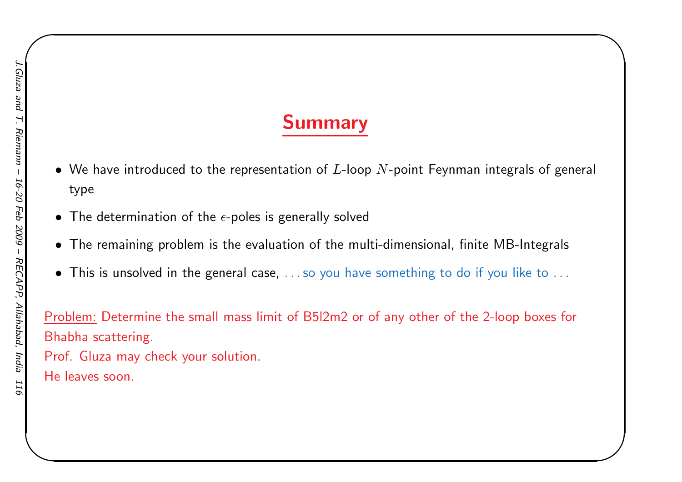## Summary

 $\begin{matrix} \hline \end{matrix}$ 

- $\bullet\,$  We have introduced to the representation of  $L$ -loop  $N$ -point Feynman integrals of general type
- $\bullet$  The determination of the  $\epsilon$ -poles is generally solved
- $\bullet$  The remaining problem is the evaluation of the multi-dimensional, finite MB-Integrals
- $\bullet$  This is unsolved in the general case,  $\ldots$  so you have something to do if you like to  $\ldots$

Problem: Determine the small mass limit of B5l2m2 or of any other of the 2-loop boxes for Bhabha scattering.

Prof. Gluza may check your solution. He leaves soon.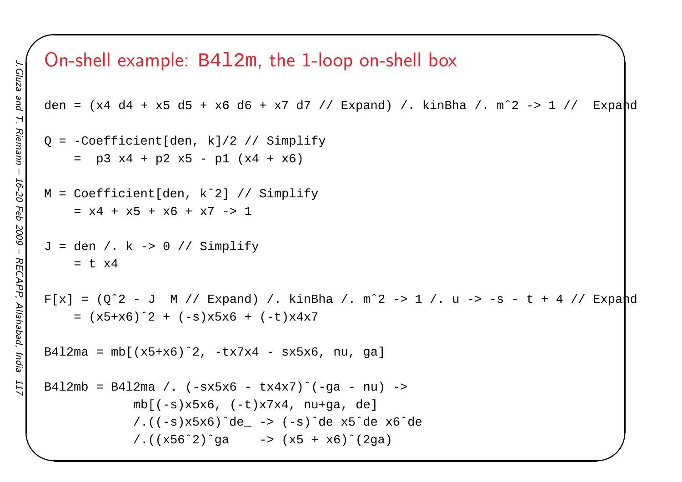### On-shell example: B4l2m, the 1-loop on-shell box

```
\begin{matrix} \hline \end{matrix}den = (x4 d4 + x5 d5 + x6 d6 + x7 d7 // Expand) /. kinBha /. m<sup>2</sup> -> 1 // Expand
Q = -Coefficient[den, k]/2 // Simplify
     = p3 x4 + p2 x5 - p1 (x4 + x6)
M = Coefficient[den, kˆ2] // Simplify
     = x4 + x5 + x6 + x7 -> 1
J = den /: k \rightarrow 0 // Simplify= t x4
F[x] = (0^2 - J M) / Expand) / kinBha / m<sup>2</sup> -> 1 / u -> -s - t + 4 // Expand
     = (x5+x6)ˆ2 + (-s)x5x6 + (-t)x4x7
B412ma = mb[(x5+x6)^2, -tx7x4 - sx5x6, nu, ga]
B4l2mb = B4l2ma /. (-sx5x6 - tx4x7)^{(-qa - nu)} ->
             mb[(-s)x5x6, (-t)x7x4, nu+ga, de]
             /.((-s)x5x6)ˆde_ -> (-s)ˆde x5ˆde x6ˆde
             /.(x56^2)^{^}ga -> (x5 + x6)^{^}}(2ga)
```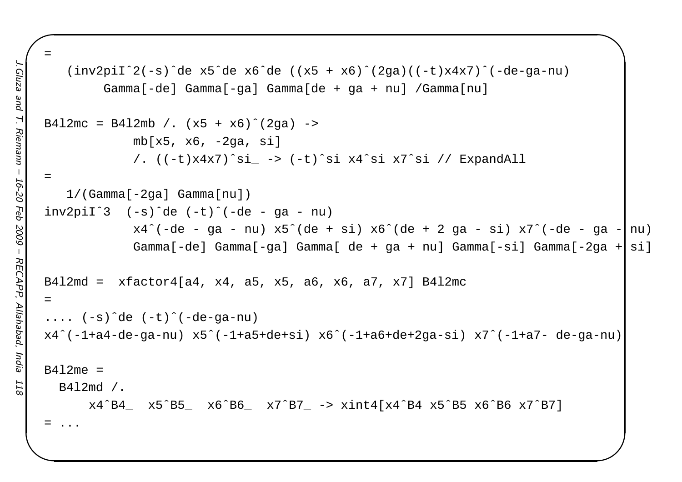```
\begin{matrix} \hline \end{matrix}=(inv2pi1^2(-s)^{de}xe^6de x6^de (x5 + x6)^{de} (2qa)((-t)x4x7)^{de}-de-qa-nu)Gamma[-de] Gamma[-ga] Gamma[de + ga + nu] /Gamma[nu]
B4l2mc = B4l2mb /. (x5 + x6)^{2}(2qa) ->
             mb[x5, x6, -2qa, si]/. ((-t)x4x7)ˆsi_ -> (-t)ˆsi x4ˆsi x7ˆsi // ExpandAll
=1/(Gamma[-2ga] Gamma[nu])
inv2pi1^3 (-s)de (-t)^{-1}(-de - qa - nu)
             x4^{\degree}(-de - ga - nu) x5^{\degree}(de + si) x6^{\degree}(de + 2 ga - si) x7^{\degree}(-de - ga - nu)
             Gamma[-de] Gamma[-ga] Gamma[ de + ga + nu] Gamma[-si] Gamma[-2ga + si]
B4l2md = xfactor4[a4, x4, a5, x5, a6, x6, a7, x7] B4l2mc
=.... (-s)ˆde (-t)ˆ(-de-ga-nu)
x4ˆ(-1+a4-de-ga-nu) x5ˆ(-1+a5+de+si) x6ˆ(-1+a6+de+2ga-si) x7ˆ(-1+a7- de-ga-nu)
B412me =B4l2md /.
      x4ˆB4_ x5ˆB5_ x6ˆB6_ x7ˆB7_ -> xint4[x4ˆB4 x5ˆB5 x6ˆB6 x7ˆB7]
= ...
```
ezn<sub>[5</sub>

pue

Riemann

 $J.Gluza$  and  $T$ . Riemann – 16-20 Feb 2009 – RECAPP, Allahabad, India 118

**RECAPP** 

Allahabad,

India

Feb 2009

16-20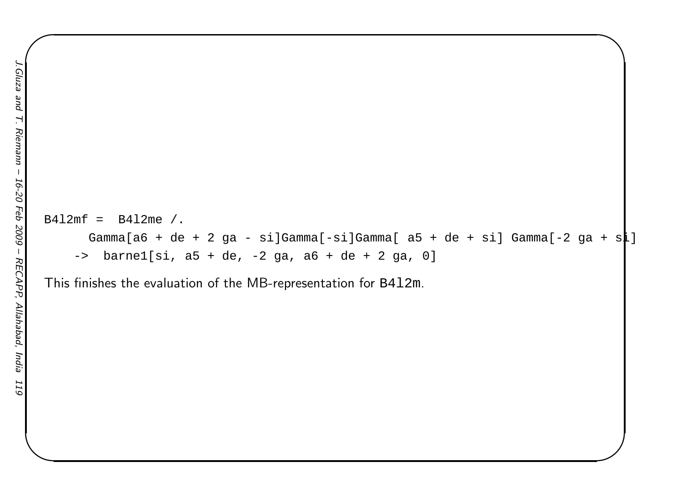```
B412mf = B412me / .Gamma[a6 + de + 2 ga - si]Gamma[-si]Gamma[ a5 + de + si] Gamma[-2 ga + s\downarrow]
    -> barne1[si, a5 + de, -2 ga, a6 + de + 2 ga, 0]
```
 $\begin{matrix} \hline \end{matrix}$ 

This finishes the evaluation of the MB-representation for  $\verb|B4l2m|$ .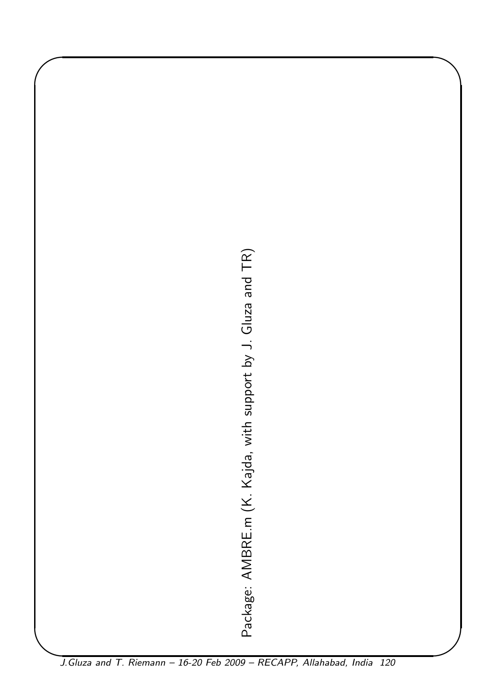J.Gluza and T. Riemann – 16-20 Feb 2009 – RECAPP, Allahabad, I Package: AMBRE.m (K. Kajda, with support by J. Gluza and TR)

✬

J.Gluza and T. Riemann - 16-20 Feb 2009 - RECAPP, Allahabad, India 120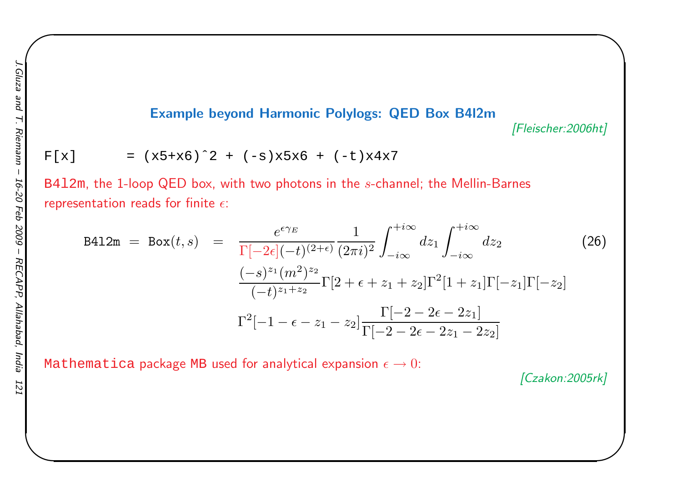#### Example beyond Harmonic Polylogs: QED Box B4l2m

[Fleischer:2006ht]

 $\begin{matrix} \hline \end{matrix}$ 

$$
F[x] = (x5+x6)^2 + (-s)x5x6 + (-t)x4x7
$$

<code>B412m</code>, the 1-loop QED box, with two photons in the  $s$ -channel; the Mellin-Barnes representation reads for finite  $\epsilon$ :

$$
B412m = Box(t, s) = \frac{e^{\epsilon \gamma_E}}{\Gamma[-2\epsilon](-t)^{(2+\epsilon)}} \frac{1}{(2\pi i)^2} \int_{-i\infty}^{+i\infty} dz_1 \int_{-i\infty}^{+i\infty} dz_2
$$
(26)  

$$
\frac{(-s)^{z_1}(m^2)^{z_2}}{(-t)^{z_1+z_2}} \Gamma[2+\epsilon+z_1+z_2] \Gamma^2[1+z_1] \Gamma[-z_1] \Gamma[-z_2]
$$

$$
\Gamma^2[-1-\epsilon-z_1-z_2] \frac{\Gamma[-2-2\epsilon-2z_1]}{\Gamma[-2-2\epsilon-2z_1-2z_2]}
$$

<code>Mathematica</code> package <code>MB</code> used for analytical expansion  $\epsilon \to 0$ :

[Czakon:2005rk]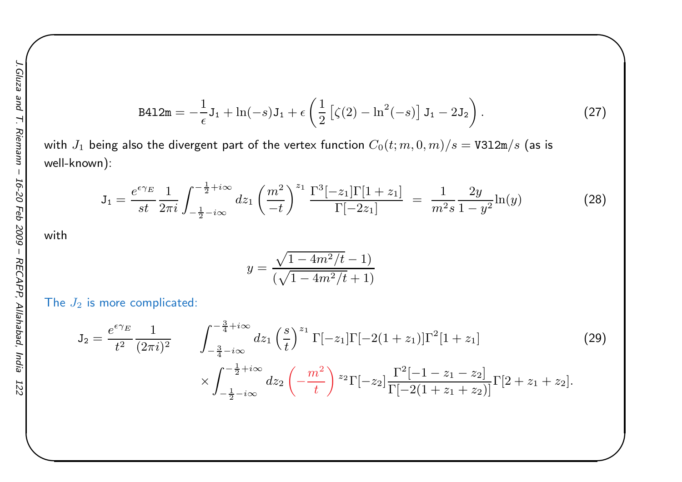B412m = 
$$
-\frac{1}{\epsilon}
$$
J<sub>1</sub> + ln(-s)J<sub>1</sub> +  $\epsilon$   $(\frac{1}{2} [(\zeta(2) - ln^2(-s)] J_1 - 2J_2).$  (27)

 $\begin{matrix} \hline \end{matrix}$ 

with  $J_1$  being also the divergent part of the vertex function  $C_0(t; m, 0, m)/s = \texttt{V3l2m/s}$  (as is well-known):

$$
J_1 = \frac{e^{\epsilon \gamma_E}}{st} \frac{1}{2\pi i} \int_{-\frac{1}{2} - i\infty}^{-\frac{1}{2} + i\infty} dz_1 \left(\frac{m^2}{-t}\right)^{z_1} \frac{\Gamma^3[-z_1] \Gamma[1+z_1]}{\Gamma[-2z_1]} = \frac{1}{m^2 s} \frac{2y}{1 - y^2} \ln(y) \tag{28}
$$

with

$$
y = \frac{\sqrt{1 - 4m^2/t} - 1}{(\sqrt{1 - 4m^2/t} + 1)}
$$

The  $J_2$  is more complicated:

$$
J_2 = \frac{e^{\epsilon \gamma_E}}{t^2} \frac{1}{(2\pi i)^2} \qquad \int_{-\frac{3}{4} - i\infty}^{-\frac{3}{4} + i\infty} dz_1 \left(\frac{s}{t}\right)^{z_1} \Gamma[-z_1] \Gamma[-2(1+z_1)] \Gamma^2[1+z_1] \qquad (29)
$$
  
 
$$
\times \int_{-\frac{1}{2} - i\infty}^{-\frac{1}{2} + i\infty} dz_2 \left(-\frac{m^2}{t}\right)^{z_2} \Gamma[-z_2] \frac{\Gamma^2[-1-z_1-z_2]}{\Gamma[-2(1+z_1+z_2)]} \Gamma[2+z_1+z_2].
$$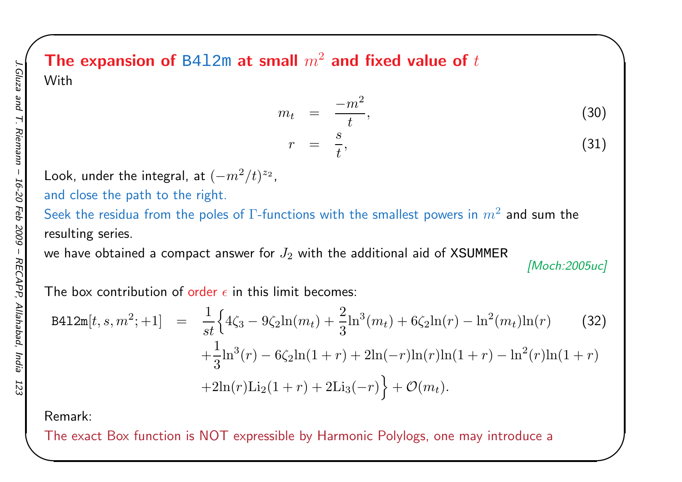### The expansion of <code>B412m</code> at small  $m^2$  and fixed value of  $t$ With

$$
m_t = \frac{-m^2}{t}, \tag{30}
$$
\n
$$
r = \frac{s}{t}, \tag{31}
$$

Look, under the integral, at  $(-m^2/t)^{z_2}$ ,

and close the path to the right.

Seek the residua from the poles of  $\Gamma$ -functions with the smallest powers in  $m^2$  and sum the resulting series.

we have obtained a compact answer for  $J_2$  with the additional aid of XSUMMER

[Moch:2005uc]

 $\begin{matrix} \hline \end{matrix}$ 

The box contribution of <mark>order  $\epsilon$  in this limit becomes:</mark>

$$
B412m[t, s, m^{2}; +1] = \frac{1}{st} \Big\{ 4\zeta_{3} - 9\zeta_{2} \ln(m_{t}) + \frac{2}{3} \ln^{3}(m_{t}) + 6\zeta_{2} \ln(r) - \ln^{2}(m_{t}) \ln(r) \Big\} + \frac{1}{3} \ln^{3}(r) - 6\zeta_{2} \ln(1+r) + 2\ln(-r)\ln(r)\ln(1+r) - \ln^{2}(r)\ln(1+r) + 2\ln(r)\text{Li}_{2}(1+r) + 2\text{Li}_{3}(-r) \Big\} + \mathcal{O}(m_{t}).
$$
\n(32)

Remark:

The exact Box function is NOT expressible by Harmonic Polylogs, one may introduce <sup>a</sup>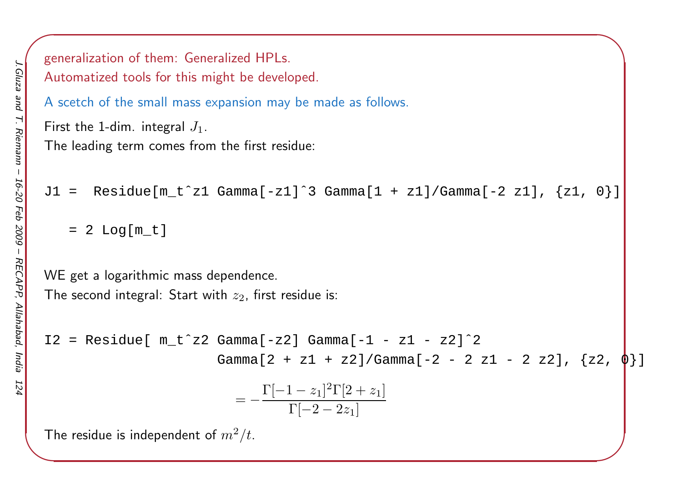```
\left( \frac{1}{2} \right)generalization of them: Generalized HPLs.
Automatized tools for this might be developed.
A scetch of the small mass expansion may be made as follows.
First the 1-dim. integral J_1.The leading term comes from the first residue:
J1 = Residue[m_t^z1 Gamma[-z1]^3 Gamma[1 + z1]/Gamma[-2 z1], \{z1, 0\}]
     = 2 Log[m_t]
WE get a logarithmic mass dependence.
The second integral: Start with z_2, first residue is:
I2 = Residue[ m_t^2 2 Gamma[-z2] Gamma[-1 - z1 - z2]^2]Gamma[2 + z1 + z2]/Gamma[-2 - 2 z1 - 2 z2], \{z2,= - \frac{\Gamma[}{}−1\frac{z_1}{2} \frac{2\Gamma[2 +}{}\frac{(1-z_1)^2\Gamma[2+z_1]}{\Gamma[-2-2z_1]}The residue is independent of m^2/t_{\cdot}
```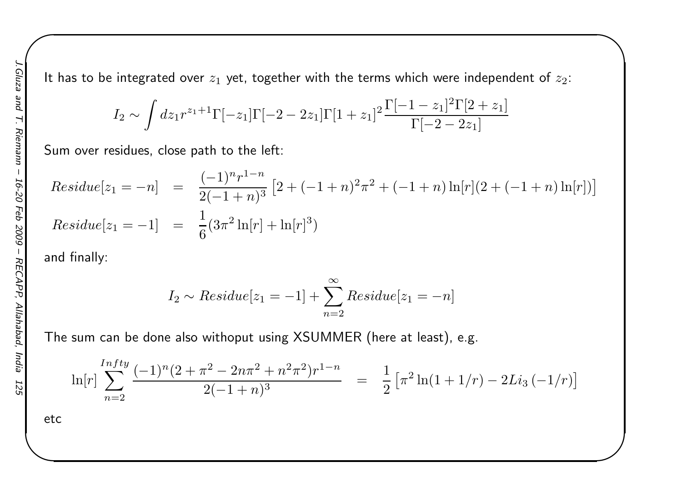It has to be integrated over  $z_1$  yet, together with the terms which were independent of  $z_2$ :

 $\begin{matrix} \hline \end{matrix}$ 

$$
I_2 \sim \int dz_1 r^{z_1+1} \Gamma[-z_1] \Gamma[-2-2z_1] \Gamma[1+z_1]^2 \frac{\Gamma[-1-z_1]^2 \Gamma[2+z_1]}{\Gamma[-2-2z_1]}
$$

Sum over residues, close path to the left:

$$
Residue[z_1 = -n] = \frac{(-1)^n r^{1-n}}{2(-1+n)^3} [2 + (-1+n)^2 \pi^2 + (-1+n) \ln[r](2 + (-1+n) \ln[r])]
$$
  
\n
$$
Residue[z_1 = -1] = \frac{1}{6} (3\pi^2 \ln[r] + \ln[r]^3)
$$

and finally:

$$
I_2 \sim Residue[z_1 = -1] + \sum_{n=2}^{\infty} Residue[z_1 = -n]
$$

The sum can be done also withoput using XSUMMER (here at least), e.g.

$$
\ln[r] \sum_{n=2}^{Intty} \frac{(-1)^n (2 + \pi^2 - 2n\pi^2 + n^2\pi^2) r^{1-n}}{2(-1+n)^3} = \frac{1}{2} \left[ \pi^2 \ln(1+1/r) - 2Li_3(-1/r) \right]
$$

etc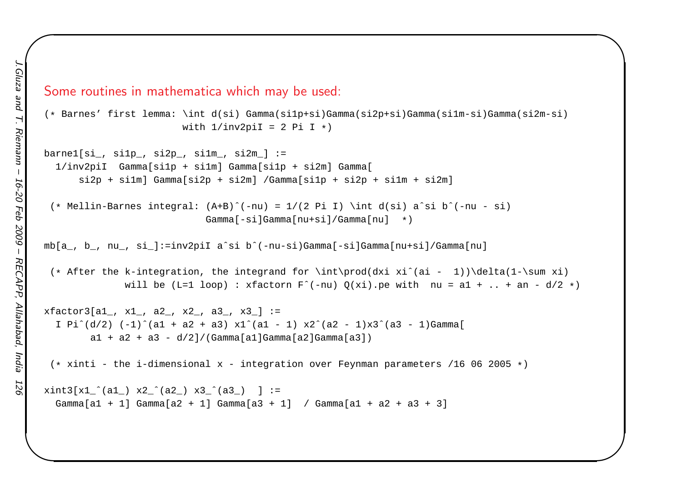Some routines in mathematica which may be used:

```
(* Barnes' first lemma: \int d(si) Gamma(si1p+si)Gamma(si2p+si)Gamma(si1m-si)Gamma(si2m-si)
                       with 1/inv2pi = 2 Pi I *)
```
 $\begin{matrix} \hline \end{matrix}$ 

```
\text{barnel}[\sin, \sinh, \sinh, \sinh, \sinh, \sinh] :=
  1/inv2piI Gamma[si1p + si1m] Gamma[si1p + si2m] Gamma[
      si2p + si1m] Gamma[si2p + si2m] /Gamma[si1p + si2p + si1m + si2m]
```

```
(* Mellin-Barnes integral: (A+B)ˆ(-nu) = 1/(2 Pi I) \int d(si) aˆsi bˆ(-nu - si)
                           Gamma[-si]Gamma[nu+si]/Gamma[nu] *)
```
mb[a\_, b\_, nu\_, si\_]:=inv2piI <sup>a</sup>ˆsi bˆ(-nu-si)Gamma[-si]Gamma[nu+si]/Gamma[nu]

(\* After the k-integration, the integrand for \int\prod(dxi xiˆ(ai - 1))\delta(1-\sum xi) will be (L=1 loop) : xfactorn  $F^{\wedge}$ (-nu)  $Q(xi)$ .pe with nu = a1 + .. + an - d/2 \*)

```
xfactor3[a1, x1, a2, x2, a3, x3] :=I Pi^{(d/2)} (-1)^(a1 + a2 + a3) x1^(a1 - 1) x2^(a2 - 1)x3^(a3 - 1)Gamma[
       a1 + a2 + a3 - d/2 / (Gamma[a1]Gamma[a2]Gamma[a3])
```
(\* xinti - the i-dimensional <sup>x</sup> - integration over Feynman parameters /16 <sup>06</sup> <sup>2005</sup> \*)

```
xint3[x1](a1) x2](a2) x3](a3) ] :=
 Gamma[a1 + 1] Gamma[a2 + 1] Gamma[a3 + 1] / Gamma[a1 + a2 + a3 + 3]
```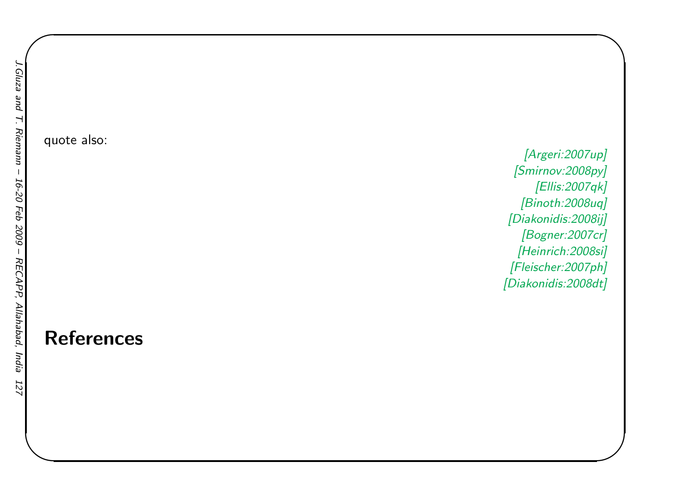quote also:

References

[Argeri:2007up] [Smirnov:2008py] [Ellis:2007qk] [Binoth:2008uq] [Diakonidis:2008ij] [Bogner:2007cr] [Heinrich:2008si] [Fleischer:2007ph][Diakonidis:2008dt]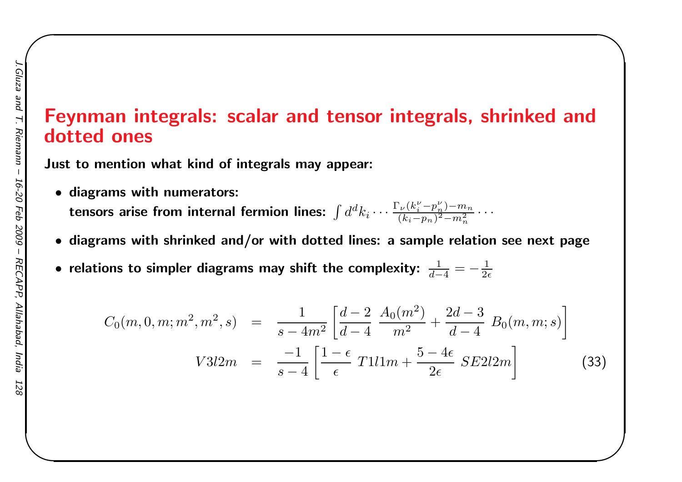### Feynman integrals: scalar and tensor integrals, shrinked anddotted ones

 $\begin{matrix} \hline \end{matrix}$ 

Just to mention what kind of integrals may appear:

- diagrams with numerators: tensors arise from internal fermion lines:  $\int d^d$  ${}^{\scriptscriptstyle a}k_i\cdots$ Γ $\frac{\Gamma_{\nu}(k_i^{\nu} - k_i^{\nu})}{(k_i - n)}$  $\frac{p}{\sqrt{p}}$  $\binom{\nu}{n}$  –  $\,m$  $\, n \,$  $(k_i-p_n)^2-m_n^2$  $\cdot \cdot \cdot$
- diagrams with shrinked and/or with dotted lines: <sup>a</sup> sample relation see next page
- $\bullet$  relations to simpler diagrams may shift the complexity:  $\frac{1}{d-4}=-\frac{1}{2\epsilon}$

$$
C_0(m, 0, m; m^2, m^2, s) = \frac{1}{s - 4m^2} \left[ \frac{d - 2}{d - 4} \frac{A_0(m^2)}{m^2} + \frac{2d - 3}{d - 4} B_0(m, m; s) \right]
$$
  

$$
V3l2m = \frac{-1}{s - 4} \left[ \frac{1 - \epsilon}{\epsilon} T1l1m + \frac{5 - 4\epsilon}{2\epsilon} SE2l2m \right]
$$
(33)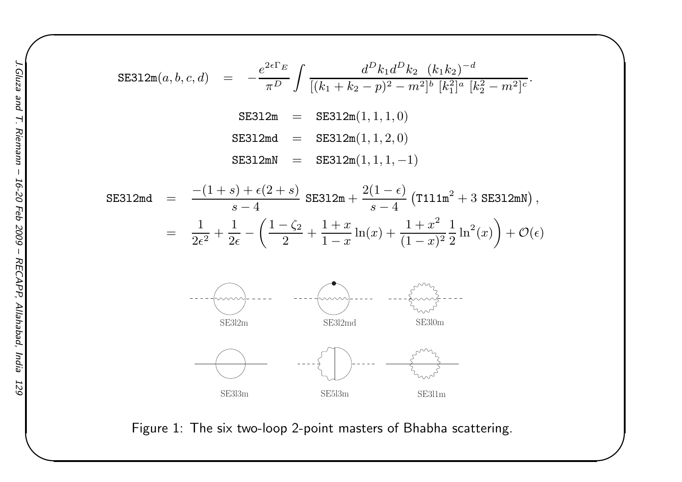SE312m(a, b, c, d) = 
$$
-\frac{e^{2\epsilon\Gamma_E}}{\pi^D} \int \frac{d^D k_1 d^D k_2 (k_1 k_2)^{-d}}{[(k_1 + k_2 - p)^2 - m^2]^b [k_1^2]^a [k_2^2 - m^2]^c}.
$$
  
SE312m = SE312m(1, 1, 1, 0)  
SE312md = SE312m(1, 1, 2, 0)  
SE312mN = SE312m(1, 1, 1, -1)

SE312md = 
$$
\frac{-(1+s) + \epsilon(2+s)}{s-4} \text{ SE312m} + \frac{2(1-\epsilon)}{s-4} (\text{T111m}^2 + 3 \text{ SE312mN}),
$$
  
= 
$$
\frac{1}{2\epsilon^2} + \frac{1}{2\epsilon} - \left(\frac{1-\zeta_2}{2} + \frac{1+x}{1-x} \ln(x) + \frac{1+x^2}{(1-x)^2} \frac{1}{2} \ln^2(x)\right) + \mathcal{O}(\epsilon)
$$



Figure 1: The six two-loop 2-point masters of Bhabha scattering.